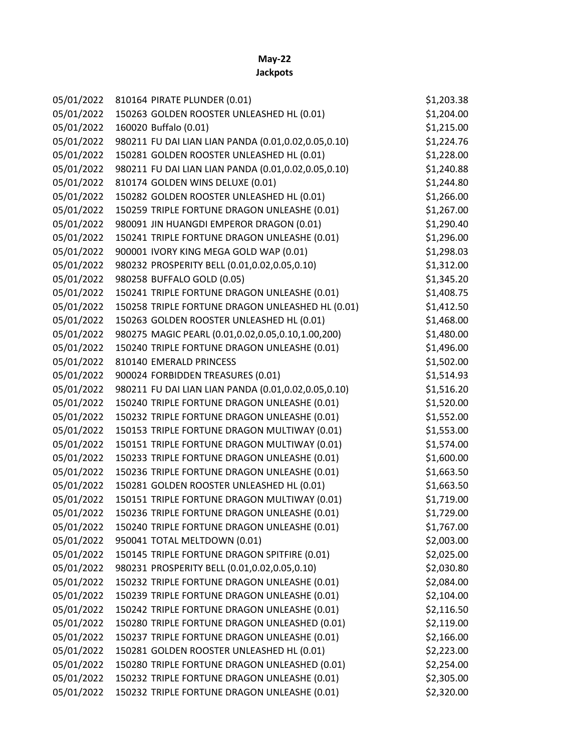## **May-22**

| 05/01/2022 | 810164 PIRATE PLUNDER (0.01)                        | \$1,203.38 |
|------------|-----------------------------------------------------|------------|
| 05/01/2022 | 150263 GOLDEN ROOSTER UNLEASHED HL (0.01)           | \$1,204.00 |
| 05/01/2022 | 160020 Buffalo (0.01)                               | \$1,215.00 |
| 05/01/2022 | 980211 FU DAI LIAN LIAN PANDA (0.01,0.02,0.05,0.10) | \$1,224.76 |
| 05/01/2022 | 150281 GOLDEN ROOSTER UNLEASHED HL (0.01)           | \$1,228.00 |
| 05/01/2022 | 980211 FU DAI LIAN LIAN PANDA (0.01,0.02,0.05,0.10) | \$1,240.88 |
| 05/01/2022 | 810174 GOLDEN WINS DELUXE (0.01)                    | \$1,244.80 |
| 05/01/2022 | 150282 GOLDEN ROOSTER UNLEASHED HL (0.01)           | \$1,266.00 |
| 05/01/2022 | 150259 TRIPLE FORTUNE DRAGON UNLEASHE (0.01)        | \$1,267.00 |
| 05/01/2022 | 980091 JIN HUANGDI EMPEROR DRAGON (0.01)            | \$1,290.40 |
| 05/01/2022 | 150241 TRIPLE FORTUNE DRAGON UNLEASHE (0.01)        | \$1,296.00 |
| 05/01/2022 | 900001 IVORY KING MEGA GOLD WAP (0.01)              | \$1,298.03 |
| 05/01/2022 | 980232 PROSPERITY BELL (0.01,0.02,0.05,0.10)        | \$1,312.00 |
| 05/01/2022 | 980258 BUFFALO GOLD (0.05)                          | \$1,345.20 |
| 05/01/2022 | 150241 TRIPLE FORTUNE DRAGON UNLEASHE (0.01)        | \$1,408.75 |
| 05/01/2022 | 150258 TRIPLE FORTUNE DRAGON UNLEASHED HL (0.01)    | \$1,412.50 |
| 05/01/2022 | 150263 GOLDEN ROOSTER UNLEASHED HL (0.01)           | \$1,468.00 |
| 05/01/2022 | 980275 MAGIC PEARL (0.01,0.02,0.05,0.10,1.00,200)   | \$1,480.00 |
| 05/01/2022 | 150240 TRIPLE FORTUNE DRAGON UNLEASHE (0.01)        | \$1,496.00 |
| 05/01/2022 | 810140 EMERALD PRINCESS                             | \$1,502.00 |
| 05/01/2022 | 900024 FORBIDDEN TREASURES (0.01)                   | \$1,514.93 |
| 05/01/2022 | 980211 FU DAI LIAN LIAN PANDA (0.01,0.02,0.05,0.10) | \$1,516.20 |
| 05/01/2022 | 150240 TRIPLE FORTUNE DRAGON UNLEASHE (0.01)        | \$1,520.00 |
| 05/01/2022 | 150232 TRIPLE FORTUNE DRAGON UNLEASHE (0.01)        | \$1,552.00 |
| 05/01/2022 | 150153 TRIPLE FORTUNE DRAGON MULTIWAY (0.01)        | \$1,553.00 |
| 05/01/2022 | 150151 TRIPLE FORTUNE DRAGON MULTIWAY (0.01)        | \$1,574.00 |
| 05/01/2022 | 150233 TRIPLE FORTUNE DRAGON UNLEASHE (0.01)        | \$1,600.00 |
| 05/01/2022 | 150236 TRIPLE FORTUNE DRAGON UNLEASHE (0.01)        | \$1,663.50 |
| 05/01/2022 | 150281 GOLDEN ROOSTER UNLEASHED HL (0.01)           | \$1,663.50 |
| 05/01/2022 | 150151 TRIPLE FORTUNE DRAGON MULTIWAY (0.01)        | \$1,719.00 |
| 05/01/2022 | 150236 TRIPLE FORTUNE DRAGON UNLEASHE (0.01)        | \$1,729.00 |
| 05/01/2022 | 150240 TRIPLE FORTUNE DRAGON UNLEASHE (0.01)        | \$1,767.00 |
| 05/01/2022 | 950041 TOTAL MELTDOWN (0.01)                        | \$2,003.00 |
| 05/01/2022 | 150145 TRIPLE FORTUNE DRAGON SPITFIRE (0.01)        | \$2,025.00 |
| 05/01/2022 | 980231 PROSPERITY BELL (0.01,0.02,0.05,0.10)        | \$2,030.80 |
| 05/01/2022 | 150232 TRIPLE FORTUNE DRAGON UNLEASHE (0.01)        | \$2,084.00 |
| 05/01/2022 | 150239 TRIPLE FORTUNE DRAGON UNLEASHE (0.01)        | \$2,104.00 |
| 05/01/2022 | 150242 TRIPLE FORTUNE DRAGON UNLEASHE (0.01)        | \$2,116.50 |
| 05/01/2022 | 150280 TRIPLE FORTUNE DRAGON UNLEASHED (0.01)       | \$2,119.00 |
| 05/01/2022 | 150237 TRIPLE FORTUNE DRAGON UNLEASHE (0.01)        | \$2,166.00 |
| 05/01/2022 | 150281 GOLDEN ROOSTER UNLEASHED HL (0.01)           | \$2,223.00 |
| 05/01/2022 | 150280 TRIPLE FORTUNE DRAGON UNLEASHED (0.01)       | \$2,254.00 |
| 05/01/2022 | 150232 TRIPLE FORTUNE DRAGON UNLEASHE (0.01)        | \$2,305.00 |
| 05/01/2022 | 150232 TRIPLE FORTUNE DRAGON UNLEASHE (0.01)        | \$2,320.00 |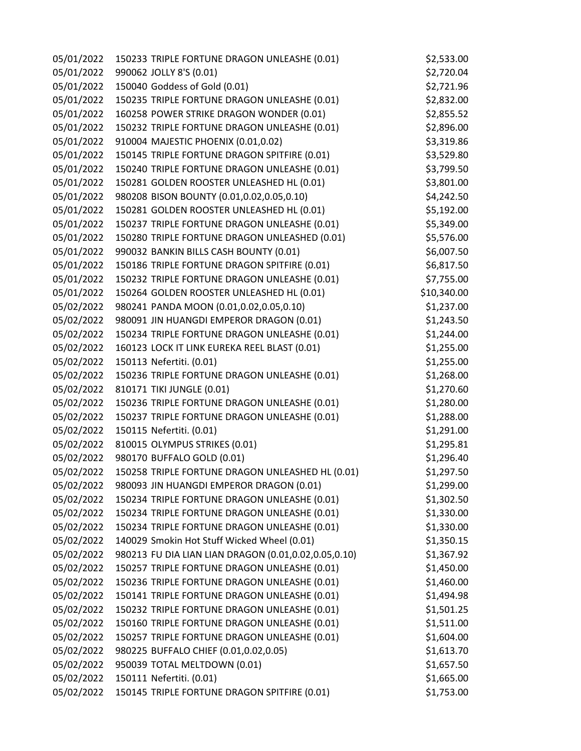| 05/01/2022 | 150233 TRIPLE FORTUNE DRAGON UNLEASHE (0.01)         | \$2,533.00  |
|------------|------------------------------------------------------|-------------|
| 05/01/2022 | 990062 JOLLY 8'S (0.01)                              | \$2,720.04  |
| 05/01/2022 | 150040 Goddess of Gold (0.01)                        | \$2,721.96  |
| 05/01/2022 | 150235 TRIPLE FORTUNE DRAGON UNLEASHE (0.01)         | \$2,832.00  |
| 05/01/2022 | 160258 POWER STRIKE DRAGON WONDER (0.01)             | \$2,855.52  |
| 05/01/2022 | 150232 TRIPLE FORTUNE DRAGON UNLEASHE (0.01)         | \$2,896.00  |
| 05/01/2022 | 910004 MAJESTIC PHOENIX (0.01,0.02)                  | \$3,319.86  |
| 05/01/2022 | 150145 TRIPLE FORTUNE DRAGON SPITFIRE (0.01)         | \$3,529.80  |
| 05/01/2022 | 150240 TRIPLE FORTUNE DRAGON UNLEASHE (0.01)         | \$3,799.50  |
| 05/01/2022 | 150281 GOLDEN ROOSTER UNLEASHED HL (0.01)            | \$3,801.00  |
| 05/01/2022 | 980208 BISON BOUNTY (0.01,0.02,0.05,0.10)            | \$4,242.50  |
| 05/01/2022 | 150281 GOLDEN ROOSTER UNLEASHED HL (0.01)            | \$5,192.00  |
| 05/01/2022 | 150237 TRIPLE FORTUNE DRAGON UNLEASHE (0.01)         | \$5,349.00  |
| 05/01/2022 | 150280 TRIPLE FORTUNE DRAGON UNLEASHED (0.01)        | \$5,576.00  |
| 05/01/2022 | 990032 BANKIN BILLS CASH BOUNTY (0.01)               | \$6,007.50  |
| 05/01/2022 | 150186 TRIPLE FORTUNE DRAGON SPITFIRE (0.01)         | \$6,817.50  |
| 05/01/2022 | 150232 TRIPLE FORTUNE DRAGON UNLEASHE (0.01)         | \$7,755.00  |
| 05/01/2022 | 150264 GOLDEN ROOSTER UNLEASHED HL (0.01)            | \$10,340.00 |
| 05/02/2022 | 980241 PANDA MOON (0.01,0.02,0.05,0.10)              | \$1,237.00  |
| 05/02/2022 | 980091 JIN HUANGDI EMPEROR DRAGON (0.01)             | \$1,243.50  |
| 05/02/2022 | 150234 TRIPLE FORTUNE DRAGON UNLEASHE (0.01)         | \$1,244.00  |
| 05/02/2022 | 160123 LOCK IT LINK EUREKA REEL BLAST (0.01)         | \$1,255.00  |
| 05/02/2022 | 150113 Nefertiti. (0.01)                             | \$1,255.00  |
| 05/02/2022 | 150236 TRIPLE FORTUNE DRAGON UNLEASHE (0.01)         | \$1,268.00  |
| 05/02/2022 | 810171 TIKI JUNGLE (0.01)                            | \$1,270.60  |
| 05/02/2022 | 150236 TRIPLE FORTUNE DRAGON UNLEASHE (0.01)         | \$1,280.00  |
| 05/02/2022 | 150237 TRIPLE FORTUNE DRAGON UNLEASHE (0.01)         | \$1,288.00  |
| 05/02/2022 | 150115 Nefertiti. (0.01)                             | \$1,291.00  |
| 05/02/2022 | 810015 OLYMPUS STRIKES (0.01)                        | \$1,295.81  |
| 05/02/2022 | 980170 BUFFALO GOLD (0.01)                           | \$1,296.40  |
| 05/02/2022 | 150258 TRIPLE FORTUNE DRAGON UNLEASHED HL (0.01)     | \$1,297.50  |
| 05/02/2022 | 980093 JIN HUANGDI EMPEROR DRAGON (0.01)             | \$1,299.00  |
| 05/02/2022 | 150234 TRIPLE FORTUNE DRAGON UNLEASHE (0.01)         | \$1,302.50  |
| 05/02/2022 | 150234 TRIPLE FORTUNE DRAGON UNLEASHE (0.01)         | \$1,330.00  |
| 05/02/2022 | 150234 TRIPLE FORTUNE DRAGON UNLEASHE (0.01)         | \$1,330.00  |
| 05/02/2022 | 140029 Smokin Hot Stuff Wicked Wheel (0.01)          | \$1,350.15  |
| 05/02/2022 | 980213 FU DIA LIAN LIAN DRAGON (0.01,0.02,0.05,0.10) | \$1,367.92  |
| 05/02/2022 | 150257 TRIPLE FORTUNE DRAGON UNLEASHE (0.01)         | \$1,450.00  |
| 05/02/2022 | 150236 TRIPLE FORTUNE DRAGON UNLEASHE (0.01)         | \$1,460.00  |
| 05/02/2022 | 150141 TRIPLE FORTUNE DRAGON UNLEASHE (0.01)         | \$1,494.98  |
| 05/02/2022 | 150232 TRIPLE FORTUNE DRAGON UNLEASHE (0.01)         | \$1,501.25  |
| 05/02/2022 | 150160 TRIPLE FORTUNE DRAGON UNLEASHE (0.01)         | \$1,511.00  |
| 05/02/2022 | 150257 TRIPLE FORTUNE DRAGON UNLEASHE (0.01)         | \$1,604.00  |
| 05/02/2022 | 980225 BUFFALO CHIEF (0.01,0.02,0.05)                | \$1,613.70  |
| 05/02/2022 | 950039 TOTAL MELTDOWN (0.01)                         | \$1,657.50  |
| 05/02/2022 | 150111 Nefertiti. (0.01)                             | \$1,665.00  |
| 05/02/2022 | 150145 TRIPLE FORTUNE DRAGON SPITFIRE (0.01)         | \$1,753.00  |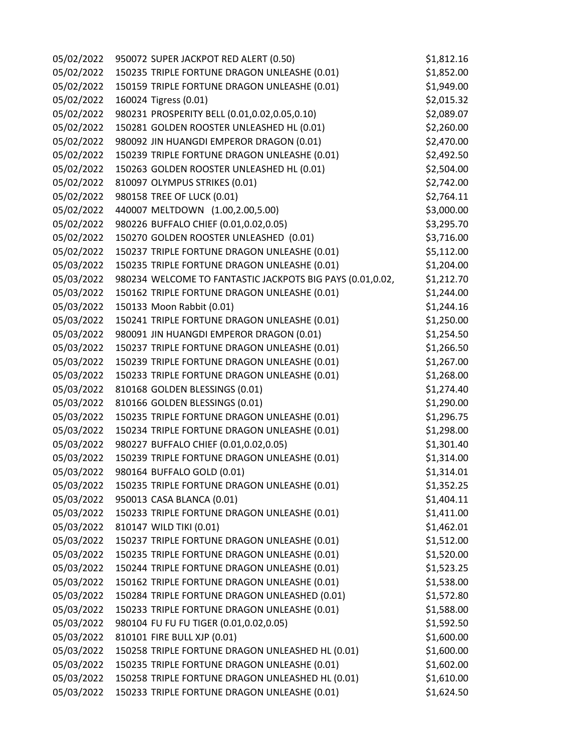| 05/02/2022 | 950072 SUPER JACKPOT RED ALERT (0.50)                     | \$1,812.16 |
|------------|-----------------------------------------------------------|------------|
| 05/02/2022 | 150235 TRIPLE FORTUNE DRAGON UNLEASHE (0.01)              | \$1,852.00 |
| 05/02/2022 | 150159 TRIPLE FORTUNE DRAGON UNLEASHE (0.01)              | \$1,949.00 |
| 05/02/2022 | 160024 Tigress (0.01)                                     | \$2,015.32 |
| 05/02/2022 | 980231 PROSPERITY BELL (0.01,0.02,0.05,0.10)              | \$2,089.07 |
| 05/02/2022 | 150281 GOLDEN ROOSTER UNLEASHED HL (0.01)                 | \$2,260.00 |
| 05/02/2022 | 980092 JIN HUANGDI EMPEROR DRAGON (0.01)                  | \$2,470.00 |
| 05/02/2022 | 150239 TRIPLE FORTUNE DRAGON UNLEASHE (0.01)              | \$2,492.50 |
| 05/02/2022 | 150263 GOLDEN ROOSTER UNLEASHED HL (0.01)                 | \$2,504.00 |
| 05/02/2022 | 810097 OLYMPUS STRIKES (0.01)                             | \$2,742.00 |
| 05/02/2022 | 980158 TREE OF LUCK (0.01)                                | \$2,764.11 |
| 05/02/2022 | 440007 MELTDOWN (1.00,2.00,5.00)                          | \$3,000.00 |
| 05/02/2022 | 980226 BUFFALO CHIEF (0.01,0.02,0.05)                     | \$3,295.70 |
| 05/02/2022 | 150270 GOLDEN ROOSTER UNLEASHED (0.01)                    | \$3,716.00 |
| 05/02/2022 | 150237 TRIPLE FORTUNE DRAGON UNLEASHE (0.01)              | \$5,112.00 |
| 05/03/2022 | 150235 TRIPLE FORTUNE DRAGON UNLEASHE (0.01)              | \$1,204.00 |
| 05/03/2022 | 980234 WELCOME TO FANTASTIC JACKPOTS BIG PAYS (0.01,0.02, | \$1,212.70 |
| 05/03/2022 | 150162 TRIPLE FORTUNE DRAGON UNLEASHE (0.01)              | \$1,244.00 |
| 05/03/2022 | 150133 Moon Rabbit (0.01)                                 | \$1,244.16 |
| 05/03/2022 | 150241 TRIPLE FORTUNE DRAGON UNLEASHE (0.01)              | \$1,250.00 |
| 05/03/2022 | 980091 JIN HUANGDI EMPEROR DRAGON (0.01)                  | \$1,254.50 |
| 05/03/2022 | 150237 TRIPLE FORTUNE DRAGON UNLEASHE (0.01)              | \$1,266.50 |
| 05/03/2022 | 150239 TRIPLE FORTUNE DRAGON UNLEASHE (0.01)              | \$1,267.00 |
| 05/03/2022 | 150233 TRIPLE FORTUNE DRAGON UNLEASHE (0.01)              | \$1,268.00 |
| 05/03/2022 | 810168 GOLDEN BLESSINGS (0.01)                            | \$1,274.40 |
| 05/03/2022 | 810166 GOLDEN BLESSINGS (0.01)                            | \$1,290.00 |
| 05/03/2022 | 150235 TRIPLE FORTUNE DRAGON UNLEASHE (0.01)              | \$1,296.75 |
| 05/03/2022 | 150234 TRIPLE FORTUNE DRAGON UNLEASHE (0.01)              | \$1,298.00 |
| 05/03/2022 | 980227 BUFFALO CHIEF (0.01,0.02,0.05)                     | \$1,301.40 |
| 05/03/2022 | 150239 TRIPLE FORTUNE DRAGON UNLEASHE (0.01)              | \$1,314.00 |
| 05/03/2022 | 980164 BUFFALO GOLD (0.01)                                | \$1,314.01 |
| 05/03/2022 | 150235 TRIPLE FORTUNE DRAGON UNLEASHE (0.01)              | \$1,352.25 |
| 05/03/2022 | 950013 CASA BLANCA (0.01)                                 | \$1,404.11 |
| 05/03/2022 | 150233 TRIPLE FORTUNE DRAGON UNLEASHE (0.01)              | \$1,411.00 |
| 05/03/2022 | 810147 WILD TIKI (0.01)                                   | \$1,462.01 |
| 05/03/2022 | 150237 TRIPLE FORTUNE DRAGON UNLEASHE (0.01)              | \$1,512.00 |
| 05/03/2022 | 150235 TRIPLE FORTUNE DRAGON UNLEASHE (0.01)              | \$1,520.00 |
| 05/03/2022 | 150244 TRIPLE FORTUNE DRAGON UNLEASHE (0.01)              | \$1,523.25 |
| 05/03/2022 | 150162 TRIPLE FORTUNE DRAGON UNLEASHE (0.01)              | \$1,538.00 |
| 05/03/2022 | 150284 TRIPLE FORTUNE DRAGON UNLEASHED (0.01)             | \$1,572.80 |
| 05/03/2022 | 150233 TRIPLE FORTUNE DRAGON UNLEASHE (0.01)              | \$1,588.00 |
| 05/03/2022 | 980104 FU FU FU TIGER (0.01,0.02,0.05)                    | \$1,592.50 |
| 05/03/2022 | 810101 FIRE BULL XJP (0.01)                               | \$1,600.00 |
| 05/03/2022 | 150258 TRIPLE FORTUNE DRAGON UNLEASHED HL (0.01)          | \$1,600.00 |
| 05/03/2022 | 150235 TRIPLE FORTUNE DRAGON UNLEASHE (0.01)              | \$1,602.00 |
| 05/03/2022 | 150258 TRIPLE FORTUNE DRAGON UNLEASHED HL (0.01)          | \$1,610.00 |
| 05/03/2022 | 150233 TRIPLE FORTUNE DRAGON UNLEASHE (0.01)              | \$1,624.50 |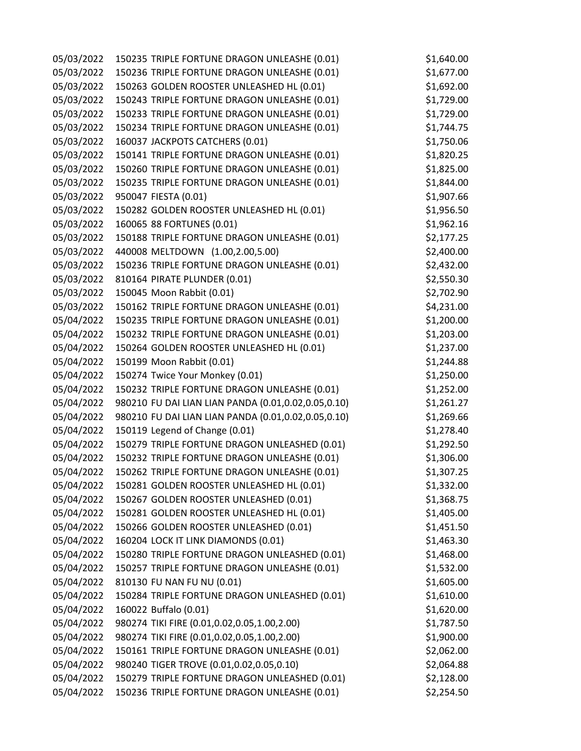05/03/2022 150235 TRIPLE FORTUNE DRAGON UNLEASHE (0.01) \$1,640.00 05/03/2022 150236 TRIPLE FORTUNE DRAGON UNLEASHE (0.01) \$1,677.00 05/03/2022 150263 GOLDEN ROOSTER UNLEASHED HL (0.01) \$1,692.00 05/03/2022 150243 TRIPLE FORTUNE DRAGON UNLEASHE (0.01) \$1,729.00 05/03/2022 150233 TRIPLE FORTUNE DRAGON UNLEASHE (0.01) \$1,729.00 05/03/2022 150234 TRIPLE FORTUNE DRAGON UNLEASHE (0.01) \$1,744.75 05/03/2022 160037 JACKPOTS CATCHERS (0.01) \$1,750.06 05/03/2022 150141 TRIPLE FORTUNE DRAGON UNLEASHE (0.01) \$1,820.25 05/03/2022 150260 TRIPLE FORTUNE DRAGON UNLEASHE (0.01) \$1,825.00 05/03/2022 150235 TRIPLE FORTUNE DRAGON UNLEASHE (0.01) \$1,844.00 05/03/2022 950047 FIESTA (0.01) \$1,907.66 05/03/2022 150282 GOLDEN ROOSTER UNLEASHED HL (0.01) \$1,956.50 05/03/2022 160065 88 FORTUNES (0.01) \$1,962.16 05/03/2022 150188 TRIPLE FORTUNE DRAGON UNLEASHE (0.01) \$2,177.25 05/03/2022 440008 MELTDOWN (1.00,2.00,5.00) \$2,400.00 05/03/2022 150236 TRIPLE FORTUNE DRAGON UNLEASHE (0.01) \$2,432.00 05/03/2022 810164 PIRATE PLUNDER (0.01) \$2,550.30 05/03/2022 150045 Moon Rabbit (0.01) \$2,702.90 05/03/2022 150162 TRIPLE FORTUNE DRAGON UNLEASHE (0.01) \$4,231.00 05/04/2022 150235 TRIPLE FORTUNE DRAGON UNLEASHE (0.01) \$1,200.00 05/04/2022 150232 TRIPLE FORTUNE DRAGON UNLEASHE (0.01) \$1,203.00 05/04/2022 150264 GOLDEN ROOSTER UNLEASHED HL (0.01) \$1,237.00 05/04/2022 150199 Moon Rabbit (0.01) \$1,244.88 05/04/2022 150274 Twice Your Monkey (0.01) \$1,250.00 05/04/2022 150232 TRIPLE FORTUNE DRAGON UNLEASHE (0.01) \$1,252.00 05/04/2022 980210 FU DAI LIAN LIAN PANDA (0.01,0.02,0.05,0.10) \$1,261.27 05/04/2022 980210 FU DAI LIAN LIAN PANDA (0.01,0.02,0.05,0.10) \$1,269.66 05/04/2022 150119 Legend of Change (0.01) \$1,278.40 05/04/2022 150279 TRIPLE FORTUNE DRAGON UNLEASHED (0.01) \$1,292.50 05/04/2022 150232 TRIPLE FORTUNE DRAGON UNLEASHE (0.01) \$1,306.00 05/04/2022 150262 TRIPLE FORTUNE DRAGON UNLEASHE (0.01) \$1,307.25 05/04/2022 150281 GOLDEN ROOSTER UNLEASHED HL (0.01) \$1,332.00 05/04/2022 150267 GOLDEN ROOSTER UNLEASHED (0.01) \$1,368.75 05/04/2022 150281 GOLDEN ROOSTER UNLEASHED HL (0.01) \$1,405.00 05/04/2022 150266 GOLDEN ROOSTER UNLEASHED (0.01) \$1,451.50 05/04/2022 160204 LOCK IT LINK DIAMONDS (0.01) \$1,463.30 05/04/2022 150280 TRIPLE FORTUNE DRAGON UNLEASHED (0.01) \$1,468.00 05/04/2022 150257 TRIPLE FORTUNE DRAGON UNLEASHE (0.01) \$1,532.00 05/04/2022 810130 FU NAN FU NU (0.01) \$1,605.00 05/04/2022 150284 TRIPLE FORTUNE DRAGON UNLEASHED (0.01) \$1,610.00 05/04/2022 160022 Buffalo (0.01) \$1,620.00 05/04/2022 980274 TIKI FIRE (0.01,0.02,0.05,1.00,2.00) \$1,787.50 05/04/2022 980274 TIKI FIRE (0.01,0.02,0.05,1.00,2.00) \$1,900.00 05/04/2022 150161 TRIPLE FORTUNE DRAGON UNLEASHE (0.01) \$2,062.00 05/04/2022 980240 TIGER TROVE (0.01,0.02,0.05,0.10) \$2,064.88 05/04/2022 150279 TRIPLE FORTUNE DRAGON UNLEASHED (0.01) \$2,128.00 05/04/2022 150236 TRIPLE FORTUNE DRAGON UNLEASHE (0.01) \$2,254.50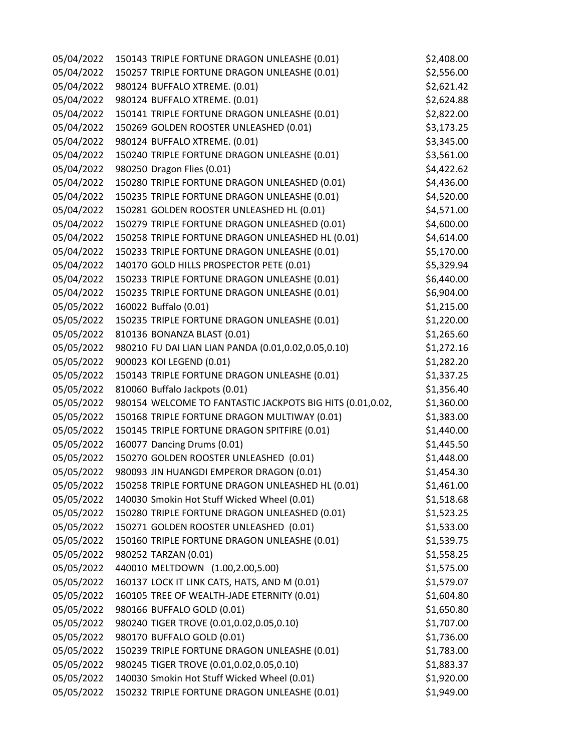| 05/04/2022 | 150143 TRIPLE FORTUNE DRAGON UNLEASHE (0.01)              | \$2,408.00 |
|------------|-----------------------------------------------------------|------------|
| 05/04/2022 | 150257 TRIPLE FORTUNE DRAGON UNLEASHE (0.01)              | \$2,556.00 |
| 05/04/2022 | 980124 BUFFALO XTREME. (0.01)                             | \$2,621.42 |
| 05/04/2022 | 980124 BUFFALO XTREME. (0.01)                             | \$2,624.88 |
| 05/04/2022 | 150141 TRIPLE FORTUNE DRAGON UNLEASHE (0.01)              | \$2,822.00 |
| 05/04/2022 | 150269 GOLDEN ROOSTER UNLEASHED (0.01)                    | \$3,173.25 |
| 05/04/2022 | 980124 BUFFALO XTREME. (0.01)                             | \$3,345.00 |
| 05/04/2022 | 150240 TRIPLE FORTUNE DRAGON UNLEASHE (0.01)              | \$3,561.00 |
| 05/04/2022 | 980250 Dragon Flies (0.01)                                | \$4,422.62 |
| 05/04/2022 | 150280 TRIPLE FORTUNE DRAGON UNLEASHED (0.01)             | \$4,436.00 |
| 05/04/2022 | 150235 TRIPLE FORTUNE DRAGON UNLEASHE (0.01)              | \$4,520.00 |
| 05/04/2022 | 150281 GOLDEN ROOSTER UNLEASHED HL (0.01)                 | \$4,571.00 |
| 05/04/2022 | 150279 TRIPLE FORTUNE DRAGON UNLEASHED (0.01)             | \$4,600.00 |
| 05/04/2022 | 150258 TRIPLE FORTUNE DRAGON UNLEASHED HL (0.01)          | \$4,614.00 |
| 05/04/2022 | 150233 TRIPLE FORTUNE DRAGON UNLEASHE (0.01)              | \$5,170.00 |
| 05/04/2022 | 140170 GOLD HILLS PROSPECTOR PETE (0.01)                  | \$5,329.94 |
| 05/04/2022 | 150233 TRIPLE FORTUNE DRAGON UNLEASHE (0.01)              | \$6,440.00 |
| 05/04/2022 | 150235 TRIPLE FORTUNE DRAGON UNLEASHE (0.01)              | \$6,904.00 |
| 05/05/2022 | 160022 Buffalo (0.01)                                     | \$1,215.00 |
| 05/05/2022 | 150235 TRIPLE FORTUNE DRAGON UNLEASHE (0.01)              | \$1,220.00 |
| 05/05/2022 | 810136 BONANZA BLAST (0.01)                               | \$1,265.60 |
| 05/05/2022 | 980210 FU DAI LIAN LIAN PANDA (0.01,0.02,0.05,0.10)       | \$1,272.16 |
| 05/05/2022 | 900023 KOI LEGEND (0.01)                                  | \$1,282.20 |
| 05/05/2022 | 150143 TRIPLE FORTUNE DRAGON UNLEASHE (0.01)              | \$1,337.25 |
| 05/05/2022 | 810060 Buffalo Jackpots (0.01)                            | \$1,356.40 |
| 05/05/2022 | 980154 WELCOME TO FANTASTIC JACKPOTS BIG HITS (0.01,0.02, | \$1,360.00 |
| 05/05/2022 | 150168 TRIPLE FORTUNE DRAGON MULTIWAY (0.01)              | \$1,383.00 |
| 05/05/2022 | 150145 TRIPLE FORTUNE DRAGON SPITFIRE (0.01)              | \$1,440.00 |
| 05/05/2022 | 160077 Dancing Drums (0.01)                               | \$1,445.50 |
| 05/05/2022 | 150270 GOLDEN ROOSTER UNLEASHED (0.01)                    | \$1,448.00 |
| 05/05/2022 | 980093 JIN HUANGDI EMPEROR DRAGON (0.01)                  | \$1,454.30 |
| 05/05/2022 | 150258 TRIPLE FORTUNE DRAGON UNLEASHED HL (0.01)          | \$1,461.00 |
| 05/05/2022 | 140030 Smokin Hot Stuff Wicked Wheel (0.01)               | \$1,518.68 |
| 05/05/2022 | 150280 TRIPLE FORTUNE DRAGON UNLEASHED (0.01)             | \$1,523.25 |
| 05/05/2022 | 150271 GOLDEN ROOSTER UNLEASHED (0.01)                    | \$1,533.00 |
| 05/05/2022 | 150160 TRIPLE FORTUNE DRAGON UNLEASHE (0.01)              | \$1,539.75 |
| 05/05/2022 | 980252 TARZAN (0.01)                                      | \$1,558.25 |
| 05/05/2022 | 440010 MELTDOWN (1.00,2.00,5.00)                          | \$1,575.00 |
| 05/05/2022 | 160137 LOCK IT LINK CATS, HATS, AND M (0.01)              | \$1,579.07 |
| 05/05/2022 | 160105 TREE OF WEALTH-JADE ETERNITY (0.01)                | \$1,604.80 |
| 05/05/2022 | 980166 BUFFALO GOLD (0.01)                                | \$1,650.80 |
| 05/05/2022 | 980240 TIGER TROVE (0.01,0.02,0.05,0.10)                  | \$1,707.00 |
| 05/05/2022 | 980170 BUFFALO GOLD (0.01)                                | \$1,736.00 |
| 05/05/2022 | 150239 TRIPLE FORTUNE DRAGON UNLEASHE (0.01)              | \$1,783.00 |
| 05/05/2022 | 980245 TIGER TROVE (0.01,0.02,0.05,0.10)                  | \$1,883.37 |
| 05/05/2022 | 140030 Smokin Hot Stuff Wicked Wheel (0.01)               | \$1,920.00 |
| 05/05/2022 | 150232 TRIPLE FORTUNE DRAGON UNLEASHE (0.01)              | \$1,949.00 |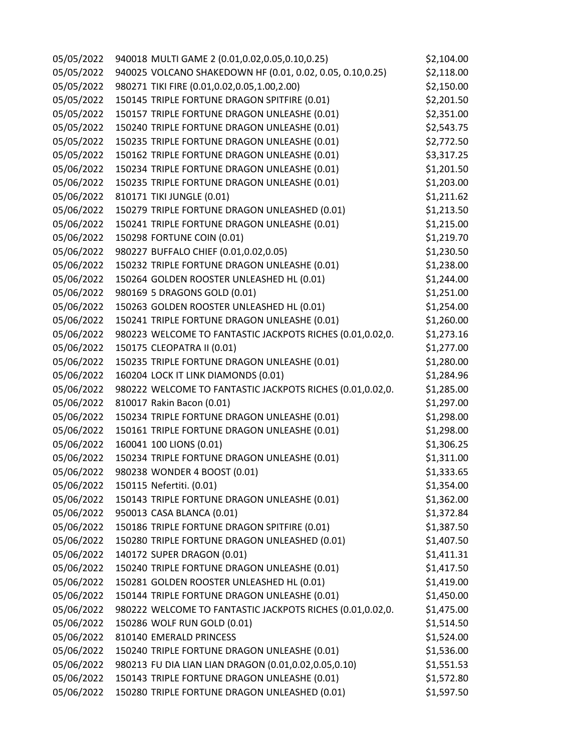| 05/05/2022 | 940018 MULTI GAME 2 (0.01,0.02,0.05,0.10,0.25)            | \$2,104.00 |
|------------|-----------------------------------------------------------|------------|
| 05/05/2022 | 940025 VOLCANO SHAKEDOWN HF (0.01, 0.02, 0.05, 0.10,0.25) | \$2,118.00 |
| 05/05/2022 | 980271 TIKI FIRE (0.01,0.02,0.05,1.00,2.00)               | \$2,150.00 |
| 05/05/2022 | 150145 TRIPLE FORTUNE DRAGON SPITFIRE (0.01)              | \$2,201.50 |
| 05/05/2022 | 150157 TRIPLE FORTUNE DRAGON UNLEASHE (0.01)              | \$2,351.00 |
| 05/05/2022 | 150240 TRIPLE FORTUNE DRAGON UNLEASHE (0.01)              | \$2,543.75 |
| 05/05/2022 | 150235 TRIPLE FORTUNE DRAGON UNLEASHE (0.01)              | \$2,772.50 |
| 05/05/2022 | 150162 TRIPLE FORTUNE DRAGON UNLEASHE (0.01)              | \$3,317.25 |
| 05/06/2022 | 150234 TRIPLE FORTUNE DRAGON UNLEASHE (0.01)              | \$1,201.50 |
| 05/06/2022 | 150235 TRIPLE FORTUNE DRAGON UNLEASHE (0.01)              | \$1,203.00 |
| 05/06/2022 | 810171 TIKI JUNGLE (0.01)                                 | \$1,211.62 |
| 05/06/2022 | 150279 TRIPLE FORTUNE DRAGON UNLEASHED (0.01)             | \$1,213.50 |
| 05/06/2022 | 150241 TRIPLE FORTUNE DRAGON UNLEASHE (0.01)              | \$1,215.00 |
| 05/06/2022 | 150298 FORTUNE COIN (0.01)                                | \$1,219.70 |
| 05/06/2022 | 980227 BUFFALO CHIEF (0.01,0.02,0.05)                     | \$1,230.50 |
| 05/06/2022 | 150232 TRIPLE FORTUNE DRAGON UNLEASHE (0.01)              | \$1,238.00 |
| 05/06/2022 | 150264 GOLDEN ROOSTER UNLEASHED HL (0.01)                 | \$1,244.00 |
| 05/06/2022 | 980169 5 DRAGONS GOLD (0.01)                              | \$1,251.00 |
| 05/06/2022 | 150263 GOLDEN ROOSTER UNLEASHED HL (0.01)                 | \$1,254.00 |
| 05/06/2022 | 150241 TRIPLE FORTUNE DRAGON UNLEASHE (0.01)              | \$1,260.00 |
| 05/06/2022 | 980223 WELCOME TO FANTASTIC JACKPOTS RICHES (0.01,0.02,0. | \$1,273.16 |
| 05/06/2022 | 150175 CLEOPATRA II (0.01)                                | \$1,277.00 |
| 05/06/2022 | 150235 TRIPLE FORTUNE DRAGON UNLEASHE (0.01)              | \$1,280.00 |
| 05/06/2022 | 160204 LOCK IT LINK DIAMONDS (0.01)                       | \$1,284.96 |
| 05/06/2022 | 980222 WELCOME TO FANTASTIC JACKPOTS RICHES (0.01,0.02,0. | \$1,285.00 |
| 05/06/2022 | 810017 Rakin Bacon (0.01)                                 | \$1,297.00 |
| 05/06/2022 | 150234 TRIPLE FORTUNE DRAGON UNLEASHE (0.01)              | \$1,298.00 |
| 05/06/2022 | 150161 TRIPLE FORTUNE DRAGON UNLEASHE (0.01)              | \$1,298.00 |
| 05/06/2022 | 160041 100 LIONS (0.01)                                   | \$1,306.25 |
| 05/06/2022 | 150234 TRIPLE FORTUNE DRAGON UNLEASHE (0.01)              | \$1,311.00 |
| 05/06/2022 | 980238 WONDER 4 BOOST (0.01)                              | \$1,333.65 |
| 05/06/2022 | 150115 Nefertiti. (0.01)                                  | \$1,354.00 |
| 05/06/2022 | 150143 TRIPLE FORTUNE DRAGON UNLEASHE (0.01)              | \$1,362.00 |
| 05/06/2022 | 950013 CASA BLANCA (0.01)                                 | \$1,372.84 |
| 05/06/2022 | 150186 TRIPLE FORTUNE DRAGON SPITFIRE (0.01)              | \$1,387.50 |
| 05/06/2022 | 150280 TRIPLE FORTUNE DRAGON UNLEASHED (0.01)             | \$1,407.50 |
| 05/06/2022 | 140172 SUPER DRAGON (0.01)                                | \$1,411.31 |
| 05/06/2022 | 150240 TRIPLE FORTUNE DRAGON UNLEASHE (0.01)              | \$1,417.50 |
| 05/06/2022 | 150281 GOLDEN ROOSTER UNLEASHED HL (0.01)                 | \$1,419.00 |
| 05/06/2022 | 150144 TRIPLE FORTUNE DRAGON UNLEASHE (0.01)              | \$1,450.00 |
| 05/06/2022 | 980222 WELCOME TO FANTASTIC JACKPOTS RICHES (0.01,0.02,0. | \$1,475.00 |
| 05/06/2022 | 150286 WOLF RUN GOLD (0.01)                               | \$1,514.50 |
| 05/06/2022 | 810140 EMERALD PRINCESS                                   | \$1,524.00 |
| 05/06/2022 | 150240 TRIPLE FORTUNE DRAGON UNLEASHE (0.01)              | \$1,536.00 |
| 05/06/2022 | 980213 FU DIA LIAN LIAN DRAGON (0.01,0.02,0.05,0.10)      | \$1,551.53 |
| 05/06/2022 | 150143 TRIPLE FORTUNE DRAGON UNLEASHE (0.01)              | \$1,572.80 |
| 05/06/2022 | 150280 TRIPLE FORTUNE DRAGON UNLEASHED (0.01)             | \$1,597.50 |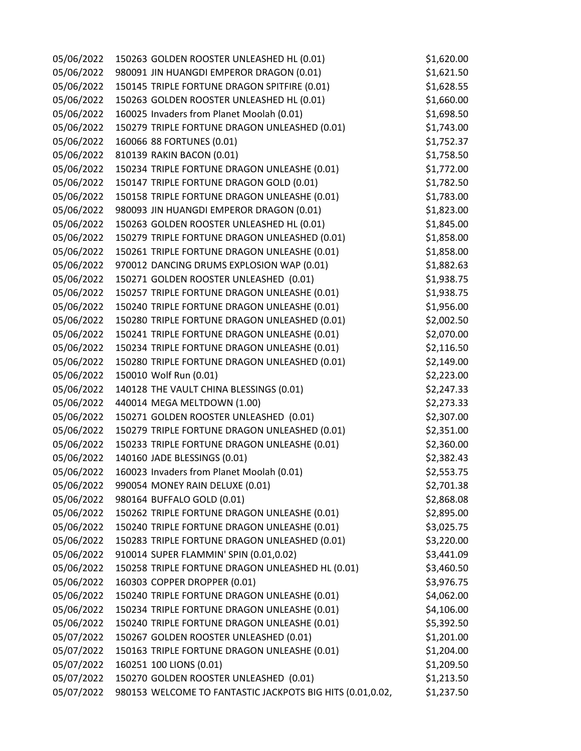| 05/06/2022 | 150263 GOLDEN ROOSTER UNLEASHED HL (0.01)                 | \$1,620.00 |
|------------|-----------------------------------------------------------|------------|
| 05/06/2022 | 980091 JIN HUANGDI EMPEROR DRAGON (0.01)                  | \$1,621.50 |
| 05/06/2022 | 150145 TRIPLE FORTUNE DRAGON SPITFIRE (0.01)              | \$1,628.55 |
| 05/06/2022 | 150263 GOLDEN ROOSTER UNLEASHED HL (0.01)                 | \$1,660.00 |
| 05/06/2022 | 160025 Invaders from Planet Moolah (0.01)                 | \$1,698.50 |
| 05/06/2022 | 150279 TRIPLE FORTUNE DRAGON UNLEASHED (0.01)             | \$1,743.00 |
| 05/06/2022 | 160066 88 FORTUNES (0.01)                                 | \$1,752.37 |
| 05/06/2022 | 810139 RAKIN BACON (0.01)                                 | \$1,758.50 |
| 05/06/2022 | 150234 TRIPLE FORTUNE DRAGON UNLEASHE (0.01)              | \$1,772.00 |
| 05/06/2022 | 150147 TRIPLE FORTUNE DRAGON GOLD (0.01)                  | \$1,782.50 |
| 05/06/2022 | 150158 TRIPLE FORTUNE DRAGON UNLEASHE (0.01)              | \$1,783.00 |
| 05/06/2022 | 980093 JIN HUANGDI EMPEROR DRAGON (0.01)                  | \$1,823.00 |
| 05/06/2022 | 150263 GOLDEN ROOSTER UNLEASHED HL (0.01)                 | \$1,845.00 |
| 05/06/2022 | 150279 TRIPLE FORTUNE DRAGON UNLEASHED (0.01)             | \$1,858.00 |
| 05/06/2022 | 150261 TRIPLE FORTUNE DRAGON UNLEASHE (0.01)              | \$1,858.00 |
| 05/06/2022 | 970012 DANCING DRUMS EXPLOSION WAP (0.01)                 | \$1,882.63 |
| 05/06/2022 | 150271 GOLDEN ROOSTER UNLEASHED (0.01)                    | \$1,938.75 |
| 05/06/2022 | 150257 TRIPLE FORTUNE DRAGON UNLEASHE (0.01)              | \$1,938.75 |
| 05/06/2022 | 150240 TRIPLE FORTUNE DRAGON UNLEASHE (0.01)              | \$1,956.00 |
| 05/06/2022 | 150280 TRIPLE FORTUNE DRAGON UNLEASHED (0.01)             | \$2,002.50 |
| 05/06/2022 | 150241 TRIPLE FORTUNE DRAGON UNLEASHE (0.01)              | \$2,070.00 |
| 05/06/2022 | 150234 TRIPLE FORTUNE DRAGON UNLEASHE (0.01)              | \$2,116.50 |
| 05/06/2022 | 150280 TRIPLE FORTUNE DRAGON UNLEASHED (0.01)             | \$2,149.00 |
| 05/06/2022 | 150010 Wolf Run (0.01)                                    | \$2,223.00 |
| 05/06/2022 | 140128 THE VAULT CHINA BLESSINGS (0.01)                   | \$2,247.33 |
| 05/06/2022 | 440014 MEGA MELTDOWN (1.00)                               | \$2,273.33 |
| 05/06/2022 | 150271 GOLDEN ROOSTER UNLEASHED (0.01)                    | \$2,307.00 |
| 05/06/2022 | 150279 TRIPLE FORTUNE DRAGON UNLEASHED (0.01)             | \$2,351.00 |
| 05/06/2022 | 150233 TRIPLE FORTUNE DRAGON UNLEASHE (0.01)              | \$2,360.00 |
| 05/06/2022 | 140160 JADE BLESSINGS (0.01)                              | \$2,382.43 |
| 05/06/2022 | 160023 Invaders from Planet Moolah (0.01)                 | \$2,553.75 |
| 05/06/2022 | 990054 MONEY RAIN DELUXE (0.01)                           | \$2,701.38 |
| 05/06/2022 | 980164 BUFFALO GOLD (0.01)                                | \$2,868.08 |
| 05/06/2022 | 150262 TRIPLE FORTUNE DRAGON UNLEASHE (0.01)              | \$2,895.00 |
| 05/06/2022 | 150240 TRIPLE FORTUNE DRAGON UNLEASHE (0.01)              | \$3,025.75 |
| 05/06/2022 | 150283 TRIPLE FORTUNE DRAGON UNLEASHED (0.01)             | \$3,220.00 |
| 05/06/2022 | 910014 SUPER FLAMMIN' SPIN (0.01,0.02)                    | \$3,441.09 |
| 05/06/2022 | 150258 TRIPLE FORTUNE DRAGON UNLEASHED HL (0.01)          | \$3,460.50 |
| 05/06/2022 | 160303 COPPER DROPPER (0.01)                              | \$3,976.75 |
| 05/06/2022 | 150240 TRIPLE FORTUNE DRAGON UNLEASHE (0.01)              | \$4,062.00 |
| 05/06/2022 | 150234 TRIPLE FORTUNE DRAGON UNLEASHE (0.01)              | \$4,106.00 |
| 05/06/2022 | 150240 TRIPLE FORTUNE DRAGON UNLEASHE (0.01)              | \$5,392.50 |
| 05/07/2022 | 150267 GOLDEN ROOSTER UNLEASHED (0.01)                    | \$1,201.00 |
| 05/07/2022 | 150163 TRIPLE FORTUNE DRAGON UNLEASHE (0.01)              | \$1,204.00 |
| 05/07/2022 | 160251 100 LIONS (0.01)                                   | \$1,209.50 |
| 05/07/2022 | 150270 GOLDEN ROOSTER UNLEASHED (0.01)                    | \$1,213.50 |
| 05/07/2022 | 980153 WELCOME TO FANTASTIC JACKPOTS BIG HITS (0.01,0.02, | \$1,237.50 |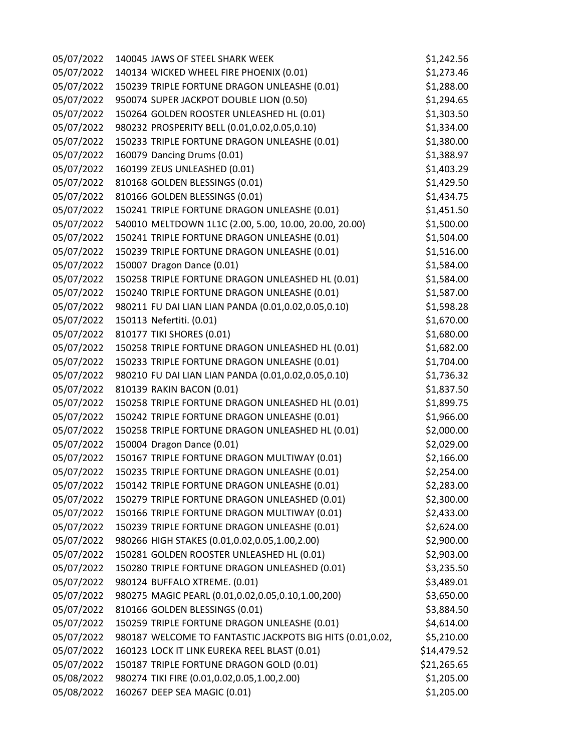| 05/07/2022 | 140045 JAWS OF STEEL SHARK WEEK                           | \$1,242.56  |
|------------|-----------------------------------------------------------|-------------|
| 05/07/2022 | 140134 WICKED WHEEL FIRE PHOENIX (0.01)                   | \$1,273.46  |
| 05/07/2022 | 150239 TRIPLE FORTUNE DRAGON UNLEASHE (0.01)              | \$1,288.00  |
| 05/07/2022 | 950074 SUPER JACKPOT DOUBLE LION (0.50)                   | \$1,294.65  |
| 05/07/2022 | 150264 GOLDEN ROOSTER UNLEASHED HL (0.01)                 | \$1,303.50  |
| 05/07/2022 | 980232 PROSPERITY BELL (0.01,0.02,0.05,0.10)              | \$1,334.00  |
| 05/07/2022 | 150233 TRIPLE FORTUNE DRAGON UNLEASHE (0.01)              | \$1,380.00  |
| 05/07/2022 | 160079 Dancing Drums (0.01)                               | \$1,388.97  |
| 05/07/2022 | 160199 ZEUS UNLEASHED (0.01)                              | \$1,403.29  |
| 05/07/2022 | 810168 GOLDEN BLESSINGS (0.01)                            | \$1,429.50  |
| 05/07/2022 | 810166 GOLDEN BLESSINGS (0.01)                            | \$1,434.75  |
| 05/07/2022 | 150241 TRIPLE FORTUNE DRAGON UNLEASHE (0.01)              | \$1,451.50  |
| 05/07/2022 | 540010 MELTDOWN 1L1C (2.00, 5.00, 10.00, 20.00, 20.00)    | \$1,500.00  |
| 05/07/2022 | 150241 TRIPLE FORTUNE DRAGON UNLEASHE (0.01)              | \$1,504.00  |
| 05/07/2022 | 150239 TRIPLE FORTUNE DRAGON UNLEASHE (0.01)              | \$1,516.00  |
| 05/07/2022 | 150007 Dragon Dance (0.01)                                | \$1,584.00  |
| 05/07/2022 | 150258 TRIPLE FORTUNE DRAGON UNLEASHED HL (0.01)          | \$1,584.00  |
| 05/07/2022 | 150240 TRIPLE FORTUNE DRAGON UNLEASHE (0.01)              | \$1,587.00  |
| 05/07/2022 | 980211 FU DAI LIAN LIAN PANDA (0.01,0.02,0.05,0.10)       | \$1,598.28  |
| 05/07/2022 | 150113 Nefertiti. (0.01)                                  | \$1,670.00  |
| 05/07/2022 | 810177 TIKI SHORES (0.01)                                 | \$1,680.00  |
| 05/07/2022 | 150258 TRIPLE FORTUNE DRAGON UNLEASHED HL (0.01)          | \$1,682.00  |
| 05/07/2022 | 150233 TRIPLE FORTUNE DRAGON UNLEASHE (0.01)              | \$1,704.00  |
| 05/07/2022 | 980210 FU DAI LIAN LIAN PANDA (0.01,0.02,0.05,0.10)       | \$1,736.32  |
| 05/07/2022 | 810139 RAKIN BACON (0.01)                                 | \$1,837.50  |
| 05/07/2022 | 150258 TRIPLE FORTUNE DRAGON UNLEASHED HL (0.01)          | \$1,899.75  |
| 05/07/2022 | 150242 TRIPLE FORTUNE DRAGON UNLEASHE (0.01)              | \$1,966.00  |
| 05/07/2022 | 150258 TRIPLE FORTUNE DRAGON UNLEASHED HL (0.01)          | \$2,000.00  |
| 05/07/2022 | 150004 Dragon Dance (0.01)                                | \$2,029.00  |
| 05/07/2022 | 150167 TRIPLE FORTUNE DRAGON MULTIWAY (0.01)              | \$2,166.00  |
| 05/07/2022 | 150235 TRIPLE FORTUNE DRAGON UNLEASHE (0.01)              | \$2,254.00  |
| 05/07/2022 | 150142 TRIPLE FORTUNE DRAGON UNLEASHE (0.01)              | \$2,283.00  |
| 05/07/2022 | 150279 TRIPLE FORTUNE DRAGON UNLEASHED (0.01)             | \$2,300.00  |
| 05/07/2022 | 150166 TRIPLE FORTUNE DRAGON MULTIWAY (0.01)              | \$2,433.00  |
| 05/07/2022 | 150239 TRIPLE FORTUNE DRAGON UNLEASHE (0.01)              | \$2,624.00  |
| 05/07/2022 | 980266 HIGH STAKES (0.01,0.02,0.05,1.00,2.00)             | \$2,900.00  |
| 05/07/2022 | 150281 GOLDEN ROOSTER UNLEASHED HL (0.01)                 | \$2,903.00  |
| 05/07/2022 | 150280 TRIPLE FORTUNE DRAGON UNLEASHED (0.01)             | \$3,235.50  |
| 05/07/2022 | 980124 BUFFALO XTREME. (0.01)                             | \$3,489.01  |
| 05/07/2022 | 980275 MAGIC PEARL (0.01,0.02,0.05,0.10,1.00,200)         | \$3,650.00  |
| 05/07/2022 | 810166 GOLDEN BLESSINGS (0.01)                            | \$3,884.50  |
| 05/07/2022 | 150259 TRIPLE FORTUNE DRAGON UNLEASHE (0.01)              | \$4,614.00  |
| 05/07/2022 | 980187 WELCOME TO FANTASTIC JACKPOTS BIG HITS (0.01,0.02, | \$5,210.00  |
| 05/07/2022 | 160123 LOCK IT LINK EUREKA REEL BLAST (0.01)              | \$14,479.52 |
| 05/07/2022 | 150187 TRIPLE FORTUNE DRAGON GOLD (0.01)                  | \$21,265.65 |
| 05/08/2022 | 980274 TIKI FIRE (0.01,0.02,0.05,1.00,2.00)               | \$1,205.00  |
| 05/08/2022 | 160267 DEEP SEA MAGIC (0.01)                              | \$1,205.00  |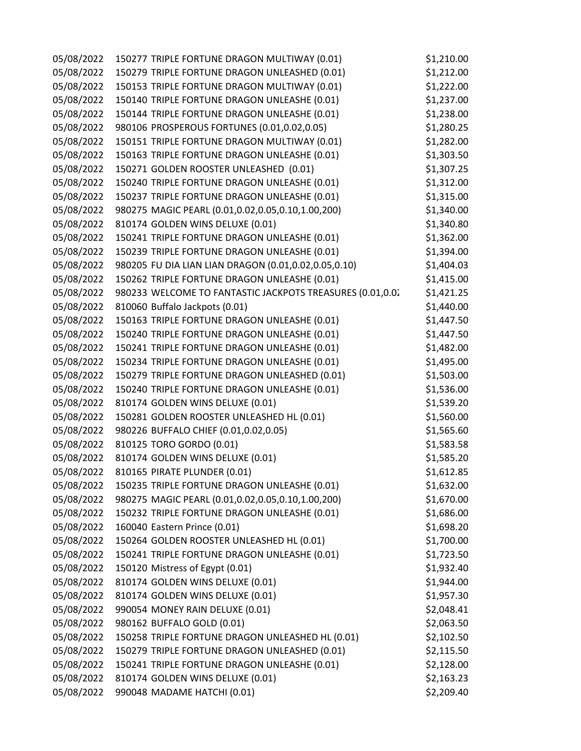| 05/08/2022 | 150277 TRIPLE FORTUNE DRAGON MULTIWAY (0.01)              | \$1,210.00 |
|------------|-----------------------------------------------------------|------------|
| 05/08/2022 | 150279 TRIPLE FORTUNE DRAGON UNLEASHED (0.01)             | \$1,212.00 |
| 05/08/2022 | 150153 TRIPLE FORTUNE DRAGON MULTIWAY (0.01)              | \$1,222.00 |
| 05/08/2022 | 150140 TRIPLE FORTUNE DRAGON UNLEASHE (0.01)              | \$1,237.00 |
| 05/08/2022 | 150144 TRIPLE FORTUNE DRAGON UNLEASHE (0.01)              | \$1,238.00 |
| 05/08/2022 | 980106 PROSPEROUS FORTUNES (0.01,0.02,0.05)               | \$1,280.25 |
| 05/08/2022 | 150151 TRIPLE FORTUNE DRAGON MULTIWAY (0.01)              | \$1,282.00 |
| 05/08/2022 | 150163 TRIPLE FORTUNE DRAGON UNLEASHE (0.01)              | \$1,303.50 |
| 05/08/2022 | 150271 GOLDEN ROOSTER UNLEASHED (0.01)                    | \$1,307.25 |
| 05/08/2022 | 150240 TRIPLE FORTUNE DRAGON UNLEASHE (0.01)              | \$1,312.00 |
| 05/08/2022 | 150237 TRIPLE FORTUNE DRAGON UNLEASHE (0.01)              | \$1,315.00 |
| 05/08/2022 | 980275 MAGIC PEARL (0.01,0.02,0.05,0.10,1.00,200)         | \$1,340.00 |
| 05/08/2022 | 810174 GOLDEN WINS DELUXE (0.01)                          | \$1,340.80 |
| 05/08/2022 | 150241 TRIPLE FORTUNE DRAGON UNLEASHE (0.01)              | \$1,362.00 |
| 05/08/2022 | 150239 TRIPLE FORTUNE DRAGON UNLEASHE (0.01)              | \$1,394.00 |
| 05/08/2022 | 980205 FU DIA LIAN LIAN DRAGON (0.01,0.02,0.05,0.10)      | \$1,404.03 |
| 05/08/2022 | 150262 TRIPLE FORTUNE DRAGON UNLEASHE (0.01)              | \$1,415.00 |
| 05/08/2022 | 980233 WELCOME TO FANTASTIC JACKPOTS TREASURES (0.01,0.02 | \$1,421.25 |
| 05/08/2022 | 810060 Buffalo Jackpots (0.01)                            | \$1,440.00 |
| 05/08/2022 | 150163 TRIPLE FORTUNE DRAGON UNLEASHE (0.01)              | \$1,447.50 |
| 05/08/2022 | 150240 TRIPLE FORTUNE DRAGON UNLEASHE (0.01)              | \$1,447.50 |
| 05/08/2022 | 150241 TRIPLE FORTUNE DRAGON UNLEASHE (0.01)              | \$1,482.00 |
| 05/08/2022 | 150234 TRIPLE FORTUNE DRAGON UNLEASHE (0.01)              | \$1,495.00 |
| 05/08/2022 | 150279 TRIPLE FORTUNE DRAGON UNLEASHED (0.01)             | \$1,503.00 |
| 05/08/2022 | 150240 TRIPLE FORTUNE DRAGON UNLEASHE (0.01)              | \$1,536.00 |
| 05/08/2022 | 810174 GOLDEN WINS DELUXE (0.01)                          | \$1,539.20 |
| 05/08/2022 | 150281 GOLDEN ROOSTER UNLEASHED HL (0.01)                 | \$1,560.00 |
| 05/08/2022 | 980226 BUFFALO CHIEF (0.01,0.02,0.05)                     | \$1,565.60 |
| 05/08/2022 | 810125 TORO GORDO (0.01)                                  | \$1,583.58 |
| 05/08/2022 | 810174 GOLDEN WINS DELUXE (0.01)                          | \$1,585.20 |
| 05/08/2022 | 810165 PIRATE PLUNDER (0.01)                              | \$1,612.85 |
| 05/08/2022 | 150235 TRIPLE FORTUNE DRAGON UNLEASHE (0.01)              | \$1,632.00 |
| 05/08/2022 | 980275 MAGIC PEARL (0.01,0.02,0.05,0.10,1.00,200)         | \$1,670.00 |
| 05/08/2022 | 150232 TRIPLE FORTUNE DRAGON UNLEASHE (0.01)              | \$1,686.00 |
| 05/08/2022 | 160040 Eastern Prince (0.01)                              | \$1,698.20 |
| 05/08/2022 | 150264 GOLDEN ROOSTER UNLEASHED HL (0.01)                 | \$1,700.00 |
| 05/08/2022 | 150241 TRIPLE FORTUNE DRAGON UNLEASHE (0.01)              | \$1,723.50 |
| 05/08/2022 | 150120 Mistress of Egypt (0.01)                           | \$1,932.40 |
| 05/08/2022 | 810174 GOLDEN WINS DELUXE (0.01)                          | \$1,944.00 |
| 05/08/2022 | 810174 GOLDEN WINS DELUXE (0.01)                          | \$1,957.30 |
| 05/08/2022 | 990054 MONEY RAIN DELUXE (0.01)                           | \$2,048.41 |
| 05/08/2022 | 980162 BUFFALO GOLD (0.01)                                | \$2,063.50 |
| 05/08/2022 | 150258 TRIPLE FORTUNE DRAGON UNLEASHED HL (0.01)          | \$2,102.50 |
| 05/08/2022 | 150279 TRIPLE FORTUNE DRAGON UNLEASHED (0.01)             | \$2,115.50 |
| 05/08/2022 | 150241 TRIPLE FORTUNE DRAGON UNLEASHE (0.01)              | \$2,128.00 |
| 05/08/2022 | 810174 GOLDEN WINS DELUXE (0.01)                          | \$2,163.23 |
| 05/08/2022 | 990048 MADAME HATCHI (0.01)                               | \$2,209.40 |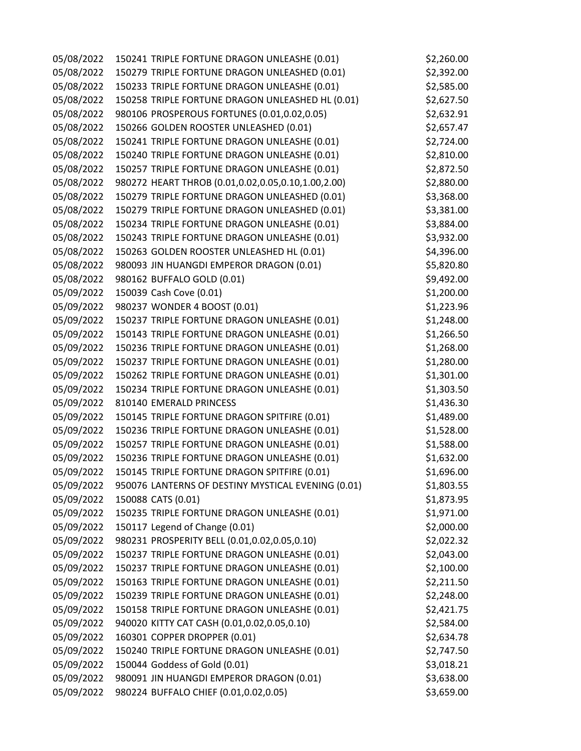| 05/08/2022 | 150241 TRIPLE FORTUNE DRAGON UNLEASHE (0.01)       | \$2,260.00 |
|------------|----------------------------------------------------|------------|
| 05/08/2022 | 150279 TRIPLE FORTUNE DRAGON UNLEASHED (0.01)      | \$2,392.00 |
| 05/08/2022 | 150233 TRIPLE FORTUNE DRAGON UNLEASHE (0.01)       | \$2,585.00 |
| 05/08/2022 | 150258 TRIPLE FORTUNE DRAGON UNLEASHED HL (0.01)   | \$2,627.50 |
| 05/08/2022 | 980106 PROSPEROUS FORTUNES (0.01,0.02,0.05)        | \$2,632.91 |
| 05/08/2022 | 150266 GOLDEN ROOSTER UNLEASHED (0.01)             | \$2,657.47 |
| 05/08/2022 | 150241 TRIPLE FORTUNE DRAGON UNLEASHE (0.01)       | \$2,724.00 |
| 05/08/2022 | 150240 TRIPLE FORTUNE DRAGON UNLEASHE (0.01)       | \$2,810.00 |
| 05/08/2022 | 150257 TRIPLE FORTUNE DRAGON UNLEASHE (0.01)       | \$2,872.50 |
| 05/08/2022 | 980272 HEART THROB (0.01,0.02,0.05,0.10,1.00,2.00) | \$2,880.00 |
| 05/08/2022 | 150279 TRIPLE FORTUNE DRAGON UNLEASHED (0.01)      | \$3,368.00 |
| 05/08/2022 | 150279 TRIPLE FORTUNE DRAGON UNLEASHED (0.01)      | \$3,381.00 |
| 05/08/2022 | 150234 TRIPLE FORTUNE DRAGON UNLEASHE (0.01)       | \$3,884.00 |
| 05/08/2022 | 150243 TRIPLE FORTUNE DRAGON UNLEASHE (0.01)       | \$3,932.00 |
| 05/08/2022 | 150263 GOLDEN ROOSTER UNLEASHED HL (0.01)          | \$4,396.00 |
| 05/08/2022 | 980093 JIN HUANGDI EMPEROR DRAGON (0.01)           | \$5,820.80 |
| 05/08/2022 | 980162 BUFFALO GOLD (0.01)                         | \$9,492.00 |
| 05/09/2022 | 150039 Cash Cove (0.01)                            | \$1,200.00 |
| 05/09/2022 | 980237 WONDER 4 BOOST (0.01)                       | \$1,223.96 |
| 05/09/2022 | 150237 TRIPLE FORTUNE DRAGON UNLEASHE (0.01)       | \$1,248.00 |
| 05/09/2022 | 150143 TRIPLE FORTUNE DRAGON UNLEASHE (0.01)       | \$1,266.50 |
| 05/09/2022 | 150236 TRIPLE FORTUNE DRAGON UNLEASHE (0.01)       | \$1,268.00 |
| 05/09/2022 | 150237 TRIPLE FORTUNE DRAGON UNLEASHE (0.01)       | \$1,280.00 |
| 05/09/2022 | 150262 TRIPLE FORTUNE DRAGON UNLEASHE (0.01)       | \$1,301.00 |
| 05/09/2022 | 150234 TRIPLE FORTUNE DRAGON UNLEASHE (0.01)       | \$1,303.50 |
| 05/09/2022 | 810140 EMERALD PRINCESS                            | \$1,436.30 |
| 05/09/2022 | 150145 TRIPLE FORTUNE DRAGON SPITFIRE (0.01)       | \$1,489.00 |
| 05/09/2022 | 150236 TRIPLE FORTUNE DRAGON UNLEASHE (0.01)       | \$1,528.00 |
| 05/09/2022 | 150257 TRIPLE FORTUNE DRAGON UNLEASHE (0.01)       | \$1,588.00 |
| 05/09/2022 | 150236 TRIPLE FORTUNE DRAGON UNLEASHE (0.01)       | \$1,632.00 |
| 05/09/2022 | 150145 TRIPLE FORTUNE DRAGON SPITFIRE (0.01)       | \$1,696.00 |
| 05/09/2022 | 950076 LANTERNS OF DESTINY MYSTICAL EVENING (0.01) | \$1,803.55 |
| 05/09/2022 | 150088 CATS (0.01)                                 | \$1,873.95 |
| 05/09/2022 | 150235 TRIPLE FORTUNE DRAGON UNLEASHE (0.01)       | \$1,971.00 |
| 05/09/2022 | 150117 Legend of Change (0.01)                     | \$2,000.00 |
| 05/09/2022 | 980231 PROSPERITY BELL (0.01,0.02,0.05,0.10)       | \$2,022.32 |
| 05/09/2022 | 150237 TRIPLE FORTUNE DRAGON UNLEASHE (0.01)       | \$2,043.00 |
| 05/09/2022 | 150237 TRIPLE FORTUNE DRAGON UNLEASHE (0.01)       | \$2,100.00 |
| 05/09/2022 | 150163 TRIPLE FORTUNE DRAGON UNLEASHE (0.01)       | \$2,211.50 |
| 05/09/2022 | 150239 TRIPLE FORTUNE DRAGON UNLEASHE (0.01)       | \$2,248.00 |
| 05/09/2022 | 150158 TRIPLE FORTUNE DRAGON UNLEASHE (0.01)       | \$2,421.75 |
| 05/09/2022 | 940020 KITTY CAT CASH (0.01,0.02,0.05,0.10)        | \$2,584.00 |
| 05/09/2022 | 160301 COPPER DROPPER (0.01)                       | \$2,634.78 |
| 05/09/2022 | 150240 TRIPLE FORTUNE DRAGON UNLEASHE (0.01)       | \$2,747.50 |
| 05/09/2022 | 150044 Goddess of Gold (0.01)                      | \$3,018.21 |
| 05/09/2022 | 980091 JIN HUANGDI EMPEROR DRAGON (0.01)           | \$3,638.00 |
| 05/09/2022 | 980224 BUFFALO CHIEF (0.01,0.02,0.05)              | \$3,659.00 |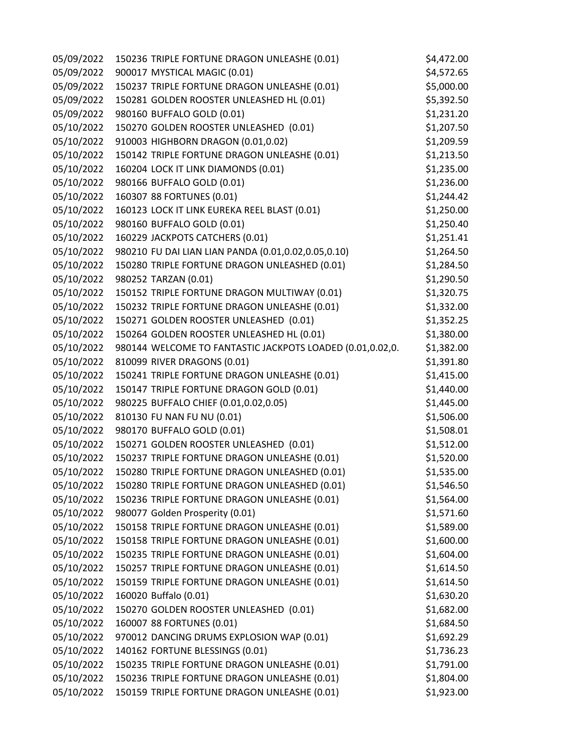| 05/09/2022 | 150236 TRIPLE FORTUNE DRAGON UNLEASHE (0.01)              | \$4,472.00 |
|------------|-----------------------------------------------------------|------------|
| 05/09/2022 | 900017 MYSTICAL MAGIC (0.01)                              | \$4,572.65 |
| 05/09/2022 | 150237 TRIPLE FORTUNE DRAGON UNLEASHE (0.01)              | \$5,000.00 |
| 05/09/2022 | 150281 GOLDEN ROOSTER UNLEASHED HL (0.01)                 | \$5,392.50 |
| 05/09/2022 | 980160 BUFFALO GOLD (0.01)                                | \$1,231.20 |
| 05/10/2022 | 150270 GOLDEN ROOSTER UNLEASHED (0.01)                    | \$1,207.50 |
| 05/10/2022 | 910003 HIGHBORN DRAGON (0.01,0.02)                        | \$1,209.59 |
| 05/10/2022 | 150142 TRIPLE FORTUNE DRAGON UNLEASHE (0.01)              | \$1,213.50 |
| 05/10/2022 | 160204 LOCK IT LINK DIAMONDS (0.01)                       | \$1,235.00 |
| 05/10/2022 | 980166 BUFFALO GOLD (0.01)                                | \$1,236.00 |
| 05/10/2022 | 160307 88 FORTUNES (0.01)                                 | \$1,244.42 |
| 05/10/2022 | 160123 LOCK IT LINK EUREKA REEL BLAST (0.01)              | \$1,250.00 |
| 05/10/2022 | 980160 BUFFALO GOLD (0.01)                                | \$1,250.40 |
| 05/10/2022 | 160229 JACKPOTS CATCHERS (0.01)                           | \$1,251.41 |
| 05/10/2022 | 980210 FU DAI LIAN LIAN PANDA (0.01,0.02,0.05,0.10)       | \$1,264.50 |
| 05/10/2022 | 150280 TRIPLE FORTUNE DRAGON UNLEASHED (0.01)             | \$1,284.50 |
| 05/10/2022 | 980252 TARZAN (0.01)                                      | \$1,290.50 |
| 05/10/2022 | 150152 TRIPLE FORTUNE DRAGON MULTIWAY (0.01)              | \$1,320.75 |
| 05/10/2022 | 150232 TRIPLE FORTUNE DRAGON UNLEASHE (0.01)              | \$1,332.00 |
| 05/10/2022 | 150271 GOLDEN ROOSTER UNLEASHED (0.01)                    | \$1,352.25 |
| 05/10/2022 | 150264 GOLDEN ROOSTER UNLEASHED HL (0.01)                 | \$1,380.00 |
| 05/10/2022 | 980144 WELCOME TO FANTASTIC JACKPOTS LOADED (0.01,0.02,0. | \$1,382.00 |
| 05/10/2022 | 810099 RIVER DRAGONS (0.01)                               | \$1,391.80 |
| 05/10/2022 | 150241 TRIPLE FORTUNE DRAGON UNLEASHE (0.01)              | \$1,415.00 |
| 05/10/2022 | 150147 TRIPLE FORTUNE DRAGON GOLD (0.01)                  | \$1,440.00 |
| 05/10/2022 | 980225 BUFFALO CHIEF (0.01,0.02,0.05)                     | \$1,445.00 |
| 05/10/2022 | 810130 FU NAN FU NU (0.01)                                | \$1,506.00 |
| 05/10/2022 | 980170 BUFFALO GOLD (0.01)                                | \$1,508.01 |
| 05/10/2022 | 150271 GOLDEN ROOSTER UNLEASHED (0.01)                    | \$1,512.00 |
| 05/10/2022 | 150237 TRIPLE FORTUNE DRAGON UNLEASHE (0.01)              | \$1,520.00 |
| 05/10/2022 | 150280 TRIPLE FORTUNE DRAGON UNLEASHED (0.01)             | \$1,535.00 |
| 05/10/2022 | 150280 TRIPLE FORTUNE DRAGON UNLEASHED (0.01)             | \$1,546.50 |
| 05/10/2022 | 150236 TRIPLE FORTUNE DRAGON UNLEASHE (0.01)              | \$1,564.00 |
| 05/10/2022 | 980077 Golden Prosperity (0.01)                           | \$1,571.60 |
| 05/10/2022 | 150158 TRIPLE FORTUNE DRAGON UNLEASHE (0.01)              | \$1,589.00 |
| 05/10/2022 | 150158 TRIPLE FORTUNE DRAGON UNLEASHE (0.01)              | \$1,600.00 |
| 05/10/2022 | 150235 TRIPLE FORTUNE DRAGON UNLEASHE (0.01)              | \$1,604.00 |
| 05/10/2022 | 150257 TRIPLE FORTUNE DRAGON UNLEASHE (0.01)              | \$1,614.50 |
| 05/10/2022 | 150159 TRIPLE FORTUNE DRAGON UNLEASHE (0.01)              | \$1,614.50 |
| 05/10/2022 | 160020 Buffalo (0.01)                                     | \$1,630.20 |
| 05/10/2022 | 150270 GOLDEN ROOSTER UNLEASHED (0.01)                    | \$1,682.00 |
| 05/10/2022 | 160007 88 FORTUNES (0.01)                                 | \$1,684.50 |
| 05/10/2022 | 970012 DANCING DRUMS EXPLOSION WAP (0.01)                 | \$1,692.29 |
| 05/10/2022 | 140162 FORTUNE BLESSINGS (0.01)                           | \$1,736.23 |
| 05/10/2022 | 150235 TRIPLE FORTUNE DRAGON UNLEASHE (0.01)              | \$1,791.00 |
| 05/10/2022 | 150236 TRIPLE FORTUNE DRAGON UNLEASHE (0.01)              | \$1,804.00 |
| 05/10/2022 | 150159 TRIPLE FORTUNE DRAGON UNLEASHE (0.01)              | \$1,923.00 |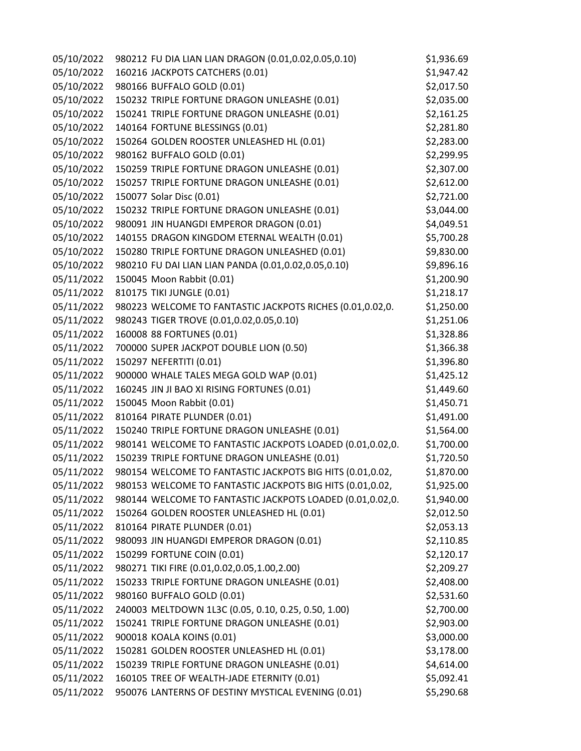| 05/10/2022 | 980212 FU DIA LIAN LIAN DRAGON (0.01,0.02,0.05,0.10)      | \$1,936.69 |
|------------|-----------------------------------------------------------|------------|
| 05/10/2022 | 160216 JACKPOTS CATCHERS (0.01)                           | \$1,947.42 |
| 05/10/2022 | 980166 BUFFALO GOLD (0.01)                                | \$2,017.50 |
| 05/10/2022 | 150232 TRIPLE FORTUNE DRAGON UNLEASHE (0.01)              | \$2,035.00 |
| 05/10/2022 | 150241 TRIPLE FORTUNE DRAGON UNLEASHE (0.01)              | \$2,161.25 |
| 05/10/2022 | 140164 FORTUNE BLESSINGS (0.01)                           | \$2,281.80 |
| 05/10/2022 | 150264 GOLDEN ROOSTER UNLEASHED HL (0.01)                 | \$2,283.00 |
| 05/10/2022 | 980162 BUFFALO GOLD (0.01)                                | \$2,299.95 |
| 05/10/2022 | 150259 TRIPLE FORTUNE DRAGON UNLEASHE (0.01)              | \$2,307.00 |
| 05/10/2022 | 150257 TRIPLE FORTUNE DRAGON UNLEASHE (0.01)              | \$2,612.00 |
| 05/10/2022 | 150077 Solar Disc (0.01)                                  | \$2,721.00 |
| 05/10/2022 | 150232 TRIPLE FORTUNE DRAGON UNLEASHE (0.01)              | \$3,044.00 |
| 05/10/2022 | 980091 JIN HUANGDI EMPEROR DRAGON (0.01)                  | \$4,049.51 |
| 05/10/2022 | 140155 DRAGON KINGDOM ETERNAL WEALTH (0.01)               | \$5,700.28 |
| 05/10/2022 | 150280 TRIPLE FORTUNE DRAGON UNLEASHED (0.01)             | \$9,830.00 |
| 05/10/2022 | 980210 FU DAI LIAN LIAN PANDA (0.01,0.02,0.05,0.10)       | \$9,896.16 |
| 05/11/2022 | 150045 Moon Rabbit (0.01)                                 | \$1,200.90 |
| 05/11/2022 | 810175 TIKI JUNGLE (0.01)                                 | \$1,218.17 |
| 05/11/2022 | 980223 WELCOME TO FANTASTIC JACKPOTS RICHES (0.01,0.02,0. | \$1,250.00 |
| 05/11/2022 | 980243 TIGER TROVE (0.01,0.02,0.05,0.10)                  | \$1,251.06 |
| 05/11/2022 | 160008 88 FORTUNES (0.01)                                 | \$1,328.86 |
| 05/11/2022 | 700000 SUPER JACKPOT DOUBLE LION (0.50)                   | \$1,366.38 |
| 05/11/2022 | 150297 NEFERTITI (0.01)                                   | \$1,396.80 |
| 05/11/2022 | 900000 WHALE TALES MEGA GOLD WAP (0.01)                   | \$1,425.12 |
| 05/11/2022 | 160245 JIN JI BAO XI RISING FORTUNES (0.01)               | \$1,449.60 |
| 05/11/2022 | 150045 Moon Rabbit (0.01)                                 | \$1,450.71 |
| 05/11/2022 | 810164 PIRATE PLUNDER (0.01)                              | \$1,491.00 |
| 05/11/2022 | 150240 TRIPLE FORTUNE DRAGON UNLEASHE (0.01)              | \$1,564.00 |
| 05/11/2022 | 980141 WELCOME TO FANTASTIC JACKPOTS LOADED (0.01,0.02,0. | \$1,700.00 |
| 05/11/2022 | 150239 TRIPLE FORTUNE DRAGON UNLEASHE (0.01)              | \$1,720.50 |
| 05/11/2022 | 980154 WELCOME TO FANTASTIC JACKPOTS BIG HITS (0.01,0.02, | \$1,870.00 |
| 05/11/2022 | 980153 WELCOME TO FANTASTIC JACKPOTS BIG HITS (0.01,0.02, | \$1,925.00 |
| 05/11/2022 | 980144 WELCOME TO FANTASTIC JACKPOTS LOADED (0.01,0.02,0. | \$1,940.00 |
| 05/11/2022 | 150264 GOLDEN ROOSTER UNLEASHED HL (0.01)                 | \$2,012.50 |
| 05/11/2022 | 810164 PIRATE PLUNDER (0.01)                              | \$2,053.13 |
| 05/11/2022 | 980093 JIN HUANGDI EMPEROR DRAGON (0.01)                  | \$2,110.85 |
| 05/11/2022 | 150299 FORTUNE COIN (0.01)                                | \$2,120.17 |
| 05/11/2022 | 980271 TIKI FIRE (0.01,0.02,0.05,1.00,2.00)               | \$2,209.27 |
| 05/11/2022 | 150233 TRIPLE FORTUNE DRAGON UNLEASHE (0.01)              | \$2,408.00 |
| 05/11/2022 | 980160 BUFFALO GOLD (0.01)                                | \$2,531.60 |
| 05/11/2022 | 240003 MELTDOWN 1L3C (0.05, 0.10, 0.25, 0.50, 1.00)       | \$2,700.00 |
| 05/11/2022 | 150241 TRIPLE FORTUNE DRAGON UNLEASHE (0.01)              | \$2,903.00 |
| 05/11/2022 | 900018 KOALA KOINS (0.01)                                 | \$3,000.00 |
| 05/11/2022 | 150281 GOLDEN ROOSTER UNLEASHED HL (0.01)                 | \$3,178.00 |
| 05/11/2022 | 150239 TRIPLE FORTUNE DRAGON UNLEASHE (0.01)              | \$4,614.00 |
| 05/11/2022 | 160105 TREE OF WEALTH-JADE ETERNITY (0.01)                | \$5,092.41 |
| 05/11/2022 | 950076 LANTERNS OF DESTINY MYSTICAL EVENING (0.01)        | \$5,290.68 |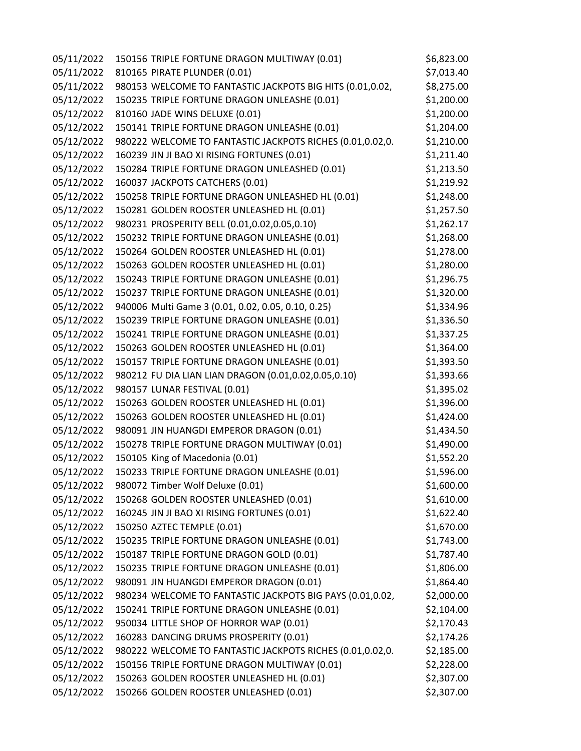| 05/11/2022 | 150156 TRIPLE FORTUNE DRAGON MULTIWAY (0.01)              | \$6,823.00 |
|------------|-----------------------------------------------------------|------------|
| 05/11/2022 | 810165 PIRATE PLUNDER (0.01)                              | \$7,013.40 |
| 05/11/2022 | 980153 WELCOME TO FANTASTIC JACKPOTS BIG HITS (0.01,0.02, | \$8,275.00 |
| 05/12/2022 | 150235 TRIPLE FORTUNE DRAGON UNLEASHE (0.01)              | \$1,200.00 |
| 05/12/2022 | 810160 JADE WINS DELUXE (0.01)                            | \$1,200.00 |
| 05/12/2022 | 150141 TRIPLE FORTUNE DRAGON UNLEASHE (0.01)              | \$1,204.00 |
| 05/12/2022 | 980222 WELCOME TO FANTASTIC JACKPOTS RICHES (0.01,0.02,0. | \$1,210.00 |
| 05/12/2022 | 160239 JIN JI BAO XI RISING FORTUNES (0.01)               | \$1,211.40 |
| 05/12/2022 | 150284 TRIPLE FORTUNE DRAGON UNLEASHED (0.01)             | \$1,213.50 |
| 05/12/2022 | 160037 JACKPOTS CATCHERS (0.01)                           | \$1,219.92 |
| 05/12/2022 | 150258 TRIPLE FORTUNE DRAGON UNLEASHED HL (0.01)          | \$1,248.00 |
| 05/12/2022 | 150281 GOLDEN ROOSTER UNLEASHED HL (0.01)                 | \$1,257.50 |
| 05/12/2022 | 980231 PROSPERITY BELL (0.01,0.02,0.05,0.10)              | \$1,262.17 |
| 05/12/2022 | 150232 TRIPLE FORTUNE DRAGON UNLEASHE (0.01)              | \$1,268.00 |
| 05/12/2022 | 150264 GOLDEN ROOSTER UNLEASHED HL (0.01)                 | \$1,278.00 |
| 05/12/2022 | 150263 GOLDEN ROOSTER UNLEASHED HL (0.01)                 | \$1,280.00 |
| 05/12/2022 | 150243 TRIPLE FORTUNE DRAGON UNLEASHE (0.01)              | \$1,296.75 |
| 05/12/2022 | 150237 TRIPLE FORTUNE DRAGON UNLEASHE (0.01)              | \$1,320.00 |
| 05/12/2022 | 940006 Multi Game 3 (0.01, 0.02, 0.05, 0.10, 0.25)        | \$1,334.96 |
| 05/12/2022 | 150239 TRIPLE FORTUNE DRAGON UNLEASHE (0.01)              | \$1,336.50 |
| 05/12/2022 | 150241 TRIPLE FORTUNE DRAGON UNLEASHE (0.01)              | \$1,337.25 |
| 05/12/2022 | 150263 GOLDEN ROOSTER UNLEASHED HL (0.01)                 | \$1,364.00 |
| 05/12/2022 | 150157 TRIPLE FORTUNE DRAGON UNLEASHE (0.01)              | \$1,393.50 |
| 05/12/2022 | 980212 FU DIA LIAN LIAN DRAGON (0.01,0.02,0.05,0.10)      | \$1,393.66 |
| 05/12/2022 | 980157 LUNAR FESTIVAL (0.01)                              | \$1,395.02 |
| 05/12/2022 | 150263 GOLDEN ROOSTER UNLEASHED HL (0.01)                 | \$1,396.00 |
| 05/12/2022 | 150263 GOLDEN ROOSTER UNLEASHED HL (0.01)                 | \$1,424.00 |
| 05/12/2022 | 980091 JIN HUANGDI EMPEROR DRAGON (0.01)                  | \$1,434.50 |
| 05/12/2022 | 150278 TRIPLE FORTUNE DRAGON MULTIWAY (0.01)              | \$1,490.00 |
| 05/12/2022 | 150105 King of Macedonia (0.01)                           | \$1,552.20 |
| 05/12/2022 | 150233 TRIPLE FORTUNE DRAGON UNLEASHE (0.01)              | \$1,596.00 |
| 05/12/2022 | 980072 Timber Wolf Deluxe (0.01)                          | \$1,600.00 |
| 05/12/2022 | 150268 GOLDEN ROOSTER UNLEASHED (0.01)                    | \$1,610.00 |
| 05/12/2022 | 160245 JIN JI BAO XI RISING FORTUNES (0.01)               | \$1,622.40 |
| 05/12/2022 | 150250 AZTEC TEMPLE (0.01)                                | \$1,670.00 |
| 05/12/2022 | 150235 TRIPLE FORTUNE DRAGON UNLEASHE (0.01)              | \$1,743.00 |
| 05/12/2022 | 150187 TRIPLE FORTUNE DRAGON GOLD (0.01)                  | \$1,787.40 |
| 05/12/2022 | 150235 TRIPLE FORTUNE DRAGON UNLEASHE (0.01)              | \$1,806.00 |
| 05/12/2022 | 980091 JIN HUANGDI EMPEROR DRAGON (0.01)                  | \$1,864.40 |
| 05/12/2022 | 980234 WELCOME TO FANTASTIC JACKPOTS BIG PAYS (0.01,0.02, | \$2,000.00 |
| 05/12/2022 | 150241 TRIPLE FORTUNE DRAGON UNLEASHE (0.01)              | \$2,104.00 |
| 05/12/2022 | 950034 LITTLE SHOP OF HORROR WAP (0.01)                   | \$2,170.43 |
| 05/12/2022 | 160283 DANCING DRUMS PROSPERITY (0.01)                    | \$2,174.26 |
| 05/12/2022 | 980222 WELCOME TO FANTASTIC JACKPOTS RICHES (0.01,0.02,0. | \$2,185.00 |
| 05/12/2022 | 150156 TRIPLE FORTUNE DRAGON MULTIWAY (0.01)              | \$2,228.00 |
| 05/12/2022 | 150263 GOLDEN ROOSTER UNLEASHED HL (0.01)                 | \$2,307.00 |
| 05/12/2022 | 150266 GOLDEN ROOSTER UNLEASHED (0.01)                    | \$2,307.00 |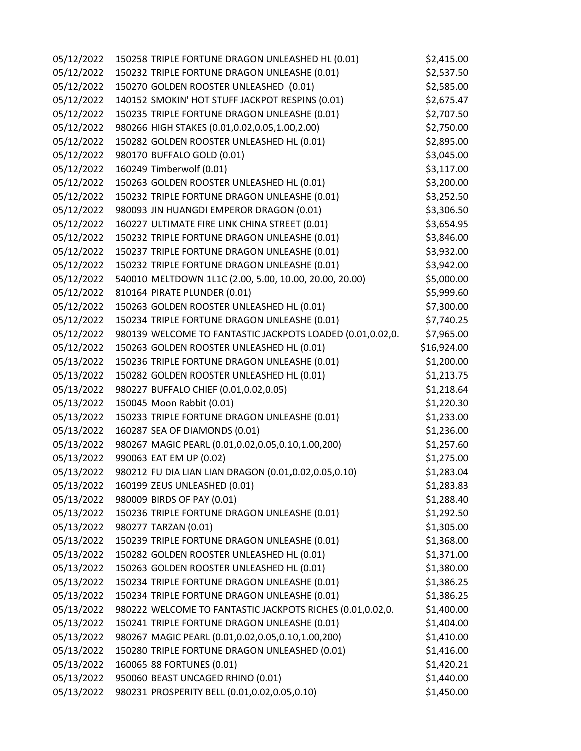| 05/12/2022 | 150258 TRIPLE FORTUNE DRAGON UNLEASHED HL (0.01)          | \$2,415.00  |
|------------|-----------------------------------------------------------|-------------|
| 05/12/2022 | 150232 TRIPLE FORTUNE DRAGON UNLEASHE (0.01)              | \$2,537.50  |
| 05/12/2022 | 150270 GOLDEN ROOSTER UNLEASHED (0.01)                    | \$2,585.00  |
| 05/12/2022 | 140152 SMOKIN' HOT STUFF JACKPOT RESPINS (0.01)           | \$2,675.47  |
| 05/12/2022 | 150235 TRIPLE FORTUNE DRAGON UNLEASHE (0.01)              | \$2,707.50  |
| 05/12/2022 | 980266 HIGH STAKES (0.01,0.02,0.05,1.00,2.00)             | \$2,750.00  |
| 05/12/2022 | 150282 GOLDEN ROOSTER UNLEASHED HL (0.01)                 | \$2,895.00  |
| 05/12/2022 | 980170 BUFFALO GOLD (0.01)                                | \$3,045.00  |
| 05/12/2022 | 160249 Timberwolf (0.01)                                  | \$3,117.00  |
| 05/12/2022 | 150263 GOLDEN ROOSTER UNLEASHED HL (0.01)                 | \$3,200.00  |
| 05/12/2022 | 150232 TRIPLE FORTUNE DRAGON UNLEASHE (0.01)              | \$3,252.50  |
| 05/12/2022 | 980093 JIN HUANGDI EMPEROR DRAGON (0.01)                  | \$3,306.50  |
| 05/12/2022 | 160227 ULTIMATE FIRE LINK CHINA STREET (0.01)             | \$3,654.95  |
| 05/12/2022 | 150232 TRIPLE FORTUNE DRAGON UNLEASHE (0.01)              | \$3,846.00  |
| 05/12/2022 | 150237 TRIPLE FORTUNE DRAGON UNLEASHE (0.01)              | \$3,932.00  |
| 05/12/2022 | 150232 TRIPLE FORTUNE DRAGON UNLEASHE (0.01)              | \$3,942.00  |
| 05/12/2022 | 540010 MELTDOWN 1L1C (2.00, 5.00, 10.00, 20.00, 20.00)    | \$5,000.00  |
| 05/12/2022 | 810164 PIRATE PLUNDER (0.01)                              | \$5,999.60  |
| 05/12/2022 | 150263 GOLDEN ROOSTER UNLEASHED HL (0.01)                 | \$7,300.00  |
| 05/12/2022 | 150234 TRIPLE FORTUNE DRAGON UNLEASHE (0.01)              | \$7,740.25  |
| 05/12/2022 | 980139 WELCOME TO FANTASTIC JACKPOTS LOADED (0.01,0.02,0. | \$7,965.00  |
| 05/12/2022 | 150263 GOLDEN ROOSTER UNLEASHED HL (0.01)                 | \$16,924.00 |
| 05/13/2022 | 150236 TRIPLE FORTUNE DRAGON UNLEASHE (0.01)              | \$1,200.00  |
| 05/13/2022 | 150282 GOLDEN ROOSTER UNLEASHED HL (0.01)                 | \$1,213.75  |
| 05/13/2022 | 980227 BUFFALO CHIEF (0.01,0.02,0.05)                     | \$1,218.64  |
| 05/13/2022 | 150045 Moon Rabbit (0.01)                                 | \$1,220.30  |
| 05/13/2022 | 150233 TRIPLE FORTUNE DRAGON UNLEASHE (0.01)              | \$1,233.00  |
| 05/13/2022 | 160287 SEA OF DIAMONDS (0.01)                             | \$1,236.00  |
| 05/13/2022 | 980267 MAGIC PEARL (0.01,0.02,0.05,0.10,1.00,200)         | \$1,257.60  |
| 05/13/2022 | 990063 EAT EM UP (0.02)                                   | \$1,275.00  |
| 05/13/2022 | 980212 FU DIA LIAN LIAN DRAGON (0.01,0.02,0.05,0.10)      | \$1,283.04  |
| 05/13/2022 | 160199 ZEUS UNLEASHED (0.01)                              | \$1,283.83  |
| 05/13/2022 | 980009 BIRDS OF PAY (0.01)                                | \$1,288.40  |
| 05/13/2022 | 150236 TRIPLE FORTUNE DRAGON UNLEASHE (0.01)              | \$1,292.50  |
| 05/13/2022 | 980277 TARZAN (0.01)                                      | \$1,305.00  |
| 05/13/2022 | 150239 TRIPLE FORTUNE DRAGON UNLEASHE (0.01)              | \$1,368.00  |
| 05/13/2022 | 150282 GOLDEN ROOSTER UNLEASHED HL (0.01)                 | \$1,371.00  |
| 05/13/2022 | 150263 GOLDEN ROOSTER UNLEASHED HL (0.01)                 | \$1,380.00  |
| 05/13/2022 | 150234 TRIPLE FORTUNE DRAGON UNLEASHE (0.01)              | \$1,386.25  |
| 05/13/2022 | 150234 TRIPLE FORTUNE DRAGON UNLEASHE (0.01)              | \$1,386.25  |
| 05/13/2022 | 980222 WELCOME TO FANTASTIC JACKPOTS RICHES (0.01,0.02,0. | \$1,400.00  |
| 05/13/2022 | 150241 TRIPLE FORTUNE DRAGON UNLEASHE (0.01)              | \$1,404.00  |
| 05/13/2022 | 980267 MAGIC PEARL (0.01,0.02,0.05,0.10,1.00,200)         | \$1,410.00  |
| 05/13/2022 | 150280 TRIPLE FORTUNE DRAGON UNLEASHED (0.01)             | \$1,416.00  |
| 05/13/2022 | 160065 88 FORTUNES (0.01)                                 | \$1,420.21  |
| 05/13/2022 | 950060 BEAST UNCAGED RHINO (0.01)                         | \$1,440.00  |
| 05/13/2022 | 980231 PROSPERITY BELL (0.01,0.02,0.05,0.10)              | \$1,450.00  |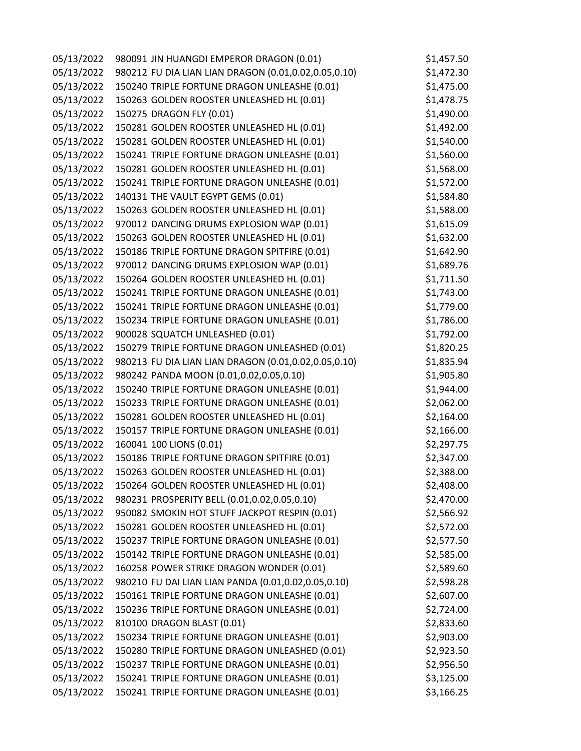| 05/13/2022 | 980091 JIN HUANGDI EMPEROR DRAGON (0.01)             | \$1,457.50 |
|------------|------------------------------------------------------|------------|
| 05/13/2022 | 980212 FU DIA LIAN LIAN DRAGON (0.01,0.02,0.05,0.10) | \$1,472.30 |
| 05/13/2022 | 150240 TRIPLE FORTUNE DRAGON UNLEASHE (0.01)         | \$1,475.00 |
| 05/13/2022 | 150263 GOLDEN ROOSTER UNLEASHED HL (0.01)            | \$1,478.75 |
| 05/13/2022 | 150275 DRAGON FLY (0.01)                             | \$1,490.00 |
| 05/13/2022 | 150281 GOLDEN ROOSTER UNLEASHED HL (0.01)            | \$1,492.00 |
| 05/13/2022 | 150281 GOLDEN ROOSTER UNLEASHED HL (0.01)            | \$1,540.00 |
| 05/13/2022 | 150241 TRIPLE FORTUNE DRAGON UNLEASHE (0.01)         | \$1,560.00 |
| 05/13/2022 | 150281 GOLDEN ROOSTER UNLEASHED HL (0.01)            | \$1,568.00 |
| 05/13/2022 | 150241 TRIPLE FORTUNE DRAGON UNLEASHE (0.01)         | \$1,572.00 |
| 05/13/2022 | 140131 THE VAULT EGYPT GEMS (0.01)                   | \$1,584.80 |
| 05/13/2022 | 150263 GOLDEN ROOSTER UNLEASHED HL (0.01)            | \$1,588.00 |
| 05/13/2022 | 970012 DANCING DRUMS EXPLOSION WAP (0.01)            | \$1,615.09 |
| 05/13/2022 | 150263 GOLDEN ROOSTER UNLEASHED HL (0.01)            | \$1,632.00 |
| 05/13/2022 | 150186 TRIPLE FORTUNE DRAGON SPITFIRE (0.01)         | \$1,642.90 |
| 05/13/2022 | 970012 DANCING DRUMS EXPLOSION WAP (0.01)            | \$1,689.76 |
| 05/13/2022 | 150264 GOLDEN ROOSTER UNLEASHED HL (0.01)            | \$1,711.50 |
| 05/13/2022 | 150241 TRIPLE FORTUNE DRAGON UNLEASHE (0.01)         | \$1,743.00 |
| 05/13/2022 | 150241 TRIPLE FORTUNE DRAGON UNLEASHE (0.01)         | \$1,779.00 |
| 05/13/2022 | 150234 TRIPLE FORTUNE DRAGON UNLEASHE (0.01)         | \$1,786.00 |
| 05/13/2022 | 900028 SQUATCH UNLEASHED (0.01)                      | \$1,792.00 |
| 05/13/2022 | 150279 TRIPLE FORTUNE DRAGON UNLEASHED (0.01)        | \$1,820.25 |
| 05/13/2022 | 980213 FU DIA LIAN LIAN DRAGON (0.01,0.02,0.05,0.10) | \$1,835.94 |
| 05/13/2022 | 980242 PANDA MOON (0.01,0.02,0.05,0.10)              | \$1,905.80 |
| 05/13/2022 | 150240 TRIPLE FORTUNE DRAGON UNLEASHE (0.01)         | \$1,944.00 |
| 05/13/2022 | 150233 TRIPLE FORTUNE DRAGON UNLEASHE (0.01)         | \$2,062.00 |
| 05/13/2022 | 150281 GOLDEN ROOSTER UNLEASHED HL (0.01)            | \$2,164.00 |
| 05/13/2022 | 150157 TRIPLE FORTUNE DRAGON UNLEASHE (0.01)         | \$2,166.00 |
| 05/13/2022 | 160041 100 LIONS (0.01)                              | \$2,297.75 |
| 05/13/2022 | 150186 TRIPLE FORTUNE DRAGON SPITFIRE (0.01)         | \$2,347.00 |
| 05/13/2022 | 150263 GOLDEN ROOSTER UNLEASHED HL (0.01)            | \$2,388.00 |
| 05/13/2022 | 150264 GOLDEN ROOSTER UNLEASHED HL (0.01)            | \$2,408.00 |
| 05/13/2022 | 980231 PROSPERITY BELL (0.01,0.02,0.05,0.10)         | \$2,470.00 |
| 05/13/2022 | 950082 SMOKIN HOT STUFF JACKPOT RESPIN (0.01)        | \$2,566.92 |
| 05/13/2022 | 150281 GOLDEN ROOSTER UNLEASHED HL (0.01)            | \$2,572.00 |
| 05/13/2022 | 150237 TRIPLE FORTUNE DRAGON UNLEASHE (0.01)         | \$2,577.50 |
| 05/13/2022 | 150142 TRIPLE FORTUNE DRAGON UNLEASHE (0.01)         | \$2,585.00 |
| 05/13/2022 | 160258 POWER STRIKE DRAGON WONDER (0.01)             | \$2,589.60 |
| 05/13/2022 | 980210 FU DAI LIAN LIAN PANDA (0.01,0.02,0.05,0.10)  | \$2,598.28 |
| 05/13/2022 | 150161 TRIPLE FORTUNE DRAGON UNLEASHE (0.01)         | \$2,607.00 |
| 05/13/2022 | 150236 TRIPLE FORTUNE DRAGON UNLEASHE (0.01)         | \$2,724.00 |
| 05/13/2022 | 810100 DRAGON BLAST (0.01)                           | \$2,833.60 |
| 05/13/2022 | 150234 TRIPLE FORTUNE DRAGON UNLEASHE (0.01)         | \$2,903.00 |
| 05/13/2022 | 150280 TRIPLE FORTUNE DRAGON UNLEASHED (0.01)        | \$2,923.50 |
| 05/13/2022 | 150237 TRIPLE FORTUNE DRAGON UNLEASHE (0.01)         | \$2,956.50 |
| 05/13/2022 | 150241 TRIPLE FORTUNE DRAGON UNLEASHE (0.01)         | \$3,125.00 |
| 05/13/2022 | 150241 TRIPLE FORTUNE DRAGON UNLEASHE (0.01)         | \$3,166.25 |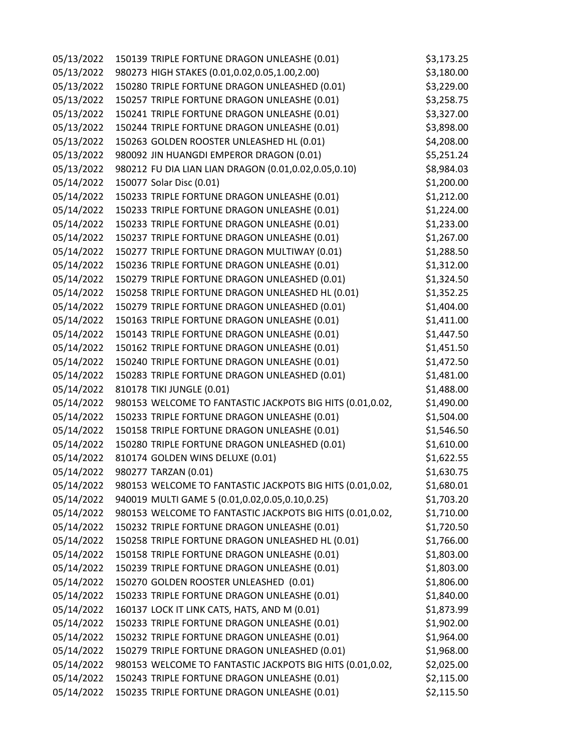| 05/13/2022 | 150139 TRIPLE FORTUNE DRAGON UNLEASHE (0.01)              | \$3,173.25 |
|------------|-----------------------------------------------------------|------------|
| 05/13/2022 | 980273 HIGH STAKES (0.01,0.02,0.05,1.00,2.00)             | \$3,180.00 |
| 05/13/2022 | 150280 TRIPLE FORTUNE DRAGON UNLEASHED (0.01)             | \$3,229.00 |
| 05/13/2022 | 150257 TRIPLE FORTUNE DRAGON UNLEASHE (0.01)              | \$3,258.75 |
| 05/13/2022 | 150241 TRIPLE FORTUNE DRAGON UNLEASHE (0.01)              | \$3,327.00 |
| 05/13/2022 | 150244 TRIPLE FORTUNE DRAGON UNLEASHE (0.01)              | \$3,898.00 |
| 05/13/2022 | 150263 GOLDEN ROOSTER UNLEASHED HL (0.01)                 | \$4,208.00 |
| 05/13/2022 | 980092 JIN HUANGDI EMPEROR DRAGON (0.01)                  | \$5,251.24 |
| 05/13/2022 | 980212 FU DIA LIAN LIAN DRAGON (0.01,0.02,0.05,0.10)      | \$8,984.03 |
| 05/14/2022 | 150077 Solar Disc (0.01)                                  | \$1,200.00 |
| 05/14/2022 | 150233 TRIPLE FORTUNE DRAGON UNLEASHE (0.01)              | \$1,212.00 |
| 05/14/2022 | 150233 TRIPLE FORTUNE DRAGON UNLEASHE (0.01)              | \$1,224.00 |
| 05/14/2022 | 150233 TRIPLE FORTUNE DRAGON UNLEASHE (0.01)              | \$1,233.00 |
| 05/14/2022 | 150237 TRIPLE FORTUNE DRAGON UNLEASHE (0.01)              | \$1,267.00 |
| 05/14/2022 | 150277 TRIPLE FORTUNE DRAGON MULTIWAY (0.01)              | \$1,288.50 |
| 05/14/2022 | 150236 TRIPLE FORTUNE DRAGON UNLEASHE (0.01)              | \$1,312.00 |
| 05/14/2022 | 150279 TRIPLE FORTUNE DRAGON UNLEASHED (0.01)             | \$1,324.50 |
| 05/14/2022 | 150258 TRIPLE FORTUNE DRAGON UNLEASHED HL (0.01)          | \$1,352.25 |
| 05/14/2022 | 150279 TRIPLE FORTUNE DRAGON UNLEASHED (0.01)             | \$1,404.00 |
| 05/14/2022 | 150163 TRIPLE FORTUNE DRAGON UNLEASHE (0.01)              | \$1,411.00 |
| 05/14/2022 | 150143 TRIPLE FORTUNE DRAGON UNLEASHE (0.01)              | \$1,447.50 |
| 05/14/2022 | 150162 TRIPLE FORTUNE DRAGON UNLEASHE (0.01)              | \$1,451.50 |
| 05/14/2022 | 150240 TRIPLE FORTUNE DRAGON UNLEASHE (0.01)              | \$1,472.50 |
| 05/14/2022 | 150283 TRIPLE FORTUNE DRAGON UNLEASHED (0.01)             | \$1,481.00 |
| 05/14/2022 | 810178 TIKI JUNGLE (0.01)                                 | \$1,488.00 |
| 05/14/2022 | 980153 WELCOME TO FANTASTIC JACKPOTS BIG HITS (0.01,0.02, | \$1,490.00 |
| 05/14/2022 | 150233 TRIPLE FORTUNE DRAGON UNLEASHE (0.01)              | \$1,504.00 |
| 05/14/2022 | 150158 TRIPLE FORTUNE DRAGON UNLEASHE (0.01)              | \$1,546.50 |
| 05/14/2022 | 150280 TRIPLE FORTUNE DRAGON UNLEASHED (0.01)             | \$1,610.00 |
| 05/14/2022 | 810174 GOLDEN WINS DELUXE (0.01)                          | \$1,622.55 |
| 05/14/2022 | 980277 TARZAN (0.01)                                      | \$1,630.75 |
| 05/14/2022 | 980153 WELCOME TO FANTASTIC JACKPOTS BIG HITS (0.01,0.02, | \$1,680.01 |
| 05/14/2022 | 940019 MULTI GAME 5 (0.01,0.02,0.05,0.10,0.25)            | \$1,703.20 |
| 05/14/2022 | 980153 WELCOME TO FANTASTIC JACKPOTS BIG HITS (0.01,0.02, | \$1,710.00 |
| 05/14/2022 | 150232 TRIPLE FORTUNE DRAGON UNLEASHE (0.01)              | \$1,720.50 |
| 05/14/2022 | 150258 TRIPLE FORTUNE DRAGON UNLEASHED HL (0.01)          | \$1,766.00 |
| 05/14/2022 | 150158 TRIPLE FORTUNE DRAGON UNLEASHE (0.01)              | \$1,803.00 |
| 05/14/2022 | 150239 TRIPLE FORTUNE DRAGON UNLEASHE (0.01)              | \$1,803.00 |
| 05/14/2022 | 150270 GOLDEN ROOSTER UNLEASHED (0.01)                    | \$1,806.00 |
| 05/14/2022 | 150233 TRIPLE FORTUNE DRAGON UNLEASHE (0.01)              | \$1,840.00 |
| 05/14/2022 | 160137 LOCK IT LINK CATS, HATS, AND M (0.01)              | \$1,873.99 |
| 05/14/2022 | 150233 TRIPLE FORTUNE DRAGON UNLEASHE (0.01)              | \$1,902.00 |
| 05/14/2022 | 150232 TRIPLE FORTUNE DRAGON UNLEASHE (0.01)              | \$1,964.00 |
| 05/14/2022 | 150279 TRIPLE FORTUNE DRAGON UNLEASHED (0.01)             | \$1,968.00 |
| 05/14/2022 | 980153 WELCOME TO FANTASTIC JACKPOTS BIG HITS (0.01,0.02, | \$2,025.00 |
| 05/14/2022 | 150243 TRIPLE FORTUNE DRAGON UNLEASHE (0.01)              | \$2,115.00 |
| 05/14/2022 | 150235 TRIPLE FORTUNE DRAGON UNLEASHE (0.01)              | \$2,115.50 |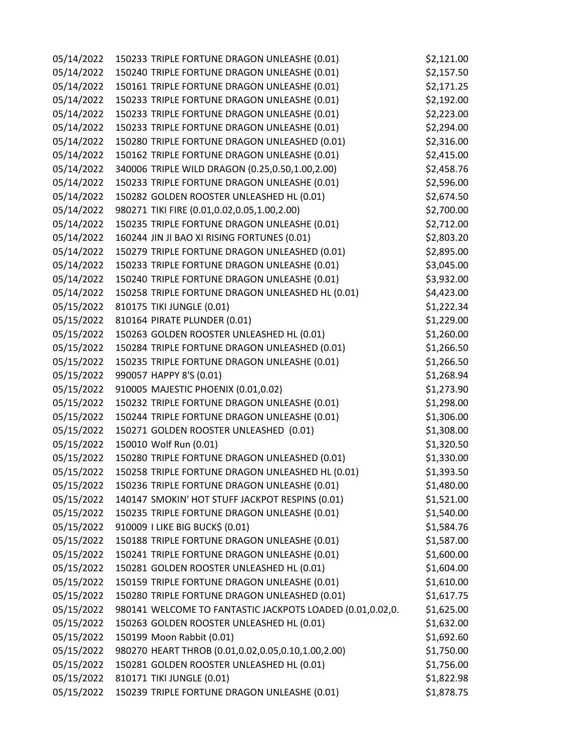| 05/14/2022 | 150233 TRIPLE FORTUNE DRAGON UNLEASHE (0.01)              | \$2,121.00 |
|------------|-----------------------------------------------------------|------------|
| 05/14/2022 | 150240 TRIPLE FORTUNE DRAGON UNLEASHE (0.01)              | \$2,157.50 |
| 05/14/2022 | 150161 TRIPLE FORTUNE DRAGON UNLEASHE (0.01)              | \$2,171.25 |
| 05/14/2022 | 150233 TRIPLE FORTUNE DRAGON UNLEASHE (0.01)              | \$2,192.00 |
| 05/14/2022 | 150233 TRIPLE FORTUNE DRAGON UNLEASHE (0.01)              | \$2,223.00 |
| 05/14/2022 | 150233 TRIPLE FORTUNE DRAGON UNLEASHE (0.01)              | \$2,294.00 |
| 05/14/2022 | 150280 TRIPLE FORTUNE DRAGON UNLEASHED (0.01)             | \$2,316.00 |
| 05/14/2022 | 150162 TRIPLE FORTUNE DRAGON UNLEASHE (0.01)              | \$2,415.00 |
| 05/14/2022 | 340006 TRIPLE WILD DRAGON (0.25,0.50,1.00,2.00)           | \$2,458.76 |
| 05/14/2022 | 150233 TRIPLE FORTUNE DRAGON UNLEASHE (0.01)              | \$2,596.00 |
| 05/14/2022 | 150282 GOLDEN ROOSTER UNLEASHED HL (0.01)                 | \$2,674.50 |
| 05/14/2022 | 980271 TIKI FIRE (0.01,0.02,0.05,1.00,2.00)               | \$2,700.00 |
| 05/14/2022 | 150235 TRIPLE FORTUNE DRAGON UNLEASHE (0.01)              | \$2,712.00 |
| 05/14/2022 | 160244 JIN JI BAO XI RISING FORTUNES (0.01)               | \$2,803.20 |
| 05/14/2022 | 150279 TRIPLE FORTUNE DRAGON UNLEASHED (0.01)             | \$2,895.00 |
| 05/14/2022 | 150233 TRIPLE FORTUNE DRAGON UNLEASHE (0.01)              | \$3,045.00 |
| 05/14/2022 | 150240 TRIPLE FORTUNE DRAGON UNLEASHE (0.01)              | \$3,932.00 |
| 05/14/2022 | 150258 TRIPLE FORTUNE DRAGON UNLEASHED HL (0.01)          | \$4,423.00 |
| 05/15/2022 | 810175 TIKI JUNGLE (0.01)                                 | \$1,222.34 |
| 05/15/2022 | 810164 PIRATE PLUNDER (0.01)                              | \$1,229.00 |
| 05/15/2022 | 150263 GOLDEN ROOSTER UNLEASHED HL (0.01)                 | \$1,260.00 |
| 05/15/2022 | 150284 TRIPLE FORTUNE DRAGON UNLEASHED (0.01)             | \$1,266.50 |
| 05/15/2022 | 150235 TRIPLE FORTUNE DRAGON UNLEASHE (0.01)              | \$1,266.50 |
| 05/15/2022 | 990057 HAPPY 8'S (0.01)                                   | \$1,268.94 |
| 05/15/2022 | 910005 MAJESTIC PHOENIX (0.01,0.02)                       | \$1,273.90 |
| 05/15/2022 | 150232 TRIPLE FORTUNE DRAGON UNLEASHE (0.01)              | \$1,298.00 |
| 05/15/2022 | 150244 TRIPLE FORTUNE DRAGON UNLEASHE (0.01)              | \$1,306.00 |
| 05/15/2022 | 150271 GOLDEN ROOSTER UNLEASHED (0.01)                    | \$1,308.00 |
| 05/15/2022 | 150010 Wolf Run (0.01)                                    | \$1,320.50 |
| 05/15/2022 | 150280 TRIPLE FORTUNE DRAGON UNLEASHED (0.01)             | \$1,330.00 |
| 05/15/2022 | 150258 TRIPLE FORTUNE DRAGON UNLEASHED HL (0.01)          | \$1,393.50 |
| 05/15/2022 | 150236 TRIPLE FORTUNE DRAGON UNLEASHE (0.01)              | \$1,480.00 |
| 05/15/2022 | 140147 SMOKIN' HOT STUFF JACKPOT RESPINS (0.01)           | \$1,521.00 |
| 05/15/2022 | 150235 TRIPLE FORTUNE DRAGON UNLEASHE (0.01)              | \$1,540.00 |
| 05/15/2022 | 910009 I LIKE BIG BUCK\$ (0.01)                           | \$1,584.76 |
| 05/15/2022 | 150188 TRIPLE FORTUNE DRAGON UNLEASHE (0.01)              | \$1,587.00 |
| 05/15/2022 | 150241 TRIPLE FORTUNE DRAGON UNLEASHE (0.01)              | \$1,600.00 |
| 05/15/2022 | 150281 GOLDEN ROOSTER UNLEASHED HL (0.01)                 | \$1,604.00 |
| 05/15/2022 | 150159 TRIPLE FORTUNE DRAGON UNLEASHE (0.01)              | \$1,610.00 |
| 05/15/2022 | 150280 TRIPLE FORTUNE DRAGON UNLEASHED (0.01)             | \$1,617.75 |
| 05/15/2022 | 980141 WELCOME TO FANTASTIC JACKPOTS LOADED (0.01,0.02,0. | \$1,625.00 |
| 05/15/2022 | 150263 GOLDEN ROOSTER UNLEASHED HL (0.01)                 | \$1,632.00 |
| 05/15/2022 | 150199 Moon Rabbit (0.01)                                 | \$1,692.60 |
| 05/15/2022 | 980270 HEART THROB (0.01,0.02,0.05,0.10,1.00,2.00)        | \$1,750.00 |
| 05/15/2022 | 150281 GOLDEN ROOSTER UNLEASHED HL (0.01)                 | \$1,756.00 |
| 05/15/2022 | 810171 TIKI JUNGLE (0.01)                                 | \$1,822.98 |
| 05/15/2022 | 150239 TRIPLE FORTUNE DRAGON UNLEASHE (0.01)              | \$1,878.75 |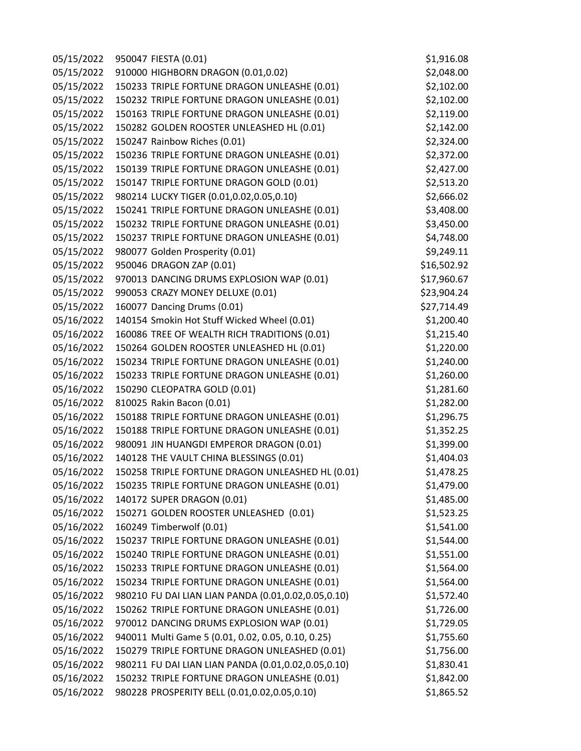| 05/15/2022 | 950047 FIESTA (0.01)                                | \$1,916.08  |
|------------|-----------------------------------------------------|-------------|
| 05/15/2022 | 910000 HIGHBORN DRAGON (0.01,0.02)                  | \$2,048.00  |
| 05/15/2022 | 150233 TRIPLE FORTUNE DRAGON UNLEASHE (0.01)        | \$2,102.00  |
| 05/15/2022 | 150232 TRIPLE FORTUNE DRAGON UNLEASHE (0.01)        | \$2,102.00  |
| 05/15/2022 | 150163 TRIPLE FORTUNE DRAGON UNLEASHE (0.01)        | \$2,119.00  |
| 05/15/2022 | 150282 GOLDEN ROOSTER UNLEASHED HL (0.01)           | \$2,142.00  |
| 05/15/2022 | 150247 Rainbow Riches (0.01)                        | \$2,324.00  |
| 05/15/2022 | 150236 TRIPLE FORTUNE DRAGON UNLEASHE (0.01)        | \$2,372.00  |
| 05/15/2022 | 150139 TRIPLE FORTUNE DRAGON UNLEASHE (0.01)        | \$2,427.00  |
| 05/15/2022 | 150147 TRIPLE FORTUNE DRAGON GOLD (0.01)            | \$2,513.20  |
| 05/15/2022 | 980214 LUCKY TIGER (0.01,0.02,0.05,0.10)            | \$2,666.02  |
| 05/15/2022 | 150241 TRIPLE FORTUNE DRAGON UNLEASHE (0.01)        | \$3,408.00  |
| 05/15/2022 | 150232 TRIPLE FORTUNE DRAGON UNLEASHE (0.01)        | \$3,450.00  |
| 05/15/2022 | 150237 TRIPLE FORTUNE DRAGON UNLEASHE (0.01)        | \$4,748.00  |
| 05/15/2022 | 980077 Golden Prosperity (0.01)                     | \$9,249.11  |
| 05/15/2022 | 950046 DRAGON ZAP (0.01)                            | \$16,502.92 |
| 05/15/2022 | 970013 DANCING DRUMS EXPLOSION WAP (0.01)           | \$17,960.67 |
| 05/15/2022 | 990053 CRAZY MONEY DELUXE (0.01)                    | \$23,904.24 |
| 05/15/2022 | 160077 Dancing Drums (0.01)                         | \$27,714.49 |
| 05/16/2022 | 140154 Smokin Hot Stuff Wicked Wheel (0.01)         | \$1,200.40  |
| 05/16/2022 | 160086 TREE OF WEALTH RICH TRADITIONS (0.01)        | \$1,215.40  |
| 05/16/2022 | 150264 GOLDEN ROOSTER UNLEASHED HL (0.01)           | \$1,220.00  |
| 05/16/2022 | 150234 TRIPLE FORTUNE DRAGON UNLEASHE (0.01)        | \$1,240.00  |
| 05/16/2022 | 150233 TRIPLE FORTUNE DRAGON UNLEASHE (0.01)        | \$1,260.00  |
| 05/16/2022 | 150290 CLEOPATRA GOLD (0.01)                        | \$1,281.60  |
| 05/16/2022 | 810025 Rakin Bacon (0.01)                           | \$1,282.00  |
| 05/16/2022 | 150188 TRIPLE FORTUNE DRAGON UNLEASHE (0.01)        | \$1,296.75  |
| 05/16/2022 | 150188 TRIPLE FORTUNE DRAGON UNLEASHE (0.01)        | \$1,352.25  |
| 05/16/2022 | 980091 JIN HUANGDI EMPEROR DRAGON (0.01)            | \$1,399.00  |
| 05/16/2022 | 140128 THE VAULT CHINA BLESSINGS (0.01)             | \$1,404.03  |
| 05/16/2022 | 150258 TRIPLE FORTUNE DRAGON UNLEASHED HL (0.01)    | \$1,478.25  |
| 05/16/2022 | 150235 TRIPLE FORTUNE DRAGON UNLEASHE (0.01)        | \$1,479.00  |
| 05/16/2022 | 140172 SUPER DRAGON (0.01)                          | \$1,485.00  |
| 05/16/2022 | 150271 GOLDEN ROOSTER UNLEASHED (0.01)              | \$1,523.25  |
| 05/16/2022 | 160249 Timberwolf (0.01)                            | \$1,541.00  |
| 05/16/2022 | 150237 TRIPLE FORTUNE DRAGON UNLEASHE (0.01)        | \$1,544.00  |
| 05/16/2022 | 150240 TRIPLE FORTUNE DRAGON UNLEASHE (0.01)        | \$1,551.00  |
| 05/16/2022 | 150233 TRIPLE FORTUNE DRAGON UNLEASHE (0.01)        | \$1,564.00  |
| 05/16/2022 | 150234 TRIPLE FORTUNE DRAGON UNLEASHE (0.01)        | \$1,564.00  |
| 05/16/2022 | 980210 FU DAI LIAN LIAN PANDA (0.01,0.02,0.05,0.10) | \$1,572.40  |
| 05/16/2022 | 150262 TRIPLE FORTUNE DRAGON UNLEASHE (0.01)        | \$1,726.00  |
| 05/16/2022 | 970012 DANCING DRUMS EXPLOSION WAP (0.01)           | \$1,729.05  |
| 05/16/2022 | 940011 Multi Game 5 (0.01, 0.02, 0.05, 0.10, 0.25)  | \$1,755.60  |
| 05/16/2022 | 150279 TRIPLE FORTUNE DRAGON UNLEASHED (0.01)       | \$1,756.00  |
| 05/16/2022 | 980211 FU DAI LIAN LIAN PANDA (0.01,0.02,0.05,0.10) | \$1,830.41  |
| 05/16/2022 | 150232 TRIPLE FORTUNE DRAGON UNLEASHE (0.01)        | \$1,842.00  |
| 05/16/2022 | 980228 PROSPERITY BELL (0.01,0.02,0.05,0.10)        | \$1,865.52  |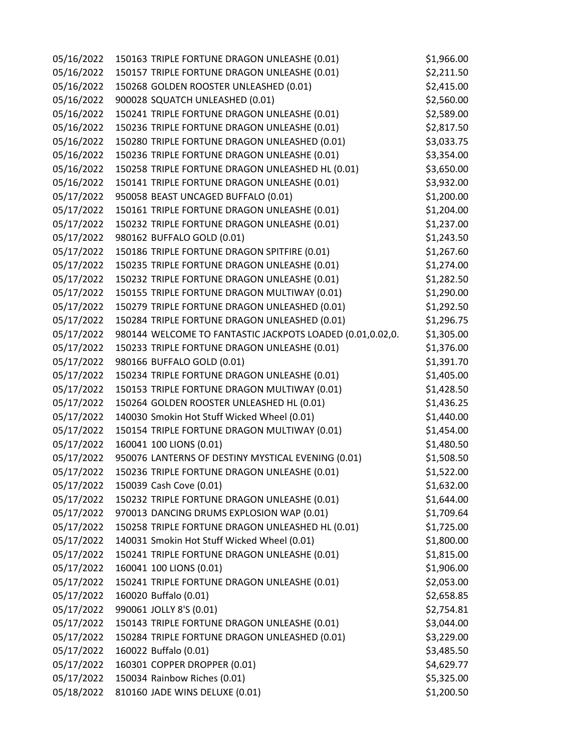| 05/16/2022 | 150163 TRIPLE FORTUNE DRAGON UNLEASHE (0.01)              | \$1,966.00 |
|------------|-----------------------------------------------------------|------------|
| 05/16/2022 | 150157 TRIPLE FORTUNE DRAGON UNLEASHE (0.01)              | \$2,211.50 |
| 05/16/2022 | 150268 GOLDEN ROOSTER UNLEASHED (0.01)                    | \$2,415.00 |
| 05/16/2022 | 900028 SQUATCH UNLEASHED (0.01)                           | \$2,560.00 |
| 05/16/2022 | 150241 TRIPLE FORTUNE DRAGON UNLEASHE (0.01)              | \$2,589.00 |
| 05/16/2022 | 150236 TRIPLE FORTUNE DRAGON UNLEASHE (0.01)              | \$2,817.50 |
| 05/16/2022 | 150280 TRIPLE FORTUNE DRAGON UNLEASHED (0.01)             | \$3,033.75 |
| 05/16/2022 | 150236 TRIPLE FORTUNE DRAGON UNLEASHE (0.01)              | \$3,354.00 |
| 05/16/2022 | 150258 TRIPLE FORTUNE DRAGON UNLEASHED HL (0.01)          | \$3,650.00 |
| 05/16/2022 | 150141 TRIPLE FORTUNE DRAGON UNLEASHE (0.01)              | \$3,932.00 |
| 05/17/2022 | 950058 BEAST UNCAGED BUFFALO (0.01)                       | \$1,200.00 |
| 05/17/2022 | 150161 TRIPLE FORTUNE DRAGON UNLEASHE (0.01)              | \$1,204.00 |
| 05/17/2022 | 150232 TRIPLE FORTUNE DRAGON UNLEASHE (0.01)              | \$1,237.00 |
| 05/17/2022 | 980162 BUFFALO GOLD (0.01)                                | \$1,243.50 |
| 05/17/2022 | 150186 TRIPLE FORTUNE DRAGON SPITFIRE (0.01)              | \$1,267.60 |
| 05/17/2022 | 150235 TRIPLE FORTUNE DRAGON UNLEASHE (0.01)              | \$1,274.00 |
| 05/17/2022 | 150232 TRIPLE FORTUNE DRAGON UNLEASHE (0.01)              | \$1,282.50 |
| 05/17/2022 | 150155 TRIPLE FORTUNE DRAGON MULTIWAY (0.01)              | \$1,290.00 |
| 05/17/2022 | 150279 TRIPLE FORTUNE DRAGON UNLEASHED (0.01)             | \$1,292.50 |
| 05/17/2022 | 150284 TRIPLE FORTUNE DRAGON UNLEASHED (0.01)             | \$1,296.75 |
| 05/17/2022 | 980144 WELCOME TO FANTASTIC JACKPOTS LOADED (0.01,0.02,0. | \$1,305.00 |
| 05/17/2022 | 150233 TRIPLE FORTUNE DRAGON UNLEASHE (0.01)              | \$1,376.00 |
| 05/17/2022 | 980166 BUFFALO GOLD (0.01)                                | \$1,391.70 |
| 05/17/2022 | 150234 TRIPLE FORTUNE DRAGON UNLEASHE (0.01)              | \$1,405.00 |
| 05/17/2022 | 150153 TRIPLE FORTUNE DRAGON MULTIWAY (0.01)              | \$1,428.50 |
| 05/17/2022 | 150264 GOLDEN ROOSTER UNLEASHED HL (0.01)                 | \$1,436.25 |
| 05/17/2022 | 140030 Smokin Hot Stuff Wicked Wheel (0.01)               | \$1,440.00 |
| 05/17/2022 | 150154 TRIPLE FORTUNE DRAGON MULTIWAY (0.01)              | \$1,454.00 |
| 05/17/2022 | 160041 100 LIONS (0.01)                                   | \$1,480.50 |
| 05/17/2022 | 950076 LANTERNS OF DESTINY MYSTICAL EVENING (0.01)        | \$1,508.50 |
| 05/17/2022 | 150236 TRIPLE FORTUNE DRAGON UNLEASHE (0.01)              | \$1,522.00 |
| 05/17/2022 | 150039 Cash Cove (0.01)                                   | \$1,632.00 |
| 05/17/2022 | 150232 TRIPLE FORTUNE DRAGON UNLEASHE (0.01)              | \$1,644.00 |
| 05/17/2022 | 970013 DANCING DRUMS EXPLOSION WAP (0.01)                 | \$1,709.64 |
| 05/17/2022 | 150258 TRIPLE FORTUNE DRAGON UNLEASHED HL (0.01)          | \$1,725.00 |
| 05/17/2022 | 140031 Smokin Hot Stuff Wicked Wheel (0.01)               | \$1,800.00 |
| 05/17/2022 | 150241 TRIPLE FORTUNE DRAGON UNLEASHE (0.01)              | \$1,815.00 |
| 05/17/2022 | 160041 100 LIONS (0.01)                                   | \$1,906.00 |
| 05/17/2022 | 150241 TRIPLE FORTUNE DRAGON UNLEASHE (0.01)              | \$2,053.00 |
| 05/17/2022 | 160020 Buffalo (0.01)                                     | \$2,658.85 |
| 05/17/2022 | 990061 JOLLY 8'S (0.01)                                   | \$2,754.81 |
| 05/17/2022 | 150143 TRIPLE FORTUNE DRAGON UNLEASHE (0.01)              | \$3,044.00 |
| 05/17/2022 | 150284 TRIPLE FORTUNE DRAGON UNLEASHED (0.01)             | \$3,229.00 |
| 05/17/2022 | 160022 Buffalo (0.01)                                     | \$3,485.50 |
| 05/17/2022 | 160301 COPPER DROPPER (0.01)                              | \$4,629.77 |
| 05/17/2022 | 150034 Rainbow Riches (0.01)                              | \$5,325.00 |
| 05/18/2022 | 810160 JADE WINS DELUXE (0.01)                            | \$1,200.50 |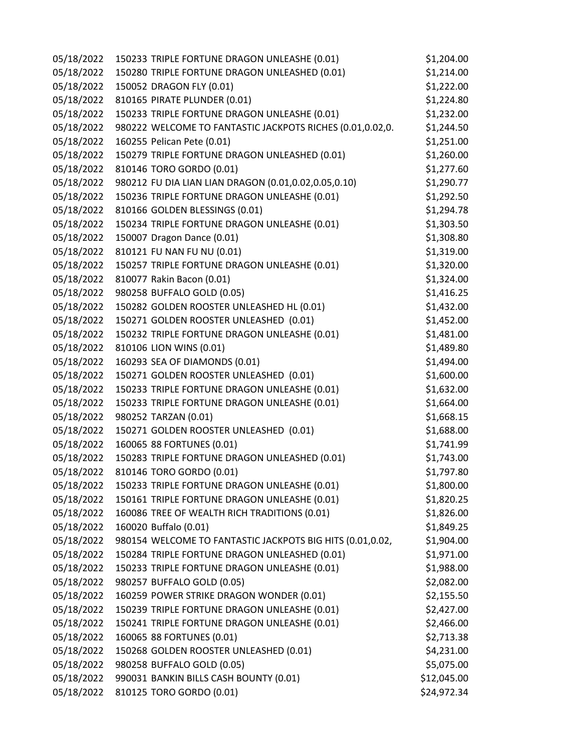| 05/18/2022 | 150233 TRIPLE FORTUNE DRAGON UNLEASHE (0.01)              | \$1,204.00  |
|------------|-----------------------------------------------------------|-------------|
| 05/18/2022 | 150280 TRIPLE FORTUNE DRAGON UNLEASHED (0.01)             | \$1,214.00  |
| 05/18/2022 | 150052 DRAGON FLY (0.01)                                  | \$1,222.00  |
| 05/18/2022 | 810165 PIRATE PLUNDER (0.01)                              | \$1,224.80  |
| 05/18/2022 | 150233 TRIPLE FORTUNE DRAGON UNLEASHE (0.01)              | \$1,232.00  |
| 05/18/2022 | 980222 WELCOME TO FANTASTIC JACKPOTS RICHES (0.01,0.02,0. | \$1,244.50  |
| 05/18/2022 | 160255 Pelican Pete (0.01)                                | \$1,251.00  |
| 05/18/2022 | 150279 TRIPLE FORTUNE DRAGON UNLEASHED (0.01)             | \$1,260.00  |
| 05/18/2022 | 810146 TORO GORDO (0.01)                                  | \$1,277.60  |
| 05/18/2022 | 980212 FU DIA LIAN LIAN DRAGON (0.01,0.02,0.05,0.10)      | \$1,290.77  |
| 05/18/2022 | 150236 TRIPLE FORTUNE DRAGON UNLEASHE (0.01)              | \$1,292.50  |
| 05/18/2022 | 810166 GOLDEN BLESSINGS (0.01)                            | \$1,294.78  |
| 05/18/2022 | 150234 TRIPLE FORTUNE DRAGON UNLEASHE (0.01)              | \$1,303.50  |
| 05/18/2022 | 150007 Dragon Dance (0.01)                                | \$1,308.80  |
| 05/18/2022 | 810121 FU NAN FU NU (0.01)                                | \$1,319.00  |
| 05/18/2022 | 150257 TRIPLE FORTUNE DRAGON UNLEASHE (0.01)              | \$1,320.00  |
| 05/18/2022 | 810077 Rakin Bacon (0.01)                                 | \$1,324.00  |
| 05/18/2022 | 980258 BUFFALO GOLD (0.05)                                | \$1,416.25  |
| 05/18/2022 | 150282 GOLDEN ROOSTER UNLEASHED HL (0.01)                 | \$1,432.00  |
| 05/18/2022 | 150271 GOLDEN ROOSTER UNLEASHED (0.01)                    | \$1,452.00  |
| 05/18/2022 | 150232 TRIPLE FORTUNE DRAGON UNLEASHE (0.01)              | \$1,481.00  |
| 05/18/2022 | 810106 LION WINS (0.01)                                   | \$1,489.80  |
| 05/18/2022 | 160293 SEA OF DIAMONDS (0.01)                             | \$1,494.00  |
| 05/18/2022 | 150271 GOLDEN ROOSTER UNLEASHED (0.01)                    | \$1,600.00  |
| 05/18/2022 | 150233 TRIPLE FORTUNE DRAGON UNLEASHE (0.01)              | \$1,632.00  |
| 05/18/2022 | 150233 TRIPLE FORTUNE DRAGON UNLEASHE (0.01)              | \$1,664.00  |
| 05/18/2022 | 980252 TARZAN (0.01)                                      | \$1,668.15  |
| 05/18/2022 | 150271 GOLDEN ROOSTER UNLEASHED (0.01)                    | \$1,688.00  |
| 05/18/2022 | 160065 88 FORTUNES (0.01)                                 | \$1,741.99  |
| 05/18/2022 | 150283 TRIPLE FORTUNE DRAGON UNLEASHED (0.01)             | \$1,743.00  |
| 05/18/2022 | 810146 TORO GORDO (0.01)                                  | \$1,797.80  |
| 05/18/2022 | 150233 TRIPLE FORTUNE DRAGON UNLEASHE (0.01)              | \$1,800.00  |
| 05/18/2022 | 150161 TRIPLE FORTUNE DRAGON UNLEASHE (0.01)              | \$1,820.25  |
| 05/18/2022 | 160086 TREE OF WEALTH RICH TRADITIONS (0.01)              | \$1,826.00  |
| 05/18/2022 | 160020 Buffalo (0.01)                                     | \$1,849.25  |
| 05/18/2022 | 980154 WELCOME TO FANTASTIC JACKPOTS BIG HITS (0.01,0.02, | \$1,904.00  |
| 05/18/2022 | 150284 TRIPLE FORTUNE DRAGON UNLEASHED (0.01)             | \$1,971.00  |
| 05/18/2022 | 150233 TRIPLE FORTUNE DRAGON UNLEASHE (0.01)              | \$1,988.00  |
| 05/18/2022 | 980257 BUFFALO GOLD (0.05)                                | \$2,082.00  |
| 05/18/2022 | 160259 POWER STRIKE DRAGON WONDER (0.01)                  | \$2,155.50  |
| 05/18/2022 | 150239 TRIPLE FORTUNE DRAGON UNLEASHE (0.01)              | \$2,427.00  |
| 05/18/2022 | 150241 TRIPLE FORTUNE DRAGON UNLEASHE (0.01)              | \$2,466.00  |
| 05/18/2022 | 160065 88 FORTUNES (0.01)                                 | \$2,713.38  |
| 05/18/2022 | 150268 GOLDEN ROOSTER UNLEASHED (0.01)                    | \$4,231.00  |
| 05/18/2022 | 980258 BUFFALO GOLD (0.05)                                | \$5,075.00  |
| 05/18/2022 | 990031 BANKIN BILLS CASH BOUNTY (0.01)                    | \$12,045.00 |
| 05/18/2022 | 810125 TORO GORDO (0.01)                                  | \$24,972.34 |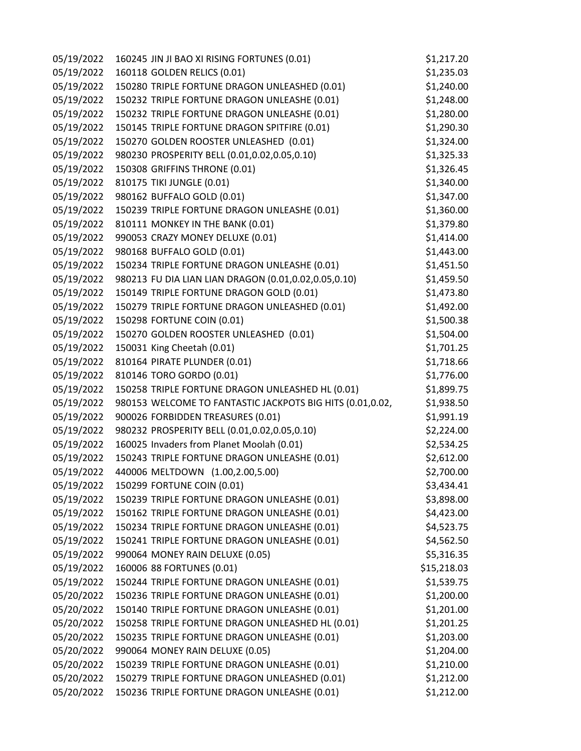| 05/19/2022 | 160245 JIN JI BAO XI RISING FORTUNES (0.01)               | \$1,217.20  |
|------------|-----------------------------------------------------------|-------------|
| 05/19/2022 | 160118 GOLDEN RELICS (0.01)                               | \$1,235.03  |
| 05/19/2022 | 150280 TRIPLE FORTUNE DRAGON UNLEASHED (0.01)             | \$1,240.00  |
| 05/19/2022 | 150232 TRIPLE FORTUNE DRAGON UNLEASHE (0.01)              | \$1,248.00  |
| 05/19/2022 | 150232 TRIPLE FORTUNE DRAGON UNLEASHE (0.01)              | \$1,280.00  |
| 05/19/2022 | 150145 TRIPLE FORTUNE DRAGON SPITFIRE (0.01)              | \$1,290.30  |
| 05/19/2022 | 150270 GOLDEN ROOSTER UNLEASHED (0.01)                    | \$1,324.00  |
| 05/19/2022 | 980230 PROSPERITY BELL (0.01,0.02,0.05,0.10)              | \$1,325.33  |
| 05/19/2022 | 150308 GRIFFINS THRONE (0.01)                             | \$1,326.45  |
| 05/19/2022 | 810175 TIKI JUNGLE (0.01)                                 | \$1,340.00  |
| 05/19/2022 | 980162 BUFFALO GOLD (0.01)                                | \$1,347.00  |
| 05/19/2022 | 150239 TRIPLE FORTUNE DRAGON UNLEASHE (0.01)              | \$1,360.00  |
| 05/19/2022 | 810111 MONKEY IN THE BANK (0.01)                          | \$1,379.80  |
| 05/19/2022 | 990053 CRAZY MONEY DELUXE (0.01)                          | \$1,414.00  |
| 05/19/2022 | 980168 BUFFALO GOLD (0.01)                                | \$1,443.00  |
| 05/19/2022 | 150234 TRIPLE FORTUNE DRAGON UNLEASHE (0.01)              | \$1,451.50  |
| 05/19/2022 | 980213 FU DIA LIAN LIAN DRAGON (0.01,0.02,0.05,0.10)      | \$1,459.50  |
| 05/19/2022 | 150149 TRIPLE FORTUNE DRAGON GOLD (0.01)                  | \$1,473.80  |
| 05/19/2022 | 150279 TRIPLE FORTUNE DRAGON UNLEASHED (0.01)             | \$1,492.00  |
| 05/19/2022 | 150298 FORTUNE COIN (0.01)                                | \$1,500.38  |
| 05/19/2022 | 150270 GOLDEN ROOSTER UNLEASHED (0.01)                    | \$1,504.00  |
| 05/19/2022 | 150031 King Cheetah (0.01)                                | \$1,701.25  |
| 05/19/2022 | 810164 PIRATE PLUNDER (0.01)                              | \$1,718.66  |
| 05/19/2022 | 810146 TORO GORDO (0.01)                                  | \$1,776.00  |
| 05/19/2022 | 150258 TRIPLE FORTUNE DRAGON UNLEASHED HL (0.01)          | \$1,899.75  |
| 05/19/2022 | 980153 WELCOME TO FANTASTIC JACKPOTS BIG HITS (0.01,0.02, | \$1,938.50  |
| 05/19/2022 | 900026 FORBIDDEN TREASURES (0.01)                         | \$1,991.19  |
| 05/19/2022 | 980232 PROSPERITY BELL (0.01,0.02,0.05,0.10)              | \$2,224.00  |
| 05/19/2022 | 160025 Invaders from Planet Moolah (0.01)                 | \$2,534.25  |
| 05/19/2022 | 150243 TRIPLE FORTUNE DRAGON UNLEASHE (0.01)              | \$2,612.00  |
| 05/19/2022 | 440006 MELTDOWN (1.00,2.00,5.00)                          | \$2,700.00  |
| 05/19/2022 | 150299 FORTUNE COIN (0.01)                                | \$3,434.41  |
| 05/19/2022 | 150239 TRIPLE FORTUNE DRAGON UNLEASHE (0.01)              | \$3,898.00  |
| 05/19/2022 | 150162 TRIPLE FORTUNE DRAGON UNLEASHE (0.01)              | \$4,423.00  |
| 05/19/2022 | 150234 TRIPLE FORTUNE DRAGON UNLEASHE (0.01)              | \$4,523.75  |
| 05/19/2022 | 150241 TRIPLE FORTUNE DRAGON UNLEASHE (0.01)              | \$4,562.50  |
| 05/19/2022 | 990064 MONEY RAIN DELUXE (0.05)                           | \$5,316.35  |
| 05/19/2022 | 160006 88 FORTUNES (0.01)                                 | \$15,218.03 |
| 05/19/2022 | 150244 TRIPLE FORTUNE DRAGON UNLEASHE (0.01)              | \$1,539.75  |
| 05/20/2022 | 150236 TRIPLE FORTUNE DRAGON UNLEASHE (0.01)              | \$1,200.00  |
| 05/20/2022 | 150140 TRIPLE FORTUNE DRAGON UNLEASHE (0.01)              | \$1,201.00  |
| 05/20/2022 | 150258 TRIPLE FORTUNE DRAGON UNLEASHED HL (0.01)          | \$1,201.25  |
| 05/20/2022 | 150235 TRIPLE FORTUNE DRAGON UNLEASHE (0.01)              | \$1,203.00  |
| 05/20/2022 | 990064 MONEY RAIN DELUXE (0.05)                           | \$1,204.00  |
| 05/20/2022 | 150239 TRIPLE FORTUNE DRAGON UNLEASHE (0.01)              | \$1,210.00  |
| 05/20/2022 | 150279 TRIPLE FORTUNE DRAGON UNLEASHED (0.01)             | \$1,212.00  |
| 05/20/2022 | 150236 TRIPLE FORTUNE DRAGON UNLEASHE (0.01)              | \$1,212.00  |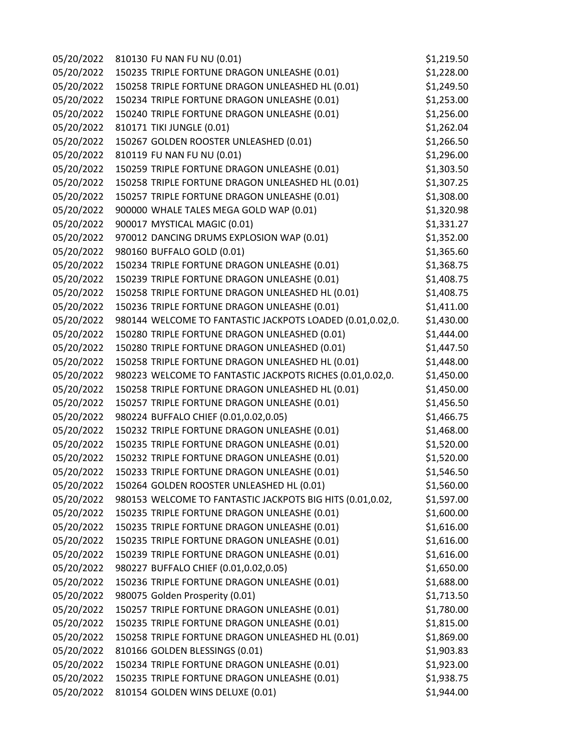| 05/20/2022 | 810130 FU NAN FU NU (0.01)                                | \$1,219.50 |
|------------|-----------------------------------------------------------|------------|
| 05/20/2022 | 150235 TRIPLE FORTUNE DRAGON UNLEASHE (0.01)              | \$1,228.00 |
| 05/20/2022 | 150258 TRIPLE FORTUNE DRAGON UNLEASHED HL (0.01)          | \$1,249.50 |
| 05/20/2022 | 150234 TRIPLE FORTUNE DRAGON UNLEASHE (0.01)              | \$1,253.00 |
| 05/20/2022 | 150240 TRIPLE FORTUNE DRAGON UNLEASHE (0.01)              | \$1,256.00 |
| 05/20/2022 | 810171 TIKI JUNGLE (0.01)                                 | \$1,262.04 |
| 05/20/2022 | 150267 GOLDEN ROOSTER UNLEASHED (0.01)                    | \$1,266.50 |
| 05/20/2022 | 810119 FU NAN FU NU (0.01)                                | \$1,296.00 |
| 05/20/2022 | 150259 TRIPLE FORTUNE DRAGON UNLEASHE (0.01)              | \$1,303.50 |
| 05/20/2022 | 150258 TRIPLE FORTUNE DRAGON UNLEASHED HL (0.01)          | \$1,307.25 |
| 05/20/2022 | 150257 TRIPLE FORTUNE DRAGON UNLEASHE (0.01)              | \$1,308.00 |
| 05/20/2022 | 900000 WHALE TALES MEGA GOLD WAP (0.01)                   | \$1,320.98 |
| 05/20/2022 | 900017 MYSTICAL MAGIC (0.01)                              | \$1,331.27 |
| 05/20/2022 | 970012 DANCING DRUMS EXPLOSION WAP (0.01)                 | \$1,352.00 |
| 05/20/2022 | 980160 BUFFALO GOLD (0.01)                                | \$1,365.60 |
| 05/20/2022 | 150234 TRIPLE FORTUNE DRAGON UNLEASHE (0.01)              | \$1,368.75 |
| 05/20/2022 | 150239 TRIPLE FORTUNE DRAGON UNLEASHE (0.01)              | \$1,408.75 |
| 05/20/2022 | 150258 TRIPLE FORTUNE DRAGON UNLEASHED HL (0.01)          | \$1,408.75 |
| 05/20/2022 | 150236 TRIPLE FORTUNE DRAGON UNLEASHE (0.01)              | \$1,411.00 |
| 05/20/2022 | 980144 WELCOME TO FANTASTIC JACKPOTS LOADED (0.01,0.02,0. | \$1,430.00 |
| 05/20/2022 | 150280 TRIPLE FORTUNE DRAGON UNLEASHED (0.01)             | \$1,444.00 |
| 05/20/2022 | 150280 TRIPLE FORTUNE DRAGON UNLEASHED (0.01)             | \$1,447.50 |
| 05/20/2022 | 150258 TRIPLE FORTUNE DRAGON UNLEASHED HL (0.01)          | \$1,448.00 |
| 05/20/2022 | 980223 WELCOME TO FANTASTIC JACKPOTS RICHES (0.01,0.02,0. | \$1,450.00 |
| 05/20/2022 | 150258 TRIPLE FORTUNE DRAGON UNLEASHED HL (0.01)          | \$1,450.00 |
| 05/20/2022 | 150257 TRIPLE FORTUNE DRAGON UNLEASHE (0.01)              | \$1,456.50 |
| 05/20/2022 | 980224 BUFFALO CHIEF (0.01,0.02,0.05)                     | \$1,466.75 |
| 05/20/2022 | 150232 TRIPLE FORTUNE DRAGON UNLEASHE (0.01)              | \$1,468.00 |
| 05/20/2022 | 150235 TRIPLE FORTUNE DRAGON UNLEASHE (0.01)              | \$1,520.00 |
| 05/20/2022 | 150232 TRIPLE FORTUNE DRAGON UNLEASHE (0.01)              | \$1,520.00 |
| 05/20/2022 | 150233 TRIPLE FORTUNE DRAGON UNLEASHE (0.01)              | \$1,546.50 |
| 05/20/2022 | 150264 GOLDEN ROOSTER UNLEASHED HL (0.01)                 | \$1,560.00 |
| 05/20/2022 | 980153 WELCOME TO FANTASTIC JACKPOTS BIG HITS (0.01,0.02, | \$1,597.00 |
| 05/20/2022 | 150235 TRIPLE FORTUNE DRAGON UNLEASHE (0.01)              | \$1,600.00 |
| 05/20/2022 | 150235 TRIPLE FORTUNE DRAGON UNLEASHE (0.01)              | \$1,616.00 |
| 05/20/2022 | 150235 TRIPLE FORTUNE DRAGON UNLEASHE (0.01)              | \$1,616.00 |
| 05/20/2022 | 150239 TRIPLE FORTUNE DRAGON UNLEASHE (0.01)              | \$1,616.00 |
| 05/20/2022 | 980227 BUFFALO CHIEF (0.01,0.02,0.05)                     | \$1,650.00 |
| 05/20/2022 | 150236 TRIPLE FORTUNE DRAGON UNLEASHE (0.01)              | \$1,688.00 |
| 05/20/2022 | 980075 Golden Prosperity (0.01)                           | \$1,713.50 |
| 05/20/2022 | 150257 TRIPLE FORTUNE DRAGON UNLEASHE (0.01)              | \$1,780.00 |
| 05/20/2022 | 150235 TRIPLE FORTUNE DRAGON UNLEASHE (0.01)              | \$1,815.00 |
| 05/20/2022 | 150258 TRIPLE FORTUNE DRAGON UNLEASHED HL (0.01)          | \$1,869.00 |
| 05/20/2022 | 810166 GOLDEN BLESSINGS (0.01)                            | \$1,903.83 |
| 05/20/2022 | 150234 TRIPLE FORTUNE DRAGON UNLEASHE (0.01)              | \$1,923.00 |
| 05/20/2022 | 150235 TRIPLE FORTUNE DRAGON UNLEASHE (0.01)              | \$1,938.75 |
| 05/20/2022 | 810154 GOLDEN WINS DELUXE (0.01)                          | \$1,944.00 |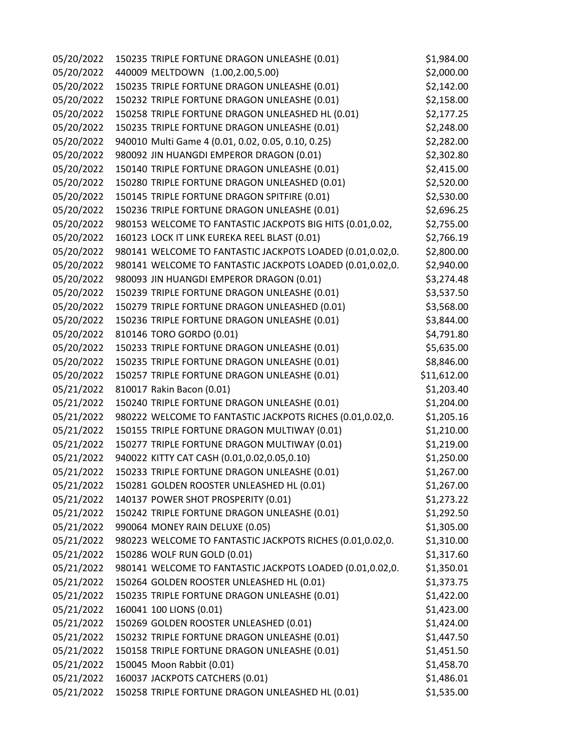| 05/20/2022 | 150235 TRIPLE FORTUNE DRAGON UNLEASHE (0.01)              | \$1,984.00  |
|------------|-----------------------------------------------------------|-------------|
| 05/20/2022 | 440009 MELTDOWN (1.00,2.00,5.00)                          | \$2,000.00  |
| 05/20/2022 | 150235 TRIPLE FORTUNE DRAGON UNLEASHE (0.01)              | \$2,142.00  |
| 05/20/2022 | 150232 TRIPLE FORTUNE DRAGON UNLEASHE (0.01)              | \$2,158.00  |
| 05/20/2022 | 150258 TRIPLE FORTUNE DRAGON UNLEASHED HL (0.01)          | \$2,177.25  |
| 05/20/2022 | 150235 TRIPLE FORTUNE DRAGON UNLEASHE (0.01)              | \$2,248.00  |
| 05/20/2022 | 940010 Multi Game 4 (0.01, 0.02, 0.05, 0.10, 0.25)        | \$2,282.00  |
| 05/20/2022 | 980092 JIN HUANGDI EMPEROR DRAGON (0.01)                  | \$2,302.80  |
| 05/20/2022 | 150140 TRIPLE FORTUNE DRAGON UNLEASHE (0.01)              | \$2,415.00  |
| 05/20/2022 | 150280 TRIPLE FORTUNE DRAGON UNLEASHED (0.01)             | \$2,520.00  |
| 05/20/2022 | 150145 TRIPLE FORTUNE DRAGON SPITFIRE (0.01)              | \$2,530.00  |
| 05/20/2022 | 150236 TRIPLE FORTUNE DRAGON UNLEASHE (0.01)              | \$2,696.25  |
| 05/20/2022 | 980153 WELCOME TO FANTASTIC JACKPOTS BIG HITS (0.01,0.02, | \$2,755.00  |
| 05/20/2022 | 160123 LOCK IT LINK EUREKA REEL BLAST (0.01)              | \$2,766.19  |
| 05/20/2022 | 980141 WELCOME TO FANTASTIC JACKPOTS LOADED (0.01,0.02,0. | \$2,800.00  |
| 05/20/2022 | 980141 WELCOME TO FANTASTIC JACKPOTS LOADED (0.01,0.02,0. | \$2,940.00  |
| 05/20/2022 | 980093 JIN HUANGDI EMPEROR DRAGON (0.01)                  | \$3,274.48  |
| 05/20/2022 | 150239 TRIPLE FORTUNE DRAGON UNLEASHE (0.01)              | \$3,537.50  |
| 05/20/2022 | 150279 TRIPLE FORTUNE DRAGON UNLEASHED (0.01)             | \$3,568.00  |
| 05/20/2022 | 150236 TRIPLE FORTUNE DRAGON UNLEASHE (0.01)              | \$3,844.00  |
| 05/20/2022 | 810146 TORO GORDO (0.01)                                  | \$4,791.80  |
| 05/20/2022 | 150233 TRIPLE FORTUNE DRAGON UNLEASHE (0.01)              | \$5,635.00  |
| 05/20/2022 | 150235 TRIPLE FORTUNE DRAGON UNLEASHE (0.01)              | \$8,846.00  |
| 05/20/2022 | 150257 TRIPLE FORTUNE DRAGON UNLEASHE (0.01)              | \$11,612.00 |
| 05/21/2022 | 810017 Rakin Bacon (0.01)                                 | \$1,203.40  |
| 05/21/2022 | 150240 TRIPLE FORTUNE DRAGON UNLEASHE (0.01)              | \$1,204.00  |
| 05/21/2022 | 980222 WELCOME TO FANTASTIC JACKPOTS RICHES (0.01,0.02,0. | \$1,205.16  |
| 05/21/2022 | 150155 TRIPLE FORTUNE DRAGON MULTIWAY (0.01)              | \$1,210.00  |
| 05/21/2022 | 150277 TRIPLE FORTUNE DRAGON MULTIWAY (0.01)              | \$1,219.00  |
| 05/21/2022 | 940022 KITTY CAT CASH (0.01,0.02,0.05,0.10)               | \$1,250.00  |
| 05/21/2022 | 150233 TRIPLE FORTUNE DRAGON UNLEASHE (0.01)              | \$1,267.00  |
| 05/21/2022 | 150281 GOLDEN ROOSTER UNLEASHED HL (0.01)                 | \$1,267.00  |
| 05/21/2022 | 140137 POWER SHOT PROSPERITY (0.01)                       | \$1,273.22  |
| 05/21/2022 | 150242 TRIPLE FORTUNE DRAGON UNLEASHE (0.01)              | \$1,292.50  |
| 05/21/2022 | 990064 MONEY RAIN DELUXE (0.05)                           | \$1,305.00  |
| 05/21/2022 | 980223 WELCOME TO FANTASTIC JACKPOTS RICHES (0.01,0.02,0. | \$1,310.00  |
| 05/21/2022 | 150286 WOLF RUN GOLD (0.01)                               | \$1,317.60  |
| 05/21/2022 | 980141 WELCOME TO FANTASTIC JACKPOTS LOADED (0.01,0.02,0. | \$1,350.01  |
| 05/21/2022 | 150264 GOLDEN ROOSTER UNLEASHED HL (0.01)                 | \$1,373.75  |
| 05/21/2022 | 150235 TRIPLE FORTUNE DRAGON UNLEASHE (0.01)              | \$1,422.00  |
| 05/21/2022 | 160041 100 LIONS (0.01)                                   | \$1,423.00  |
| 05/21/2022 | 150269 GOLDEN ROOSTER UNLEASHED (0.01)                    | \$1,424.00  |
| 05/21/2022 | 150232 TRIPLE FORTUNE DRAGON UNLEASHE (0.01)              | \$1,447.50  |
| 05/21/2022 | 150158 TRIPLE FORTUNE DRAGON UNLEASHE (0.01)              | \$1,451.50  |
| 05/21/2022 | 150045 Moon Rabbit (0.01)                                 | \$1,458.70  |
| 05/21/2022 | 160037 JACKPOTS CATCHERS (0.01)                           | \$1,486.01  |
| 05/21/2022 | 150258 TRIPLE FORTUNE DRAGON UNLEASHED HL (0.01)          | \$1,535.00  |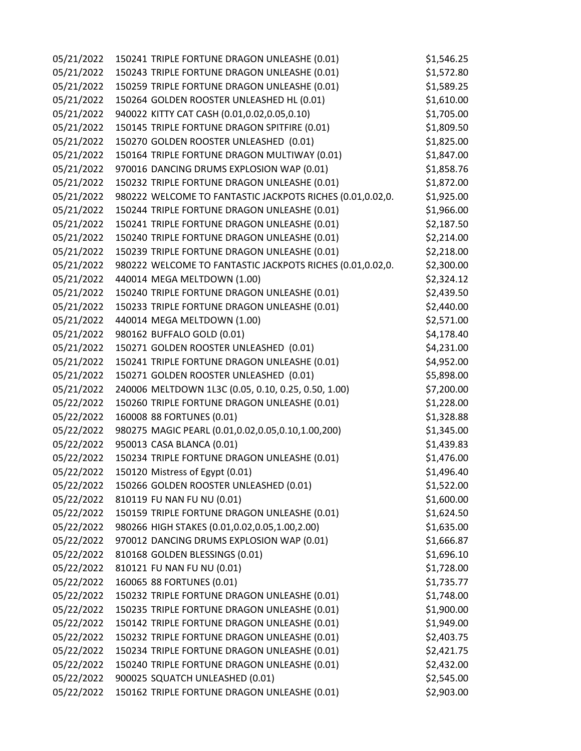| 05/21/2022 | 150241 TRIPLE FORTUNE DRAGON UNLEASHE (0.01)              | \$1,546.25 |
|------------|-----------------------------------------------------------|------------|
| 05/21/2022 | 150243 TRIPLE FORTUNE DRAGON UNLEASHE (0.01)              | \$1,572.80 |
| 05/21/2022 | 150259 TRIPLE FORTUNE DRAGON UNLEASHE (0.01)              | \$1,589.25 |
| 05/21/2022 | 150264 GOLDEN ROOSTER UNLEASHED HL (0.01)                 | \$1,610.00 |
| 05/21/2022 | 940022 KITTY CAT CASH (0.01,0.02,0.05,0.10)               | \$1,705.00 |
| 05/21/2022 | 150145 TRIPLE FORTUNE DRAGON SPITFIRE (0.01)              | \$1,809.50 |
| 05/21/2022 | 150270 GOLDEN ROOSTER UNLEASHED (0.01)                    | \$1,825.00 |
| 05/21/2022 | 150164 TRIPLE FORTUNE DRAGON MULTIWAY (0.01)              | \$1,847.00 |
| 05/21/2022 | 970016 DANCING DRUMS EXPLOSION WAP (0.01)                 | \$1,858.76 |
| 05/21/2022 | 150232 TRIPLE FORTUNE DRAGON UNLEASHE (0.01)              | \$1,872.00 |
| 05/21/2022 | 980222 WELCOME TO FANTASTIC JACKPOTS RICHES (0.01,0.02,0. | \$1,925.00 |
| 05/21/2022 | 150244 TRIPLE FORTUNE DRAGON UNLEASHE (0.01)              | \$1,966.00 |
| 05/21/2022 | 150241 TRIPLE FORTUNE DRAGON UNLEASHE (0.01)              | \$2,187.50 |
| 05/21/2022 | 150240 TRIPLE FORTUNE DRAGON UNLEASHE (0.01)              | \$2,214.00 |
| 05/21/2022 | 150239 TRIPLE FORTUNE DRAGON UNLEASHE (0.01)              | \$2,218.00 |
| 05/21/2022 | 980222 WELCOME TO FANTASTIC JACKPOTS RICHES (0.01,0.02,0. | \$2,300.00 |
| 05/21/2022 | 440014 MEGA MELTDOWN (1.00)                               | \$2,324.12 |
| 05/21/2022 | 150240 TRIPLE FORTUNE DRAGON UNLEASHE (0.01)              | \$2,439.50 |
| 05/21/2022 | 150233 TRIPLE FORTUNE DRAGON UNLEASHE (0.01)              | \$2,440.00 |
| 05/21/2022 | 440014 MEGA MELTDOWN (1.00)                               | \$2,571.00 |
| 05/21/2022 | 980162 BUFFALO GOLD (0.01)                                | \$4,178.40 |
| 05/21/2022 | 150271 GOLDEN ROOSTER UNLEASHED (0.01)                    | \$4,231.00 |
| 05/21/2022 | 150241 TRIPLE FORTUNE DRAGON UNLEASHE (0.01)              | \$4,952.00 |
| 05/21/2022 | 150271 GOLDEN ROOSTER UNLEASHED (0.01)                    | \$5,898.00 |
| 05/21/2022 | 240006 MELTDOWN 1L3C (0.05, 0.10, 0.25, 0.50, 1.00)       | \$7,200.00 |
| 05/22/2022 | 150260 TRIPLE FORTUNE DRAGON UNLEASHE (0.01)              | \$1,228.00 |
| 05/22/2022 | 160008 88 FORTUNES (0.01)                                 | \$1,328.88 |
| 05/22/2022 | 980275 MAGIC PEARL (0.01,0.02,0.05,0.10,1.00,200)         | \$1,345.00 |
| 05/22/2022 | 950013 CASA BLANCA (0.01)                                 | \$1,439.83 |
| 05/22/2022 | 150234 TRIPLE FORTUNE DRAGON UNLEASHE (0.01)              | \$1,476.00 |
| 05/22/2022 | 150120 Mistress of Egypt (0.01)                           | \$1,496.40 |
| 05/22/2022 | 150266 GOLDEN ROOSTER UNLEASHED (0.01)                    | \$1,522.00 |
| 05/22/2022 | 810119 FU NAN FU NU (0.01)                                | \$1,600.00 |
| 05/22/2022 | 150159 TRIPLE FORTUNE DRAGON UNLEASHE (0.01)              | \$1,624.50 |
| 05/22/2022 | 980266 HIGH STAKES (0.01,0.02,0.05,1.00,2.00)             | \$1,635.00 |
| 05/22/2022 | 970012 DANCING DRUMS EXPLOSION WAP (0.01)                 | \$1,666.87 |
| 05/22/2022 | 810168 GOLDEN BLESSINGS (0.01)                            | \$1,696.10 |
| 05/22/2022 | 810121 FU NAN FU NU (0.01)                                | \$1,728.00 |
| 05/22/2022 | 160065 88 FORTUNES (0.01)                                 | \$1,735.77 |
| 05/22/2022 | 150232 TRIPLE FORTUNE DRAGON UNLEASHE (0.01)              | \$1,748.00 |
| 05/22/2022 | 150235 TRIPLE FORTUNE DRAGON UNLEASHE (0.01)              | \$1,900.00 |
| 05/22/2022 | 150142 TRIPLE FORTUNE DRAGON UNLEASHE (0.01)              | \$1,949.00 |
| 05/22/2022 | 150232 TRIPLE FORTUNE DRAGON UNLEASHE (0.01)              | \$2,403.75 |
| 05/22/2022 | 150234 TRIPLE FORTUNE DRAGON UNLEASHE (0.01)              | \$2,421.75 |
| 05/22/2022 | 150240 TRIPLE FORTUNE DRAGON UNLEASHE (0.01)              | \$2,432.00 |
| 05/22/2022 | 900025 SQUATCH UNLEASHED (0.01)                           | \$2,545.00 |
| 05/22/2022 | 150162 TRIPLE FORTUNE DRAGON UNLEASHE (0.01)              | \$2,903.00 |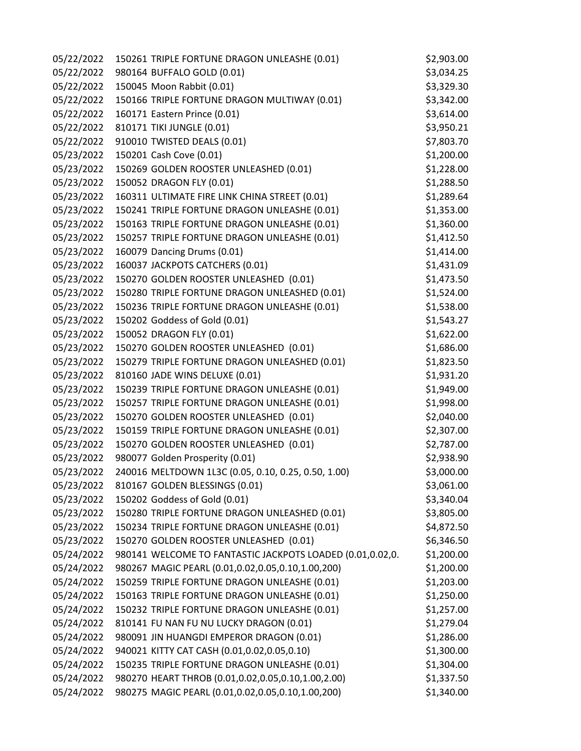| 05/22/2022 | 150261 TRIPLE FORTUNE DRAGON UNLEASHE (0.01)              | \$2,903.00 |
|------------|-----------------------------------------------------------|------------|
| 05/22/2022 | 980164 BUFFALO GOLD (0.01)                                | \$3,034.25 |
| 05/22/2022 | 150045 Moon Rabbit (0.01)                                 | \$3,329.30 |
| 05/22/2022 | 150166 TRIPLE FORTUNE DRAGON MULTIWAY (0.01)              | \$3,342.00 |
| 05/22/2022 | 160171 Eastern Prince (0.01)                              | \$3,614.00 |
| 05/22/2022 | 810171 TIKI JUNGLE (0.01)                                 | \$3,950.21 |
| 05/22/2022 | 910010 TWISTED DEALS (0.01)                               | \$7,803.70 |
| 05/23/2022 | 150201 Cash Cove (0.01)                                   | \$1,200.00 |
| 05/23/2022 | 150269 GOLDEN ROOSTER UNLEASHED (0.01)                    | \$1,228.00 |
| 05/23/2022 | 150052 DRAGON FLY (0.01)                                  | \$1,288.50 |
| 05/23/2022 | 160311 ULTIMATE FIRE LINK CHINA STREET (0.01)             | \$1,289.64 |
| 05/23/2022 | 150241 TRIPLE FORTUNE DRAGON UNLEASHE (0.01)              | \$1,353.00 |
| 05/23/2022 | 150163 TRIPLE FORTUNE DRAGON UNLEASHE (0.01)              | \$1,360.00 |
| 05/23/2022 | 150257 TRIPLE FORTUNE DRAGON UNLEASHE (0.01)              | \$1,412.50 |
| 05/23/2022 | 160079 Dancing Drums (0.01)                               | \$1,414.00 |
| 05/23/2022 | 160037 JACKPOTS CATCHERS (0.01)                           | \$1,431.09 |
| 05/23/2022 | 150270 GOLDEN ROOSTER UNLEASHED (0.01)                    | \$1,473.50 |
| 05/23/2022 | 150280 TRIPLE FORTUNE DRAGON UNLEASHED (0.01)             | \$1,524.00 |
| 05/23/2022 | 150236 TRIPLE FORTUNE DRAGON UNLEASHE (0.01)              | \$1,538.00 |
| 05/23/2022 | 150202 Goddess of Gold (0.01)                             | \$1,543.27 |
| 05/23/2022 | 150052 DRAGON FLY (0.01)                                  | \$1,622.00 |
| 05/23/2022 | 150270 GOLDEN ROOSTER UNLEASHED (0.01)                    | \$1,686.00 |
| 05/23/2022 | 150279 TRIPLE FORTUNE DRAGON UNLEASHED (0.01)             | \$1,823.50 |
| 05/23/2022 | 810160 JADE WINS DELUXE (0.01)                            | \$1,931.20 |
| 05/23/2022 | 150239 TRIPLE FORTUNE DRAGON UNLEASHE (0.01)              | \$1,949.00 |
| 05/23/2022 | 150257 TRIPLE FORTUNE DRAGON UNLEASHE (0.01)              | \$1,998.00 |
| 05/23/2022 | 150270 GOLDEN ROOSTER UNLEASHED (0.01)                    | \$2,040.00 |
| 05/23/2022 | 150159 TRIPLE FORTUNE DRAGON UNLEASHE (0.01)              | \$2,307.00 |
| 05/23/2022 | 150270 GOLDEN ROOSTER UNLEASHED (0.01)                    | \$2,787.00 |
| 05/23/2022 | 980077 Golden Prosperity (0.01)                           | \$2,938.90 |
| 05/23/2022 | 240016 MELTDOWN 1L3C (0.05, 0.10, 0.25, 0.50, 1.00)       | \$3,000.00 |
| 05/23/2022 | 810167 GOLDEN BLESSINGS (0.01)                            | \$3,061.00 |
| 05/23/2022 | 150202 Goddess of Gold (0.01)                             | \$3,340.04 |
| 05/23/2022 | 150280 TRIPLE FORTUNE DRAGON UNLEASHED (0.01)             | \$3,805.00 |
| 05/23/2022 | 150234 TRIPLE FORTUNE DRAGON UNLEASHE (0.01)              | \$4,872.50 |
| 05/23/2022 | 150270 GOLDEN ROOSTER UNLEASHED (0.01)                    | \$6,346.50 |
| 05/24/2022 | 980141 WELCOME TO FANTASTIC JACKPOTS LOADED (0.01,0.02,0. | \$1,200.00 |
| 05/24/2022 | 980267 MAGIC PEARL (0.01,0.02,0.05,0.10,1.00,200)         | \$1,200.00 |
| 05/24/2022 | 150259 TRIPLE FORTUNE DRAGON UNLEASHE (0.01)              | \$1,203.00 |
| 05/24/2022 | 150163 TRIPLE FORTUNE DRAGON UNLEASHE (0.01)              | \$1,250.00 |
| 05/24/2022 | 150232 TRIPLE FORTUNE DRAGON UNLEASHE (0.01)              | \$1,257.00 |
| 05/24/2022 | 810141 FU NAN FU NU LUCKY DRAGON (0.01)                   | \$1,279.04 |
| 05/24/2022 | 980091 JIN HUANGDI EMPEROR DRAGON (0.01)                  | \$1,286.00 |
| 05/24/2022 | 940021 KITTY CAT CASH (0.01,0.02,0.05,0.10)               | \$1,300.00 |
| 05/24/2022 | 150235 TRIPLE FORTUNE DRAGON UNLEASHE (0.01)              | \$1,304.00 |
| 05/24/2022 | 980270 HEART THROB (0.01,0.02,0.05,0.10,1.00,2.00)        | \$1,337.50 |
| 05/24/2022 | 980275 MAGIC PEARL (0.01,0.02,0.05,0.10,1.00,200)         | \$1,340.00 |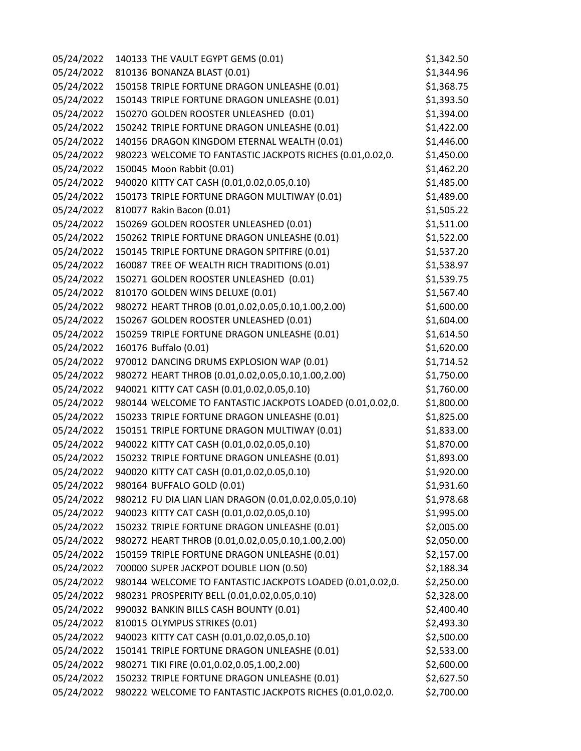| 05/24/2022 | 140133 THE VAULT EGYPT GEMS (0.01)                        | \$1,342.50 |
|------------|-----------------------------------------------------------|------------|
| 05/24/2022 | 810136 BONANZA BLAST (0.01)                               | \$1,344.96 |
| 05/24/2022 | 150158 TRIPLE FORTUNE DRAGON UNLEASHE (0.01)              | \$1,368.75 |
| 05/24/2022 | 150143 TRIPLE FORTUNE DRAGON UNLEASHE (0.01)              | \$1,393.50 |
| 05/24/2022 | 150270 GOLDEN ROOSTER UNLEASHED (0.01)                    | \$1,394.00 |
| 05/24/2022 | 150242 TRIPLE FORTUNE DRAGON UNLEASHE (0.01)              | \$1,422.00 |
| 05/24/2022 | 140156 DRAGON KINGDOM ETERNAL WEALTH (0.01)               | \$1,446.00 |
| 05/24/2022 | 980223 WELCOME TO FANTASTIC JACKPOTS RICHES (0.01,0.02,0. | \$1,450.00 |
| 05/24/2022 | 150045 Moon Rabbit (0.01)                                 | \$1,462.20 |
| 05/24/2022 | 940020 KITTY CAT CASH (0.01,0.02,0.05,0.10)               | \$1,485.00 |
| 05/24/2022 | 150173 TRIPLE FORTUNE DRAGON MULTIWAY (0.01)              | \$1,489.00 |
| 05/24/2022 | 810077 Rakin Bacon (0.01)                                 | \$1,505.22 |
| 05/24/2022 | 150269 GOLDEN ROOSTER UNLEASHED (0.01)                    | \$1,511.00 |
| 05/24/2022 | 150262 TRIPLE FORTUNE DRAGON UNLEASHE (0.01)              | \$1,522.00 |
| 05/24/2022 | 150145 TRIPLE FORTUNE DRAGON SPITFIRE (0.01)              | \$1,537.20 |
| 05/24/2022 | 160087 TREE OF WEALTH RICH TRADITIONS (0.01)              | \$1,538.97 |
| 05/24/2022 | 150271 GOLDEN ROOSTER UNLEASHED (0.01)                    | \$1,539.75 |
| 05/24/2022 | 810170 GOLDEN WINS DELUXE (0.01)                          | \$1,567.40 |
| 05/24/2022 | 980272 HEART THROB (0.01,0.02,0.05,0.10,1.00,2.00)        | \$1,600.00 |
| 05/24/2022 | 150267 GOLDEN ROOSTER UNLEASHED (0.01)                    | \$1,604.00 |
| 05/24/2022 | 150259 TRIPLE FORTUNE DRAGON UNLEASHE (0.01)              | \$1,614.50 |
| 05/24/2022 | 160176 Buffalo (0.01)                                     | \$1,620.00 |
| 05/24/2022 | 970012 DANCING DRUMS EXPLOSION WAP (0.01)                 | \$1,714.52 |
| 05/24/2022 | 980272 HEART THROB (0.01,0.02,0.05,0.10,1.00,2.00)        | \$1,750.00 |
| 05/24/2022 | 940021 KITTY CAT CASH (0.01,0.02,0.05,0.10)               | \$1,760.00 |
| 05/24/2022 | 980144 WELCOME TO FANTASTIC JACKPOTS LOADED (0.01,0.02,0. | \$1,800.00 |
| 05/24/2022 | 150233 TRIPLE FORTUNE DRAGON UNLEASHE (0.01)              | \$1,825.00 |
| 05/24/2022 | 150151 TRIPLE FORTUNE DRAGON MULTIWAY (0.01)              | \$1,833.00 |
| 05/24/2022 | 940022 KITTY CAT CASH (0.01,0.02,0.05,0.10)               | \$1,870.00 |
| 05/24/2022 | 150232 TRIPLE FORTUNE DRAGON UNLEASHE (0.01)              | \$1,893.00 |
| 05/24/2022 | 940020 KITTY CAT CASH (0.01,0.02,0.05,0.10)               | \$1,920.00 |
| 05/24/2022 | 980164 BUFFALO GOLD (0.01)                                | \$1,931.60 |
| 05/24/2022 | 980212 FU DIA LIAN LIAN DRAGON (0.01,0.02,0.05,0.10)      | \$1,978.68 |
| 05/24/2022 | 940023 KITTY CAT CASH (0.01,0.02,0.05,0.10)               | \$1,995.00 |
| 05/24/2022 | 150232 TRIPLE FORTUNE DRAGON UNLEASHE (0.01)              | \$2,005.00 |
| 05/24/2022 | 980272 HEART THROB (0.01,0.02,0.05,0.10,1.00,2.00)        | \$2,050.00 |
| 05/24/2022 | 150159 TRIPLE FORTUNE DRAGON UNLEASHE (0.01)              | \$2,157.00 |
| 05/24/2022 | 700000 SUPER JACKPOT DOUBLE LION (0.50)                   | \$2,188.34 |
| 05/24/2022 | 980144 WELCOME TO FANTASTIC JACKPOTS LOADED (0.01,0.02,0. | \$2,250.00 |
| 05/24/2022 | 980231 PROSPERITY BELL (0.01,0.02,0.05,0.10)              | \$2,328.00 |
| 05/24/2022 | 990032 BANKIN BILLS CASH BOUNTY (0.01)                    | \$2,400.40 |
| 05/24/2022 | 810015 OLYMPUS STRIKES (0.01)                             | \$2,493.30 |
| 05/24/2022 | 940023 KITTY CAT CASH (0.01,0.02,0.05,0.10)               | \$2,500.00 |
| 05/24/2022 | 150141 TRIPLE FORTUNE DRAGON UNLEASHE (0.01)              | \$2,533.00 |
| 05/24/2022 | 980271 TIKI FIRE (0.01,0.02,0.05,1.00,2.00)               | \$2,600.00 |
| 05/24/2022 | 150232 TRIPLE FORTUNE DRAGON UNLEASHE (0.01)              | \$2,627.50 |
| 05/24/2022 | 980222 WELCOME TO FANTASTIC JACKPOTS RICHES (0.01,0.02,0. | \$2,700.00 |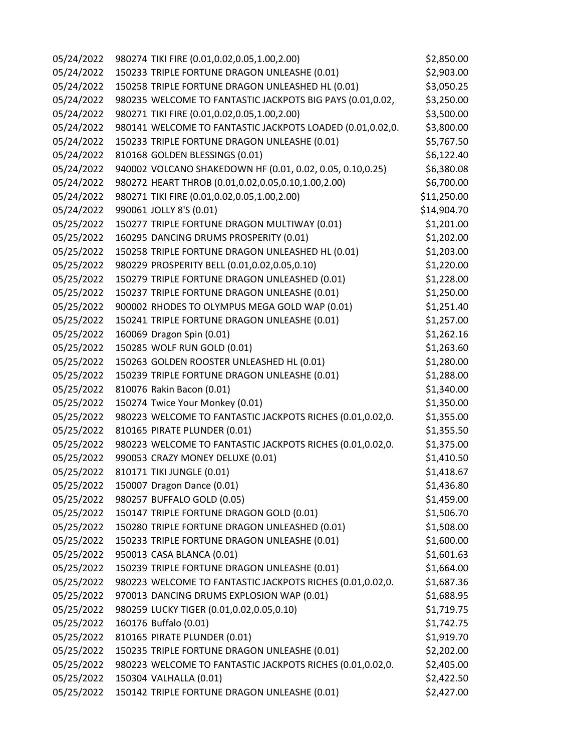| 05/24/2022 | 980274 TIKI FIRE (0.01,0.02,0.05,1.00,2.00)               | \$2,850.00  |
|------------|-----------------------------------------------------------|-------------|
| 05/24/2022 | 150233 TRIPLE FORTUNE DRAGON UNLEASHE (0.01)              | \$2,903.00  |
| 05/24/2022 | 150258 TRIPLE FORTUNE DRAGON UNLEASHED HL (0.01)          | \$3,050.25  |
| 05/24/2022 | 980235 WELCOME TO FANTASTIC JACKPOTS BIG PAYS (0.01,0.02, | \$3,250.00  |
| 05/24/2022 | 980271 TIKI FIRE (0.01,0.02,0.05,1.00,2.00)               | \$3,500.00  |
| 05/24/2022 | 980141 WELCOME TO FANTASTIC JACKPOTS LOADED (0.01,0.02,0. | \$3,800.00  |
| 05/24/2022 | 150233 TRIPLE FORTUNE DRAGON UNLEASHE (0.01)              | \$5,767.50  |
| 05/24/2022 | 810168 GOLDEN BLESSINGS (0.01)                            | \$6,122.40  |
| 05/24/2022 | 940002 VOLCANO SHAKEDOWN HF (0.01, 0.02, 0.05, 0.10,0.25) | \$6,380.08  |
| 05/24/2022 | 980272 HEART THROB (0.01,0.02,0.05,0.10,1.00,2.00)        | \$6,700.00  |
| 05/24/2022 | 980271 TIKI FIRE (0.01,0.02,0.05,1.00,2.00)               | \$11,250.00 |
| 05/24/2022 | 990061 JOLLY 8'S (0.01)                                   | \$14,904.70 |
| 05/25/2022 | 150277 TRIPLE FORTUNE DRAGON MULTIWAY (0.01)              | \$1,201.00  |
| 05/25/2022 | 160295 DANCING DRUMS PROSPERITY (0.01)                    | \$1,202.00  |
| 05/25/2022 | 150258 TRIPLE FORTUNE DRAGON UNLEASHED HL (0.01)          | \$1,203.00  |
| 05/25/2022 | 980229 PROSPERITY BELL (0.01,0.02,0.05,0.10)              | \$1,220.00  |
| 05/25/2022 | 150279 TRIPLE FORTUNE DRAGON UNLEASHED (0.01)             | \$1,228.00  |
| 05/25/2022 | 150237 TRIPLE FORTUNE DRAGON UNLEASHE (0.01)              | \$1,250.00  |
| 05/25/2022 | 900002 RHODES TO OLYMPUS MEGA GOLD WAP (0.01)             | \$1,251.40  |
| 05/25/2022 | 150241 TRIPLE FORTUNE DRAGON UNLEASHE (0.01)              | \$1,257.00  |
| 05/25/2022 | 160069 Dragon Spin (0.01)                                 | \$1,262.16  |
| 05/25/2022 | 150285 WOLF RUN GOLD (0.01)                               | \$1,263.60  |
| 05/25/2022 | 150263 GOLDEN ROOSTER UNLEASHED HL (0.01)                 | \$1,280.00  |
| 05/25/2022 | 150239 TRIPLE FORTUNE DRAGON UNLEASHE (0.01)              | \$1,288.00  |
| 05/25/2022 | 810076 Rakin Bacon (0.01)                                 | \$1,340.00  |
| 05/25/2022 | 150274 Twice Your Monkey (0.01)                           | \$1,350.00  |
| 05/25/2022 | 980223 WELCOME TO FANTASTIC JACKPOTS RICHES (0.01,0.02,0. | \$1,355.00  |
| 05/25/2022 | 810165 PIRATE PLUNDER (0.01)                              | \$1,355.50  |
| 05/25/2022 | 980223 WELCOME TO FANTASTIC JACKPOTS RICHES (0.01,0.02,0. | \$1,375.00  |
| 05/25/2022 | 990053 CRAZY MONEY DELUXE (0.01)                          | \$1,410.50  |
| 05/25/2022 | 810171 TIKI JUNGLE (0.01)                                 | \$1,418.67  |
| 05/25/2022 | 150007 Dragon Dance (0.01)                                | \$1,436.80  |
| 05/25/2022 | 980257 BUFFALO GOLD (0.05)                                | \$1,459.00  |
| 05/25/2022 | 150147 TRIPLE FORTUNE DRAGON GOLD (0.01)                  | \$1,506.70  |
| 05/25/2022 | 150280 TRIPLE FORTUNE DRAGON UNLEASHED (0.01)             | \$1,508.00  |
| 05/25/2022 | 150233 TRIPLE FORTUNE DRAGON UNLEASHE (0.01)              | \$1,600.00  |
| 05/25/2022 | 950013 CASA BLANCA (0.01)                                 | \$1,601.63  |
| 05/25/2022 | 150239 TRIPLE FORTUNE DRAGON UNLEASHE (0.01)              | \$1,664.00  |
| 05/25/2022 | 980223 WELCOME TO FANTASTIC JACKPOTS RICHES (0.01,0.02,0. | \$1,687.36  |
| 05/25/2022 | 970013 DANCING DRUMS EXPLOSION WAP (0.01)                 | \$1,688.95  |
| 05/25/2022 | 980259 LUCKY TIGER (0.01,0.02,0.05,0.10)                  | \$1,719.75  |
| 05/25/2022 | 160176 Buffalo (0.01)                                     | \$1,742.75  |
| 05/25/2022 | 810165 PIRATE PLUNDER (0.01)                              | \$1,919.70  |
| 05/25/2022 | 150235 TRIPLE FORTUNE DRAGON UNLEASHE (0.01)              | \$2,202.00  |
| 05/25/2022 | 980223 WELCOME TO FANTASTIC JACKPOTS RICHES (0.01,0.02,0. | \$2,405.00  |
| 05/25/2022 | 150304 VALHALLA (0.01)                                    | \$2,422.50  |
| 05/25/2022 | 150142 TRIPLE FORTUNE DRAGON UNLEASHE (0.01)              | \$2,427.00  |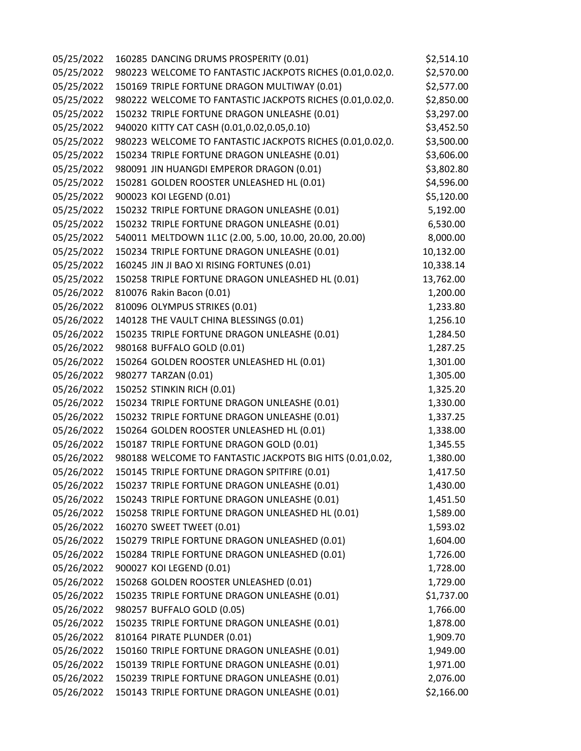| 05/25/2022 | 160285 DANCING DRUMS PROSPERITY (0.01)                    | \$2,514.10 |
|------------|-----------------------------------------------------------|------------|
| 05/25/2022 | 980223 WELCOME TO FANTASTIC JACKPOTS RICHES (0.01,0.02,0. | \$2,570.00 |
| 05/25/2022 | 150169 TRIPLE FORTUNE DRAGON MULTIWAY (0.01)              | \$2,577.00 |
| 05/25/2022 | 980222 WELCOME TO FANTASTIC JACKPOTS RICHES (0.01,0.02,0. | \$2,850.00 |
| 05/25/2022 | 150232 TRIPLE FORTUNE DRAGON UNLEASHE (0.01)              | \$3,297.00 |
| 05/25/2022 | 940020 KITTY CAT CASH (0.01,0.02,0.05,0.10)               | \$3,452.50 |
| 05/25/2022 | 980223 WELCOME TO FANTASTIC JACKPOTS RICHES (0.01,0.02,0. | \$3,500.00 |
| 05/25/2022 | 150234 TRIPLE FORTUNE DRAGON UNLEASHE (0.01)              | \$3,606.00 |
| 05/25/2022 | 980091 JIN HUANGDI EMPEROR DRAGON (0.01)                  | \$3,802.80 |
| 05/25/2022 | 150281 GOLDEN ROOSTER UNLEASHED HL (0.01)                 | \$4,596.00 |
| 05/25/2022 | 900023 KOI LEGEND (0.01)                                  | \$5,120.00 |
| 05/25/2022 | 150232 TRIPLE FORTUNE DRAGON UNLEASHE (0.01)              | 5,192.00   |
| 05/25/2022 | 150232 TRIPLE FORTUNE DRAGON UNLEASHE (0.01)              | 6,530.00   |
| 05/25/2022 | 540011 MELTDOWN 1L1C (2.00, 5.00, 10.00, 20.00, 20.00)    | 8,000.00   |
| 05/25/2022 | 150234 TRIPLE FORTUNE DRAGON UNLEASHE (0.01)              | 10,132.00  |
| 05/25/2022 | 160245 JIN JI BAO XI RISING FORTUNES (0.01)               | 10,338.14  |
| 05/25/2022 | 150258 TRIPLE FORTUNE DRAGON UNLEASHED HL (0.01)          | 13,762.00  |
| 05/26/2022 | 810076 Rakin Bacon (0.01)                                 | 1,200.00   |
| 05/26/2022 | 810096 OLYMPUS STRIKES (0.01)                             | 1,233.80   |
| 05/26/2022 | 140128 THE VAULT CHINA BLESSINGS (0.01)                   | 1,256.10   |
| 05/26/2022 | 150235 TRIPLE FORTUNE DRAGON UNLEASHE (0.01)              | 1,284.50   |
| 05/26/2022 | 980168 BUFFALO GOLD (0.01)                                | 1,287.25   |
| 05/26/2022 | 150264 GOLDEN ROOSTER UNLEASHED HL (0.01)                 | 1,301.00   |
| 05/26/2022 | 980277 TARZAN (0.01)                                      | 1,305.00   |
| 05/26/2022 | 150252 STINKIN RICH (0.01)                                | 1,325.20   |
| 05/26/2022 | 150234 TRIPLE FORTUNE DRAGON UNLEASHE (0.01)              | 1,330.00   |
| 05/26/2022 | 150232 TRIPLE FORTUNE DRAGON UNLEASHE (0.01)              | 1,337.25   |
| 05/26/2022 | 150264 GOLDEN ROOSTER UNLEASHED HL (0.01)                 | 1,338.00   |
| 05/26/2022 | 150187 TRIPLE FORTUNE DRAGON GOLD (0.01)                  | 1,345.55   |
| 05/26/2022 | 980188 WELCOME TO FANTASTIC JACKPOTS BIG HITS (0.01,0.02, | 1,380.00   |
| 05/26/2022 | 150145 TRIPLE FORTUNE DRAGON SPITFIRE (0.01)              | 1,417.50   |
| 05/26/2022 | 150237 TRIPLE FORTUNE DRAGON UNLEASHE (0.01)              | 1,430.00   |
| 05/26/2022 | 150243 TRIPLE FORTUNE DRAGON UNLEASHE (0.01)              | 1,451.50   |
| 05/26/2022 | 150258 TRIPLE FORTUNE DRAGON UNLEASHED HL (0.01)          | 1,589.00   |
| 05/26/2022 | 160270 SWEET TWEET (0.01)                                 | 1,593.02   |
| 05/26/2022 | 150279 TRIPLE FORTUNE DRAGON UNLEASHED (0.01)             | 1,604.00   |
| 05/26/2022 | 150284 TRIPLE FORTUNE DRAGON UNLEASHED (0.01)             | 1,726.00   |
| 05/26/2022 | 900027 KOI LEGEND (0.01)                                  | 1,728.00   |
| 05/26/2022 | 150268 GOLDEN ROOSTER UNLEASHED (0.01)                    | 1,729.00   |
| 05/26/2022 | 150235 TRIPLE FORTUNE DRAGON UNLEASHE (0.01)              | \$1,737.00 |
| 05/26/2022 | 980257 BUFFALO GOLD (0.05)                                | 1,766.00   |
| 05/26/2022 | 150235 TRIPLE FORTUNE DRAGON UNLEASHE (0.01)              | 1,878.00   |
| 05/26/2022 | 810164 PIRATE PLUNDER (0.01)                              | 1,909.70   |
| 05/26/2022 | 150160 TRIPLE FORTUNE DRAGON UNLEASHE (0.01)              | 1,949.00   |
| 05/26/2022 | 150139 TRIPLE FORTUNE DRAGON UNLEASHE (0.01)              | 1,971.00   |
| 05/26/2022 | 150239 TRIPLE FORTUNE DRAGON UNLEASHE (0.01)              | 2,076.00   |
| 05/26/2022 | 150143 TRIPLE FORTUNE DRAGON UNLEASHE (0.01)              | \$2,166.00 |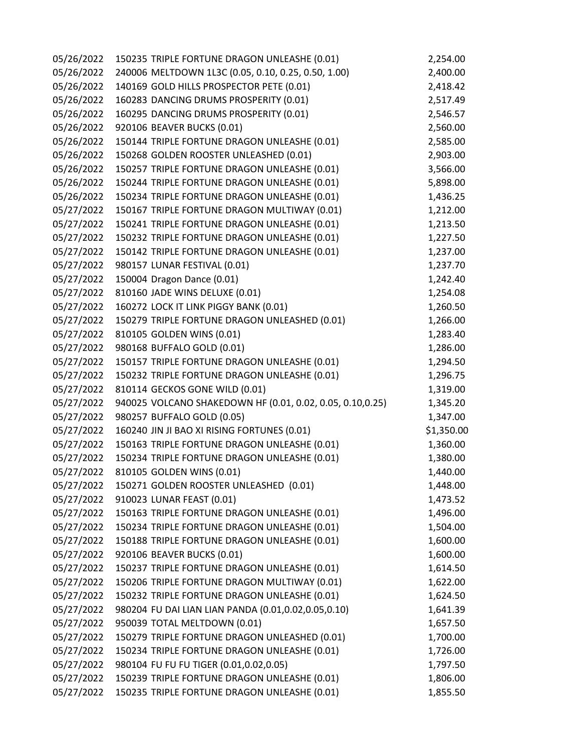| 05/26/2022 | 150235 TRIPLE FORTUNE DRAGON UNLEASHE (0.01)              | 2,254.00   |
|------------|-----------------------------------------------------------|------------|
| 05/26/2022 | 240006 MELTDOWN 1L3C (0.05, 0.10, 0.25, 0.50, 1.00)       | 2,400.00   |
| 05/26/2022 | 140169 GOLD HILLS PROSPECTOR PETE (0.01)                  | 2,418.42   |
| 05/26/2022 | 160283 DANCING DRUMS PROSPERITY (0.01)                    | 2,517.49   |
| 05/26/2022 | 160295 DANCING DRUMS PROSPERITY (0.01)                    | 2,546.57   |
| 05/26/2022 | 920106 BEAVER BUCKS (0.01)                                | 2,560.00   |
| 05/26/2022 | 150144 TRIPLE FORTUNE DRAGON UNLEASHE (0.01)              | 2,585.00   |
| 05/26/2022 | 150268 GOLDEN ROOSTER UNLEASHED (0.01)                    | 2,903.00   |
| 05/26/2022 | 150257 TRIPLE FORTUNE DRAGON UNLEASHE (0.01)              | 3,566.00   |
| 05/26/2022 | 150244 TRIPLE FORTUNE DRAGON UNLEASHE (0.01)              | 5,898.00   |
| 05/26/2022 | 150234 TRIPLE FORTUNE DRAGON UNLEASHE (0.01)              | 1,436.25   |
| 05/27/2022 | 150167 TRIPLE FORTUNE DRAGON MULTIWAY (0.01)              | 1,212.00   |
| 05/27/2022 | 150241 TRIPLE FORTUNE DRAGON UNLEASHE (0.01)              | 1,213.50   |
| 05/27/2022 | 150232 TRIPLE FORTUNE DRAGON UNLEASHE (0.01)              | 1,227.50   |
| 05/27/2022 | 150142 TRIPLE FORTUNE DRAGON UNLEASHE (0.01)              | 1,237.00   |
| 05/27/2022 | 980157 LUNAR FESTIVAL (0.01)                              | 1,237.70   |
| 05/27/2022 | 150004 Dragon Dance (0.01)                                | 1,242.40   |
| 05/27/2022 | 810160 JADE WINS DELUXE (0.01)                            | 1,254.08   |
| 05/27/2022 | 160272 LOCK IT LINK PIGGY BANK (0.01)                     | 1,260.50   |
| 05/27/2022 | 150279 TRIPLE FORTUNE DRAGON UNLEASHED (0.01)             | 1,266.00   |
| 05/27/2022 | 810105 GOLDEN WINS (0.01)                                 | 1,283.40   |
| 05/27/2022 | 980168 BUFFALO GOLD (0.01)                                | 1,286.00   |
| 05/27/2022 | 150157 TRIPLE FORTUNE DRAGON UNLEASHE (0.01)              | 1,294.50   |
| 05/27/2022 | 150232 TRIPLE FORTUNE DRAGON UNLEASHE (0.01)              | 1,296.75   |
| 05/27/2022 | 810114 GECKOS GONE WILD (0.01)                            | 1,319.00   |
| 05/27/2022 | 940025 VOLCANO SHAKEDOWN HF (0.01, 0.02, 0.05, 0.10,0.25) | 1,345.20   |
| 05/27/2022 | 980257 BUFFALO GOLD (0.05)                                | 1,347.00   |
| 05/27/2022 | 160240 JIN JI BAO XI RISING FORTUNES (0.01)               | \$1,350.00 |
| 05/27/2022 | 150163 TRIPLE FORTUNE DRAGON UNLEASHE (0.01)              | 1,360.00   |
| 05/27/2022 | 150234 TRIPLE FORTUNE DRAGON UNLEASHE (0.01)              | 1,380.00   |
| 05/27/2022 | 810105 GOLDEN WINS (0.01)                                 | 1,440.00   |
| 05/27/2022 | 150271 GOLDEN ROOSTER UNLEASHED (0.01)                    | 1,448.00   |
| 05/27/2022 | 910023 LUNAR FEAST (0.01)                                 | 1,473.52   |
| 05/27/2022 | 150163 TRIPLE FORTUNE DRAGON UNLEASHE (0.01)              | 1,496.00   |
| 05/27/2022 | 150234 TRIPLE FORTUNE DRAGON UNLEASHE (0.01)              | 1,504.00   |
| 05/27/2022 | 150188 TRIPLE FORTUNE DRAGON UNLEASHE (0.01)              | 1,600.00   |
| 05/27/2022 | 920106 BEAVER BUCKS (0.01)                                | 1,600.00   |
| 05/27/2022 | 150237 TRIPLE FORTUNE DRAGON UNLEASHE (0.01)              | 1,614.50   |
| 05/27/2022 | 150206 TRIPLE FORTUNE DRAGON MULTIWAY (0.01)              | 1,622.00   |
| 05/27/2022 | 150232 TRIPLE FORTUNE DRAGON UNLEASHE (0.01)              | 1,624.50   |
| 05/27/2022 | 980204 FU DAI LIAN LIAN PANDA (0.01,0.02,0.05,0.10)       | 1,641.39   |
| 05/27/2022 | 950039 TOTAL MELTDOWN (0.01)                              | 1,657.50   |
| 05/27/2022 | 150279 TRIPLE FORTUNE DRAGON UNLEASHED (0.01)             | 1,700.00   |
| 05/27/2022 | 150234 TRIPLE FORTUNE DRAGON UNLEASHE (0.01)              | 1,726.00   |
| 05/27/2022 | 980104 FU FU FU TIGER (0.01,0.02,0.05)                    | 1,797.50   |
| 05/27/2022 | 150239 TRIPLE FORTUNE DRAGON UNLEASHE (0.01)              | 1,806.00   |
| 05/27/2022 | 150235 TRIPLE FORTUNE DRAGON UNLEASHE (0.01)              | 1,855.50   |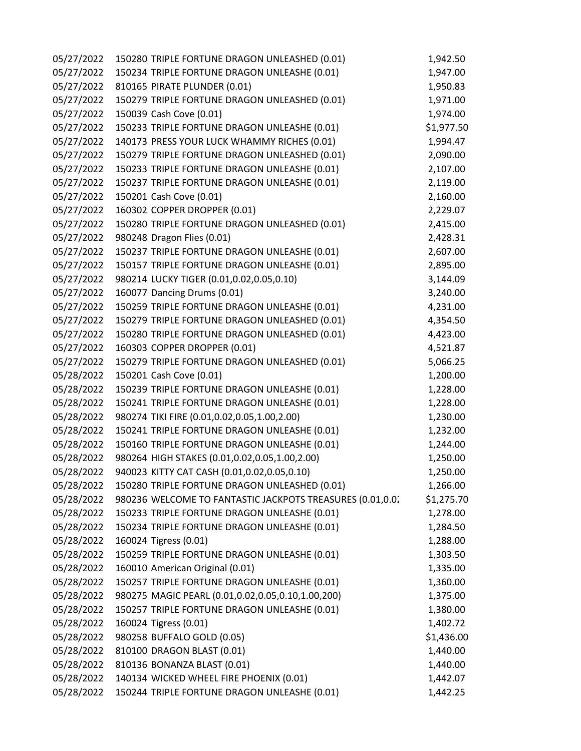| 05/27/2022 | 150280 TRIPLE FORTUNE DRAGON UNLEASHED (0.01)             | 1,942.50   |
|------------|-----------------------------------------------------------|------------|
| 05/27/2022 | 150234 TRIPLE FORTUNE DRAGON UNLEASHE (0.01)              | 1,947.00   |
| 05/27/2022 | 810165 PIRATE PLUNDER (0.01)                              | 1,950.83   |
| 05/27/2022 | 150279 TRIPLE FORTUNE DRAGON UNLEASHED (0.01)             | 1,971.00   |
| 05/27/2022 | 150039 Cash Cove (0.01)                                   | 1,974.00   |
| 05/27/2022 | 150233 TRIPLE FORTUNE DRAGON UNLEASHE (0.01)              | \$1,977.50 |
| 05/27/2022 | 140173 PRESS YOUR LUCK WHAMMY RICHES (0.01)               | 1,994.47   |
| 05/27/2022 | 150279 TRIPLE FORTUNE DRAGON UNLEASHED (0.01)             | 2,090.00   |
| 05/27/2022 | 150233 TRIPLE FORTUNE DRAGON UNLEASHE (0.01)              | 2,107.00   |
| 05/27/2022 | 150237 TRIPLE FORTUNE DRAGON UNLEASHE (0.01)              | 2,119.00   |
| 05/27/2022 | 150201 Cash Cove (0.01)                                   | 2,160.00   |
| 05/27/2022 | 160302 COPPER DROPPER (0.01)                              | 2,229.07   |
| 05/27/2022 | 150280 TRIPLE FORTUNE DRAGON UNLEASHED (0.01)             | 2,415.00   |
| 05/27/2022 | 980248 Dragon Flies (0.01)                                | 2,428.31   |
| 05/27/2022 | 150237 TRIPLE FORTUNE DRAGON UNLEASHE (0.01)              | 2,607.00   |
| 05/27/2022 | 150157 TRIPLE FORTUNE DRAGON UNLEASHE (0.01)              | 2,895.00   |
| 05/27/2022 | 980214 LUCKY TIGER (0.01,0.02,0.05,0.10)                  | 3,144.09   |
| 05/27/2022 | 160077 Dancing Drums (0.01)                               | 3,240.00   |
| 05/27/2022 | 150259 TRIPLE FORTUNE DRAGON UNLEASHE (0.01)              | 4,231.00   |
| 05/27/2022 | 150279 TRIPLE FORTUNE DRAGON UNLEASHED (0.01)             | 4,354.50   |
| 05/27/2022 | 150280 TRIPLE FORTUNE DRAGON UNLEASHED (0.01)             | 4,423.00   |
| 05/27/2022 | 160303 COPPER DROPPER (0.01)                              | 4,521.87   |
| 05/27/2022 | 150279 TRIPLE FORTUNE DRAGON UNLEASHED (0.01)             | 5,066.25   |
| 05/28/2022 | 150201 Cash Cove (0.01)                                   | 1,200.00   |
| 05/28/2022 | 150239 TRIPLE FORTUNE DRAGON UNLEASHE (0.01)              | 1,228.00   |
| 05/28/2022 | 150241 TRIPLE FORTUNE DRAGON UNLEASHE (0.01)              | 1,228.00   |
| 05/28/2022 | 980274 TIKI FIRE (0.01,0.02,0.05,1.00,2.00)               | 1,230.00   |
| 05/28/2022 | 150241 TRIPLE FORTUNE DRAGON UNLEASHE (0.01)              | 1,232.00   |
| 05/28/2022 | 150160 TRIPLE FORTUNE DRAGON UNLEASHE (0.01)              | 1,244.00   |
| 05/28/2022 | 980264 HIGH STAKES (0.01,0.02,0.05,1.00,2.00)             | 1,250.00   |
| 05/28/2022 | 940023 KITTY CAT CASH (0.01,0.02,0.05,0.10)               | 1,250.00   |
| 05/28/2022 | 150280 TRIPLE FORTUNE DRAGON UNLEASHED (0.01)             | 1,266.00   |
| 05/28/2022 | 980236 WELCOME TO FANTASTIC JACKPOTS TREASURES (0.01,0.02 | \$1,275.70 |
| 05/28/2022 | 150233 TRIPLE FORTUNE DRAGON UNLEASHE (0.01)              | 1,278.00   |
| 05/28/2022 | 150234 TRIPLE FORTUNE DRAGON UNLEASHE (0.01)              | 1,284.50   |
| 05/28/2022 | 160024 Tigress (0.01)                                     | 1,288.00   |
| 05/28/2022 | 150259 TRIPLE FORTUNE DRAGON UNLEASHE (0.01)              | 1,303.50   |
| 05/28/2022 | 160010 American Original (0.01)                           | 1,335.00   |
| 05/28/2022 | 150257 TRIPLE FORTUNE DRAGON UNLEASHE (0.01)              | 1,360.00   |
| 05/28/2022 | 980275 MAGIC PEARL (0.01,0.02,0.05,0.10,1.00,200)         | 1,375.00   |
| 05/28/2022 | 150257 TRIPLE FORTUNE DRAGON UNLEASHE (0.01)              | 1,380.00   |
| 05/28/2022 | 160024 Tigress (0.01)                                     | 1,402.72   |
| 05/28/2022 | 980258 BUFFALO GOLD (0.05)                                | \$1,436.00 |
| 05/28/2022 | 810100 DRAGON BLAST (0.01)                                | 1,440.00   |
| 05/28/2022 | 810136 BONANZA BLAST (0.01)                               | 1,440.00   |
| 05/28/2022 | 140134 WICKED WHEEL FIRE PHOENIX (0.01)                   | 1,442.07   |
| 05/28/2022 | 150244 TRIPLE FORTUNE DRAGON UNLEASHE (0.01)              | 1,442.25   |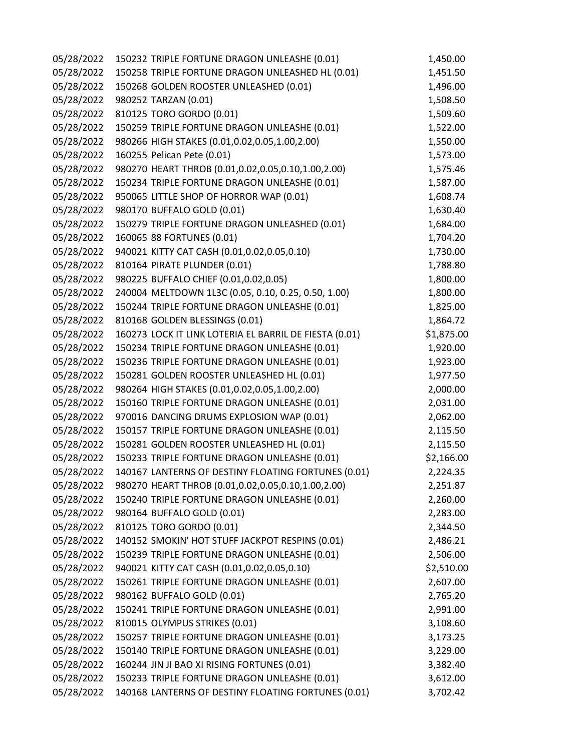| 05/28/2022 | 150232 TRIPLE FORTUNE DRAGON UNLEASHE (0.01)           | 1,450.00   |
|------------|--------------------------------------------------------|------------|
| 05/28/2022 | 150258 TRIPLE FORTUNE DRAGON UNLEASHED HL (0.01)       | 1,451.50   |
| 05/28/2022 | 150268 GOLDEN ROOSTER UNLEASHED (0.01)                 | 1,496.00   |
| 05/28/2022 | 980252 TARZAN (0.01)                                   | 1,508.50   |
| 05/28/2022 | 810125 TORO GORDO (0.01)                               | 1,509.60   |
| 05/28/2022 | 150259 TRIPLE FORTUNE DRAGON UNLEASHE (0.01)           | 1,522.00   |
| 05/28/2022 | 980266 HIGH STAKES (0.01,0.02,0.05,1.00,2.00)          | 1,550.00   |
| 05/28/2022 | 160255 Pelican Pete (0.01)                             | 1,573.00   |
| 05/28/2022 | 980270 HEART THROB (0.01,0.02,0.05,0.10,1.00,2.00)     | 1,575.46   |
| 05/28/2022 | 150234 TRIPLE FORTUNE DRAGON UNLEASHE (0.01)           | 1,587.00   |
| 05/28/2022 | 950065 LITTLE SHOP OF HORROR WAP (0.01)                | 1,608.74   |
| 05/28/2022 | 980170 BUFFALO GOLD (0.01)                             | 1,630.40   |
| 05/28/2022 | 150279 TRIPLE FORTUNE DRAGON UNLEASHED (0.01)          | 1,684.00   |
| 05/28/2022 | 160065 88 FORTUNES (0.01)                              | 1,704.20   |
| 05/28/2022 | 940021 KITTY CAT CASH (0.01,0.02,0.05,0.10)            | 1,730.00   |
| 05/28/2022 | 810164 PIRATE PLUNDER (0.01)                           | 1,788.80   |
| 05/28/2022 | 980225 BUFFALO CHIEF (0.01,0.02,0.05)                  | 1,800.00   |
| 05/28/2022 | 240004 MELTDOWN 1L3C (0.05, 0.10, 0.25, 0.50, 1.00)    | 1,800.00   |
| 05/28/2022 | 150244 TRIPLE FORTUNE DRAGON UNLEASHE (0.01)           | 1,825.00   |
| 05/28/2022 | 810168 GOLDEN BLESSINGS (0.01)                         | 1,864.72   |
| 05/28/2022 | 160273 LOCK IT LINK LOTERIA EL BARRIL DE FIESTA (0.01) | \$1,875.00 |
| 05/28/2022 | 150234 TRIPLE FORTUNE DRAGON UNLEASHE (0.01)           | 1,920.00   |
| 05/28/2022 | 150236 TRIPLE FORTUNE DRAGON UNLEASHE (0.01)           | 1,923.00   |
| 05/28/2022 | 150281 GOLDEN ROOSTER UNLEASHED HL (0.01)              | 1,977.50   |
| 05/28/2022 | 980264 HIGH STAKES (0.01,0.02,0.05,1.00,2.00)          | 2,000.00   |
| 05/28/2022 | 150160 TRIPLE FORTUNE DRAGON UNLEASHE (0.01)           | 2,031.00   |
| 05/28/2022 | 970016 DANCING DRUMS EXPLOSION WAP (0.01)              | 2,062.00   |
| 05/28/2022 | 150157 TRIPLE FORTUNE DRAGON UNLEASHE (0.01)           | 2,115.50   |
| 05/28/2022 | 150281 GOLDEN ROOSTER UNLEASHED HL (0.01)              | 2,115.50   |
| 05/28/2022 | 150233 TRIPLE FORTUNE DRAGON UNLEASHE (0.01)           | \$2,166.00 |
| 05/28/2022 | 140167 LANTERNS OF DESTINY FLOATING FORTUNES (0.01)    | 2,224.35   |
| 05/28/2022 | 980270 HEART THROB (0.01,0.02,0.05,0.10,1.00,2.00)     | 2,251.87   |
| 05/28/2022 | 150240 TRIPLE FORTUNE DRAGON UNLEASHE (0.01)           | 2,260.00   |
| 05/28/2022 | 980164 BUFFALO GOLD (0.01)                             | 2,283.00   |
| 05/28/2022 | 810125 TORO GORDO (0.01)                               | 2,344.50   |
| 05/28/2022 | 140152 SMOKIN' HOT STUFF JACKPOT RESPINS (0.01)        | 2,486.21   |
| 05/28/2022 | 150239 TRIPLE FORTUNE DRAGON UNLEASHE (0.01)           | 2,506.00   |
| 05/28/2022 | 940021 KITTY CAT CASH (0.01,0.02,0.05,0.10)            | \$2,510.00 |
| 05/28/2022 | 150261 TRIPLE FORTUNE DRAGON UNLEASHE (0.01)           | 2,607.00   |
| 05/28/2022 | 980162 BUFFALO GOLD (0.01)                             | 2,765.20   |
| 05/28/2022 | 150241 TRIPLE FORTUNE DRAGON UNLEASHE (0.01)           | 2,991.00   |
| 05/28/2022 | 810015 OLYMPUS STRIKES (0.01)                          | 3,108.60   |
| 05/28/2022 | 150257 TRIPLE FORTUNE DRAGON UNLEASHE (0.01)           | 3,173.25   |
| 05/28/2022 | 150140 TRIPLE FORTUNE DRAGON UNLEASHE (0.01)           | 3,229.00   |
| 05/28/2022 | 160244 JIN JI BAO XI RISING FORTUNES (0.01)            | 3,382.40   |
| 05/28/2022 | 150233 TRIPLE FORTUNE DRAGON UNLEASHE (0.01)           | 3,612.00   |
| 05/28/2022 | 140168 LANTERNS OF DESTINY FLOATING FORTUNES (0.01)    | 3,702.42   |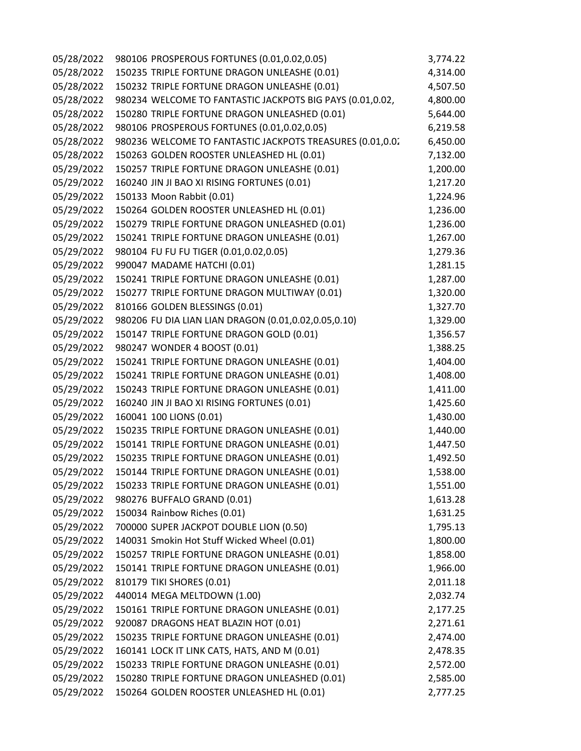| 05/28/2022 | 980106 PROSPEROUS FORTUNES (0.01,0.02,0.05)               | 3,774.22 |
|------------|-----------------------------------------------------------|----------|
| 05/28/2022 | 150235 TRIPLE FORTUNE DRAGON UNLEASHE (0.01)              | 4,314.00 |
| 05/28/2022 | 150232 TRIPLE FORTUNE DRAGON UNLEASHE (0.01)              | 4,507.50 |
| 05/28/2022 | 980234 WELCOME TO FANTASTIC JACKPOTS BIG PAYS (0.01,0.02, | 4,800.00 |
| 05/28/2022 | 150280 TRIPLE FORTUNE DRAGON UNLEASHED (0.01)             | 5,644.00 |
| 05/28/2022 | 980106 PROSPEROUS FORTUNES (0.01,0.02,0.05)               | 6,219.58 |
| 05/28/2022 | 980236 WELCOME TO FANTASTIC JACKPOTS TREASURES (0.01,0.02 | 6,450.00 |
| 05/28/2022 | 150263 GOLDEN ROOSTER UNLEASHED HL (0.01)                 | 7,132.00 |
| 05/29/2022 | 150257 TRIPLE FORTUNE DRAGON UNLEASHE (0.01)              | 1,200.00 |
| 05/29/2022 | 160240 JIN JI BAO XI RISING FORTUNES (0.01)               | 1,217.20 |
| 05/29/2022 | 150133 Moon Rabbit (0.01)                                 | 1,224.96 |
| 05/29/2022 | 150264 GOLDEN ROOSTER UNLEASHED HL (0.01)                 | 1,236.00 |
| 05/29/2022 | 150279 TRIPLE FORTUNE DRAGON UNLEASHED (0.01)             | 1,236.00 |
| 05/29/2022 | 150241 TRIPLE FORTUNE DRAGON UNLEASHE (0.01)              | 1,267.00 |
| 05/29/2022 | 980104 FU FU FU TIGER (0.01,0.02,0.05)                    | 1,279.36 |
| 05/29/2022 | 990047 MADAME HATCHI (0.01)                               | 1,281.15 |
| 05/29/2022 | 150241 TRIPLE FORTUNE DRAGON UNLEASHE (0.01)              | 1,287.00 |
| 05/29/2022 | 150277 TRIPLE FORTUNE DRAGON MULTIWAY (0.01)              | 1,320.00 |
| 05/29/2022 | 810166 GOLDEN BLESSINGS (0.01)                            | 1,327.70 |
| 05/29/2022 | 980206 FU DIA LIAN LIAN DRAGON (0.01,0.02,0.05,0.10)      | 1,329.00 |
| 05/29/2022 | 150147 TRIPLE FORTUNE DRAGON GOLD (0.01)                  | 1,356.57 |
| 05/29/2022 | 980247 WONDER 4 BOOST (0.01)                              | 1,388.25 |
| 05/29/2022 | 150241 TRIPLE FORTUNE DRAGON UNLEASHE (0.01)              | 1,404.00 |
| 05/29/2022 | 150241 TRIPLE FORTUNE DRAGON UNLEASHE (0.01)              | 1,408.00 |
| 05/29/2022 | 150243 TRIPLE FORTUNE DRAGON UNLEASHE (0.01)              | 1,411.00 |
| 05/29/2022 | 160240 JIN JI BAO XI RISING FORTUNES (0.01)               | 1,425.60 |
| 05/29/2022 | 160041 100 LIONS (0.01)                                   | 1,430.00 |
| 05/29/2022 | 150235 TRIPLE FORTUNE DRAGON UNLEASHE (0.01)              | 1,440.00 |
| 05/29/2022 | 150141 TRIPLE FORTUNE DRAGON UNLEASHE (0.01)              | 1,447.50 |
| 05/29/2022 | 150235 TRIPLE FORTUNE DRAGON UNLEASHE (0.01)              | 1,492.50 |
| 05/29/2022 | 150144 TRIPLE FORTUNE DRAGON UNLEASHE (0.01)              | 1,538.00 |
| 05/29/2022 | 150233 TRIPLE FORTUNE DRAGON UNLEASHE (0.01)              | 1,551.00 |
| 05/29/2022 | 980276 BUFFALO GRAND (0.01)                               | 1,613.28 |
| 05/29/2022 | 150034 Rainbow Riches (0.01)                              | 1,631.25 |
| 05/29/2022 | 700000 SUPER JACKPOT DOUBLE LION (0.50)                   | 1,795.13 |
| 05/29/2022 | 140031 Smokin Hot Stuff Wicked Wheel (0.01)               | 1,800.00 |
| 05/29/2022 | 150257 TRIPLE FORTUNE DRAGON UNLEASHE (0.01)              | 1,858.00 |
| 05/29/2022 | 150141 TRIPLE FORTUNE DRAGON UNLEASHE (0.01)              | 1,966.00 |
| 05/29/2022 | 810179 TIKI SHORES (0.01)                                 | 2,011.18 |
| 05/29/2022 | 440014 MEGA MELTDOWN (1.00)                               | 2,032.74 |
| 05/29/2022 | 150161 TRIPLE FORTUNE DRAGON UNLEASHE (0.01)              | 2,177.25 |
| 05/29/2022 | 920087 DRAGONS HEAT BLAZIN HOT (0.01)                     | 2,271.61 |
| 05/29/2022 | 150235 TRIPLE FORTUNE DRAGON UNLEASHE (0.01)              | 2,474.00 |
| 05/29/2022 | 160141 LOCK IT LINK CATS, HATS, AND M (0.01)              | 2,478.35 |
| 05/29/2022 | 150233 TRIPLE FORTUNE DRAGON UNLEASHE (0.01)              | 2,572.00 |
| 05/29/2022 | 150280 TRIPLE FORTUNE DRAGON UNLEASHED (0.01)             | 2,585.00 |
| 05/29/2022 | 150264 GOLDEN ROOSTER UNLEASHED HL (0.01)                 | 2,777.25 |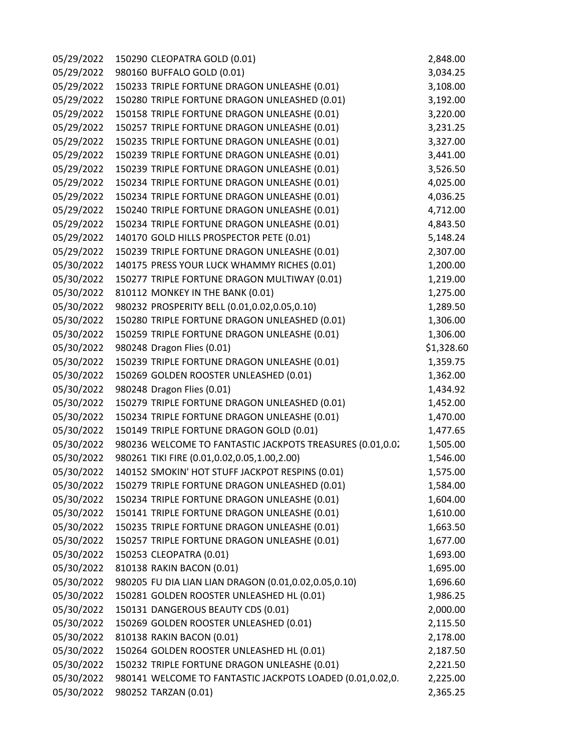| 05/29/2022 | 150290 CLEOPATRA GOLD (0.01)                              | 2,848.00   |
|------------|-----------------------------------------------------------|------------|
| 05/29/2022 | 980160 BUFFALO GOLD (0.01)                                | 3,034.25   |
| 05/29/2022 | 150233 TRIPLE FORTUNE DRAGON UNLEASHE (0.01)              | 3,108.00   |
| 05/29/2022 | 150280 TRIPLE FORTUNE DRAGON UNLEASHED (0.01)             | 3,192.00   |
| 05/29/2022 | 150158 TRIPLE FORTUNE DRAGON UNLEASHE (0.01)              | 3,220.00   |
| 05/29/2022 | 150257 TRIPLE FORTUNE DRAGON UNLEASHE (0.01)              | 3,231.25   |
| 05/29/2022 | 150235 TRIPLE FORTUNE DRAGON UNLEASHE (0.01)              | 3,327.00   |
| 05/29/2022 | 150239 TRIPLE FORTUNE DRAGON UNLEASHE (0.01)              | 3,441.00   |
| 05/29/2022 | 150239 TRIPLE FORTUNE DRAGON UNLEASHE (0.01)              | 3,526.50   |
| 05/29/2022 | 150234 TRIPLE FORTUNE DRAGON UNLEASHE (0.01)              | 4,025.00   |
| 05/29/2022 | 150234 TRIPLE FORTUNE DRAGON UNLEASHE (0.01)              | 4,036.25   |
| 05/29/2022 | 150240 TRIPLE FORTUNE DRAGON UNLEASHE (0.01)              | 4,712.00   |
| 05/29/2022 | 150234 TRIPLE FORTUNE DRAGON UNLEASHE (0.01)              | 4,843.50   |
| 05/29/2022 | 140170 GOLD HILLS PROSPECTOR PETE (0.01)                  | 5,148.24   |
| 05/29/2022 | 150239 TRIPLE FORTUNE DRAGON UNLEASHE (0.01)              | 2,307.00   |
| 05/30/2022 | 140175 PRESS YOUR LUCK WHAMMY RICHES (0.01)               | 1,200.00   |
| 05/30/2022 | 150277 TRIPLE FORTUNE DRAGON MULTIWAY (0.01)              | 1,219.00   |
| 05/30/2022 | 810112 MONKEY IN THE BANK (0.01)                          | 1,275.00   |
| 05/30/2022 | 980232 PROSPERITY BELL (0.01,0.02,0.05,0.10)              | 1,289.50   |
| 05/30/2022 | 150280 TRIPLE FORTUNE DRAGON UNLEASHED (0.01)             | 1,306.00   |
| 05/30/2022 | 150259 TRIPLE FORTUNE DRAGON UNLEASHE (0.01)              | 1,306.00   |
| 05/30/2022 | 980248 Dragon Flies (0.01)                                | \$1,328.60 |
| 05/30/2022 | 150239 TRIPLE FORTUNE DRAGON UNLEASHE (0.01)              | 1,359.75   |
| 05/30/2022 | 150269 GOLDEN ROOSTER UNLEASHED (0.01)                    | 1,362.00   |
| 05/30/2022 | 980248 Dragon Flies (0.01)                                | 1,434.92   |
| 05/30/2022 | 150279 TRIPLE FORTUNE DRAGON UNLEASHED (0.01)             | 1,452.00   |
| 05/30/2022 | 150234 TRIPLE FORTUNE DRAGON UNLEASHE (0.01)              | 1,470.00   |
| 05/30/2022 | 150149 TRIPLE FORTUNE DRAGON GOLD (0.01)                  | 1,477.65   |
| 05/30/2022 | 980236 WELCOME TO FANTASTIC JACKPOTS TREASURES (0.01,0.02 | 1,505.00   |
| 05/30/2022 | 980261 TIKI FIRE (0.01,0.02,0.05,1.00,2.00)               | 1,546.00   |
| 05/30/2022 | 140152 SMOKIN' HOT STUFF JACKPOT RESPINS (0.01)           | 1,575.00   |
| 05/30/2022 | 150279 TRIPLE FORTUNE DRAGON UNLEASHED (0.01)             | 1,584.00   |
| 05/30/2022 | 150234 TRIPLE FORTUNE DRAGON UNLEASHE (0.01)              | 1,604.00   |
| 05/30/2022 | 150141 TRIPLE FORTUNE DRAGON UNLEASHE (0.01)              | 1,610.00   |
| 05/30/2022 | 150235 TRIPLE FORTUNE DRAGON UNLEASHE (0.01)              | 1,663.50   |
| 05/30/2022 | 150257 TRIPLE FORTUNE DRAGON UNLEASHE (0.01)              | 1,677.00   |
| 05/30/2022 | 150253 CLEOPATRA (0.01)                                   | 1,693.00   |
| 05/30/2022 | 810138 RAKIN BACON (0.01)                                 | 1,695.00   |
| 05/30/2022 | 980205 FU DIA LIAN LIAN DRAGON (0.01,0.02,0.05,0.10)      | 1,696.60   |
| 05/30/2022 | 150281 GOLDEN ROOSTER UNLEASHED HL (0.01)                 | 1,986.25   |
| 05/30/2022 | 150131 DANGEROUS BEAUTY CDS (0.01)                        | 2,000.00   |
| 05/30/2022 | 150269 GOLDEN ROOSTER UNLEASHED (0.01)                    | 2,115.50   |
| 05/30/2022 | 810138 RAKIN BACON (0.01)                                 | 2,178.00   |
| 05/30/2022 | 150264 GOLDEN ROOSTER UNLEASHED HL (0.01)                 | 2,187.50   |
| 05/30/2022 | 150232 TRIPLE FORTUNE DRAGON UNLEASHE (0.01)              | 2,221.50   |
| 05/30/2022 | 980141 WELCOME TO FANTASTIC JACKPOTS LOADED (0.01,0.02,0. | 2,225.00   |
| 05/30/2022 | 980252 TARZAN (0.01)                                      | 2,365.25   |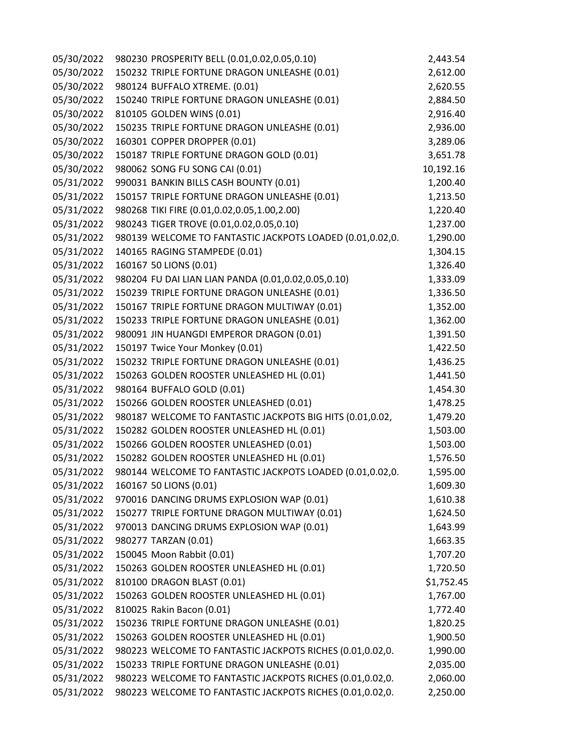| 05/30/2022 | 980230 PROSPERITY BELL (0.01,0.02,0.05,0.10)              | 2,443.54   |
|------------|-----------------------------------------------------------|------------|
| 05/30/2022 | 150232 TRIPLE FORTUNE DRAGON UNLEASHE (0.01)              | 2,612.00   |
| 05/30/2022 | 980124 BUFFALO XTREME. (0.01)                             | 2,620.55   |
| 05/30/2022 | 150240 TRIPLE FORTUNE DRAGON UNLEASHE (0.01)              | 2,884.50   |
| 05/30/2022 | 810105 GOLDEN WINS (0.01)                                 | 2,916.40   |
| 05/30/2022 | 150235 TRIPLE FORTUNE DRAGON UNLEASHE (0.01)              | 2,936.00   |
| 05/30/2022 | 160301 COPPER DROPPER (0.01)                              | 3,289.06   |
| 05/30/2022 | 150187 TRIPLE FORTUNE DRAGON GOLD (0.01)                  | 3,651.78   |
| 05/30/2022 | 980062 SONG FU SONG CAI (0.01)                            | 10,192.16  |
| 05/31/2022 | 990031 BANKIN BILLS CASH BOUNTY (0.01)                    | 1,200.40   |
| 05/31/2022 | 150157 TRIPLE FORTUNE DRAGON UNLEASHE (0.01)              | 1,213.50   |
| 05/31/2022 | 980268 TIKI FIRE (0.01,0.02,0.05,1.00,2.00)               | 1,220.40   |
| 05/31/2022 | 980243 TIGER TROVE (0.01,0.02,0.05,0.10)                  | 1,237.00   |
| 05/31/2022 | 980139 WELCOME TO FANTASTIC JACKPOTS LOADED (0.01,0.02,0. | 1,290.00   |
| 05/31/2022 | 140165 RAGING STAMPEDE (0.01)                             | 1,304.15   |
| 05/31/2022 | 160167 50 LIONS (0.01)                                    | 1,326.40   |
| 05/31/2022 | 980204 FU DAI LIAN LIAN PANDA (0.01,0.02,0.05,0.10)       | 1,333.09   |
| 05/31/2022 | 150239 TRIPLE FORTUNE DRAGON UNLEASHE (0.01)              | 1,336.50   |
| 05/31/2022 | 150167 TRIPLE FORTUNE DRAGON MULTIWAY (0.01)              | 1,352.00   |
| 05/31/2022 | 150233 TRIPLE FORTUNE DRAGON UNLEASHE (0.01)              | 1,362.00   |
| 05/31/2022 | 980091 JIN HUANGDI EMPEROR DRAGON (0.01)                  | 1,391.50   |
| 05/31/2022 | 150197 Twice Your Monkey (0.01)                           | 1,422.50   |
| 05/31/2022 | 150232 TRIPLE FORTUNE DRAGON UNLEASHE (0.01)              | 1,436.25   |
| 05/31/2022 | 150263 GOLDEN ROOSTER UNLEASHED HL (0.01)                 | 1,441.50   |
| 05/31/2022 | 980164 BUFFALO GOLD (0.01)                                | 1,454.30   |
| 05/31/2022 | 150266 GOLDEN ROOSTER UNLEASHED (0.01)                    | 1,478.25   |
| 05/31/2022 | 980187 WELCOME TO FANTASTIC JACKPOTS BIG HITS (0.01,0.02, | 1,479.20   |
| 05/31/2022 | 150282 GOLDEN ROOSTER UNLEASHED HL (0.01)                 | 1,503.00   |
| 05/31/2022 | 150266 GOLDEN ROOSTER UNLEASHED (0.01)                    | 1,503.00   |
| 05/31/2022 | 150282 GOLDEN ROOSTER UNLEASHED HL (0.01)                 | 1,576.50   |
| 05/31/2022 | 980144 WELCOME TO FANTASTIC JACKPOTS LOADED (0.01,0.02,0. | 1,595.00   |
| 05/31/2022 | 160167 50 LIONS (0.01)                                    | 1,609.30   |
| 05/31/2022 | 970016 DANCING DRUMS EXPLOSION WAP (0.01)                 | 1,610.38   |
| 05/31/2022 | 150277 TRIPLE FORTUNE DRAGON MULTIWAY (0.01)              | 1,624.50   |
| 05/31/2022 | 970013 DANCING DRUMS EXPLOSION WAP (0.01)                 | 1,643.99   |
| 05/31/2022 | 980277 TARZAN (0.01)                                      | 1,663.35   |
| 05/31/2022 | 150045 Moon Rabbit (0.01)                                 | 1,707.20   |
| 05/31/2022 | 150263 GOLDEN ROOSTER UNLEASHED HL (0.01)                 | 1,720.50   |
| 05/31/2022 | 810100 DRAGON BLAST (0.01)                                | \$1,752.45 |
| 05/31/2022 | 150263 GOLDEN ROOSTER UNLEASHED HL (0.01)                 | 1,767.00   |
| 05/31/2022 | 810025 Rakin Bacon (0.01)                                 | 1,772.40   |
| 05/31/2022 | 150236 TRIPLE FORTUNE DRAGON UNLEASHE (0.01)              | 1,820.25   |
| 05/31/2022 | 150263 GOLDEN ROOSTER UNLEASHED HL (0.01)                 | 1,900.50   |
| 05/31/2022 | 980223 WELCOME TO FANTASTIC JACKPOTS RICHES (0.01,0.02,0. | 1,990.00   |
| 05/31/2022 | 150233 TRIPLE FORTUNE DRAGON UNLEASHE (0.01)              | 2,035.00   |
| 05/31/2022 | 980223 WELCOME TO FANTASTIC JACKPOTS RICHES (0.01,0.02,0. | 2,060.00   |
| 05/31/2022 | 980223 WELCOME TO FANTASTIC JACKPOTS RICHES (0.01,0.02,0. | 2,250.00   |